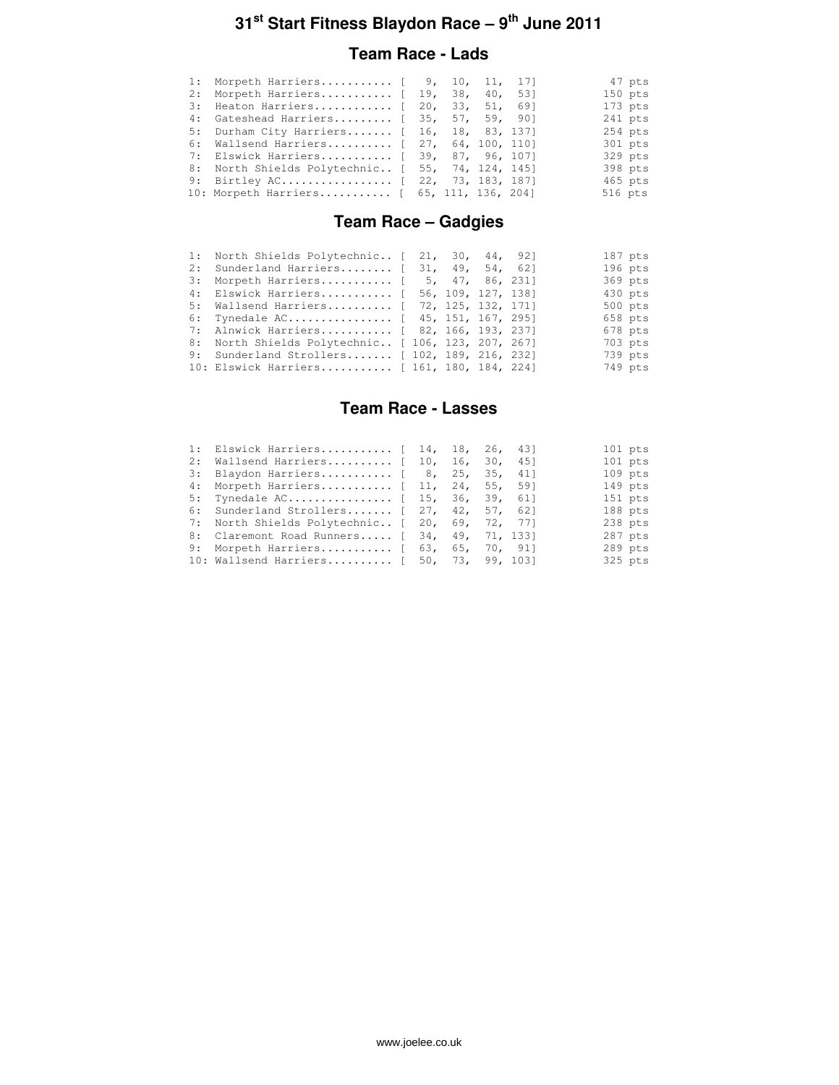### **Team Race - Lads**

| 1: Morpeth Harriers [ 9, 10, 11, 17]             |  |  |         | 47 pts    |
|--------------------------------------------------|--|--|---------|-----------|
| 2: Morpeth Harriers [ 19, 38, 40, 53]            |  |  |         | $150$ pts |
| 3: Heaton Harriers [ 20, 33, 51, 69]             |  |  |         | $173$ pts |
| 4: Gateshead Harriers [ 35, 57, 59, 90]          |  |  |         | $241$ pts |
| 5: Durham City Harriers [ 16, 18, 83, 137]       |  |  |         | $254$ pts |
| 6: Wallsend Harriers [ 27, 64, 100, 110]         |  |  |         | 301 pts   |
| 7: Elswick Harriers [ 39, 87, 96, 107]           |  |  |         | 329 pts   |
| 8: North Shields Polytechnic [ 55, 74, 124, 145] |  |  |         | 398 pts   |
| 9: Birtley AC [ 22, 73, 183, 187]                |  |  |         | 465 pts   |
| 10: Morpeth Harriers [ 65, 111, 136, 204]        |  |  | 516 pts |           |

## **Team Race – Gadgies**

|    | 1: North Shields Polytechnic [ 21, 30, 44, 92]     |  |                    |  | $187$ pts |
|----|----------------------------------------------------|--|--------------------|--|-----------|
|    | 2: Sunderland Harriers [ 31, 49, 54, 62]           |  |                    |  | $196$ pts |
| 3: | Morpeth Harriers [ 5, 47, 86, 231]                 |  |                    |  | 369 pts   |
|    | 4: Elswick Harriers [ 56, 109, 127, 138]           |  |                    |  | 430 pts   |
|    | 5: Wallsend Harriers [                             |  | 72, 125, 132, 171] |  | 500 pts   |
|    | 6: Tynedale AC [ 45, 151, 167, 295]                |  |                    |  | 658 pts   |
|    | 7: Alnwick Harriers [ 82, 166, 193, 237]           |  |                    |  | $678$ pts |
|    | 8: North Shields Polytechnic [ 106, 123, 207, 267] |  |                    |  | 703 pts   |
|    | 9: Sunderland Strollers [ 102, 189, 216, 232]      |  |                    |  | 739 pts   |
|    | 10: Elswick Harriers [ 161, 180, 184, 224]         |  |                    |  | 749 pts   |

### **Team Race - Lasses**

|     | 1: Elswick Harriers [ 14, 18, 26, 43]          |  |  |     | $101$ pts |
|-----|------------------------------------------------|--|--|-----|-----------|
| 2:  | Wallsend Harriers $[10, 16, 30, 16]$           |  |  | 451 | $101$ pts |
| 3:  | Blaydon Harriers [ 8, 25, 35,                  |  |  | 411 | $109$ pts |
| 4 : | Morpeth Harriers [ 11, 24, 55, 59]             |  |  |     | $149$ pts |
|     | 5: Tynedale AC [ 15, 36, 39, 61]               |  |  |     | $151$ pts |
|     | 6: Sunderland Strollers [ 27, 42, 57, 62]      |  |  |     | 188 pts   |
|     | 7: North Shields Polytechnic [ 20, 69, 72, 77] |  |  |     | $238$ pts |
|     | 8: Claremont Road Runners [ 34, 49, 71, 133]   |  |  |     | $287$ pts |
|     | 9: Morpeth Harriers [ 63, 65, 70, 91]          |  |  |     | 289 pts   |
|     | 10: Wallsend Harriers [ 50, 73, 99, 103]       |  |  |     | 325 pts   |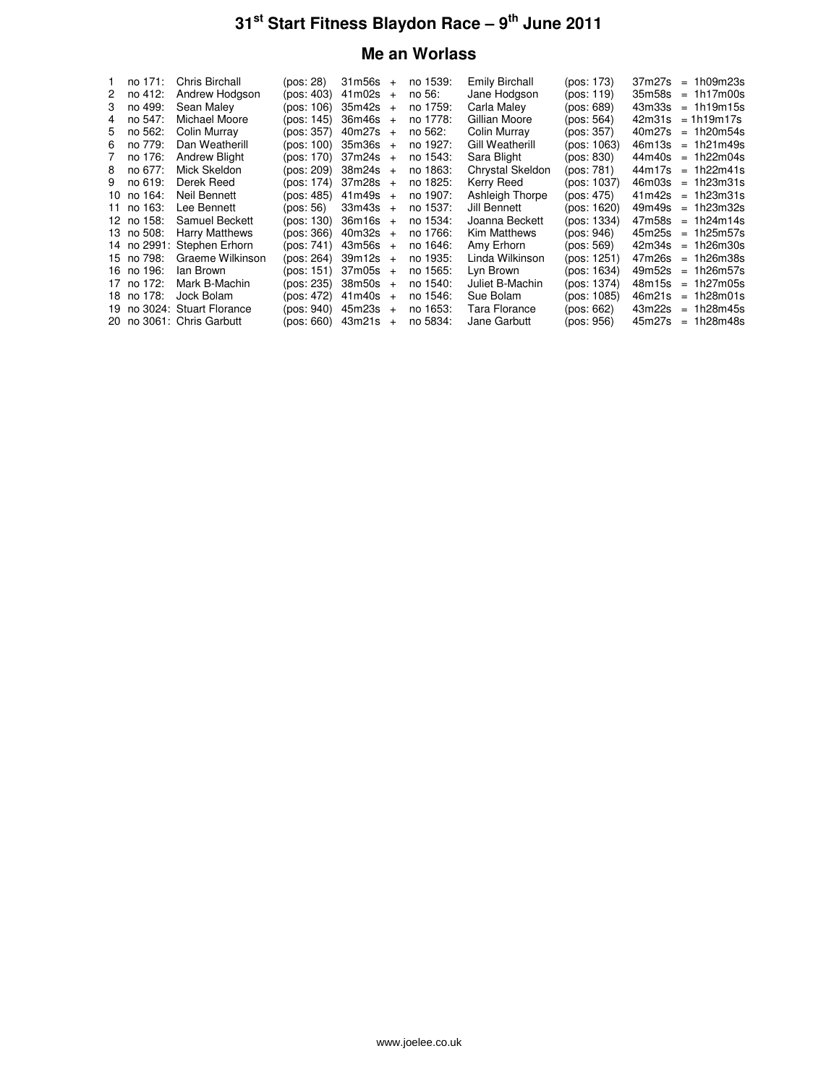## **Me an Worlass**

|         | Chris Birchall                                                                                                                                       |                                                                                                                                          |                         | no 1539:                                                                                                                                                                                                                                                                                                                                                                                                                                                                          | Emily Birchall   | (pos: 173)  | $37m27s = 1h09m23s$                                                                                                  |
|---------|------------------------------------------------------------------------------------------------------------------------------------------------------|------------------------------------------------------------------------------------------------------------------------------------------|-------------------------|-----------------------------------------------------------------------------------------------------------------------------------------------------------------------------------------------------------------------------------------------------------------------------------------------------------------------------------------------------------------------------------------------------------------------------------------------------------------------------------|------------------|-------------|----------------------------------------------------------------------------------------------------------------------|
| no 412: | Andrew Hodgson                                                                                                                                       |                                                                                                                                          |                         | no 56:                                                                                                                                                                                                                                                                                                                                                                                                                                                                            | Jane Hodgson     | (pos: 119)  | $35m58s = 1h17m00s$                                                                                                  |
| no 499: | Sean Maley                                                                                                                                           |                                                                                                                                          |                         | no 1759:                                                                                                                                                                                                                                                                                                                                                                                                                                                                          | Carla Maley      | (pos: 689)  | $= 1h19m15s$                                                                                                         |
| no 547: | Michael Moore                                                                                                                                        |                                                                                                                                          |                         | no 1778:                                                                                                                                                                                                                                                                                                                                                                                                                                                                          | Gillian Moore    | (pos: 564)  | $= 1h19m17s$                                                                                                         |
|         | Colin Murray                                                                                                                                         |                                                                                                                                          |                         | no 562:                                                                                                                                                                                                                                                                                                                                                                                                                                                                           | Colin Murray     | (pos: 357)  | $= 1h20m54s$                                                                                                         |
|         | Dan Weatherill                                                                                                                                       |                                                                                                                                          |                         | no 1927:                                                                                                                                                                                                                                                                                                                                                                                                                                                                          | Gill Weatherill  | (pos: 1063) | $= 1h21m49s$                                                                                                         |
|         | Andrew Blight                                                                                                                                        |                                                                                                                                          |                         | no 1543:                                                                                                                                                                                                                                                                                                                                                                                                                                                                          | Sara Blight      | (pos: 830)  | $44m40s = 1h22m04s$                                                                                                  |
|         | Mick Skeldon                                                                                                                                         |                                                                                                                                          |                         | no 1863:                                                                                                                                                                                                                                                                                                                                                                                                                                                                          | Chrystal Skeldon | (pos: 781)  | $44m17s = 1h22m41s$                                                                                                  |
|         | Derek Reed                                                                                                                                           |                                                                                                                                          |                         | no 1825:                                                                                                                                                                                                                                                                                                                                                                                                                                                                          | Kerry Reed       | (pos: 1037) | $46m03s = 1h23m31s$                                                                                                  |
|         | Neil Bennett                                                                                                                                         |                                                                                                                                          |                         | no 1907:                                                                                                                                                                                                                                                                                                                                                                                                                                                                          | Ashleigh Thorpe  | (pos: 475)  | $41m42s = 1h23m31s$                                                                                                  |
|         | Lee Bennett                                                                                                                                          |                                                                                                                                          |                         | no 1537:                                                                                                                                                                                                                                                                                                                                                                                                                                                                          | Jill Bennett     | (pos: 1620) | $= 1h23m32s$                                                                                                         |
|         | Samuel Beckett                                                                                                                                       |                                                                                                                                          |                         | no 1534:                                                                                                                                                                                                                                                                                                                                                                                                                                                                          | Joanna Beckett   | (pos: 1334) | $= 1h24m14s$                                                                                                         |
|         | <b>Harry Matthews</b>                                                                                                                                |                                                                                                                                          |                         | no 1766:                                                                                                                                                                                                                                                                                                                                                                                                                                                                          | Kim Matthews     | (pos: 946)  | $45m25s = 1h25m57s$                                                                                                  |
|         |                                                                                                                                                      |                                                                                                                                          |                         | no 1646:                                                                                                                                                                                                                                                                                                                                                                                                                                                                          | Amy Erhorn       | (pos: 569)  | $= 1h26m30s$                                                                                                         |
|         | Graeme Wilkinson                                                                                                                                     |                                                                                                                                          |                         | no 1935:                                                                                                                                                                                                                                                                                                                                                                                                                                                                          | Linda Wilkinson  | (pos: 1251) | $47m26s = 1h26m38s$                                                                                                  |
|         | lan Brown                                                                                                                                            |                                                                                                                                          |                         | no 1565:                                                                                                                                                                                                                                                                                                                                                                                                                                                                          | Lyn Brown        | (pos: 1634) | $= 1h26m57s$                                                                                                         |
|         | Mark B-Machin                                                                                                                                        |                                                                                                                                          |                         | no 1540:                                                                                                                                                                                                                                                                                                                                                                                                                                                                          | Juliet B-Machin  | (pos: 1374) | $= 1h27m05s$                                                                                                         |
|         |                                                                                                                                                      |                                                                                                                                          |                         | no 1546:                                                                                                                                                                                                                                                                                                                                                                                                                                                                          | Sue Bolam        | (pos: 1085) | $= 1h28m01s$                                                                                                         |
|         |                                                                                                                                                      |                                                                                                                                          |                         | no 1653:                                                                                                                                                                                                                                                                                                                                                                                                                                                                          | Tara Florance    | (pos: 662)  | $= 1h28m45s$                                                                                                         |
|         |                                                                                                                                                      |                                                                                                                                          |                         | no 5834:                                                                                                                                                                                                                                                                                                                                                                                                                                                                          | Jane Garbutt     | (pos: 956)  | $= 1h28m48s$                                                                                                         |
|         | 5 no 562:<br>6 no 779:<br>no 176:<br>7<br>8 no 677:<br>9 no 619:<br>10 no 164:<br>11 no 163:<br>12 no 158:<br>13 no 508:<br>16 no 196:<br>17 no 172: | no 171:<br>14 no 2991: Stephen Erhorn<br>15 no 798:<br>18 no 178: Jock Bolam<br>19 no 3024: Stuart Florance<br>20 no 3061: Chris Garbutt | (pos: 28)<br>(pos: 472) | $31m56s +$<br>$(pos: 403)$ 41m02s +<br>(pos: 106) 35m42s +<br>$(pos: 145)$ 36m46s +<br>$(pos: 357)$ 40m27s +<br>(pos: 100) 35m36s +<br>$(pos: 170)$ 37m24s +<br>$(pos: 209)$ 38m24s +<br>$(pos: 174)$ 37m28s +<br>$(pos: 485)$ 41m49s +<br>$(pos: 56)$ 33m43s +<br>$(pos: 130)$ 36m16s +<br>$(pos: 366)$ 40m32s +<br>$(pos: 741)$ 43m56s +<br>$(pos: 264)$ 39m12s +<br>(pos: 151) 37m05s +<br>$(pos: 235)$ 38m50s +<br>$41m40s +$<br>$(pos: 940)$ 45m23s +<br>(pos: 660) 43m21s + |                  |             | 43m33s<br>42m31s<br>40m27s<br>46m13s<br>49m49s<br>47m58s<br>42m34s<br>49m52s<br>48m15s<br>46m21s<br>43m22s<br>45m27s |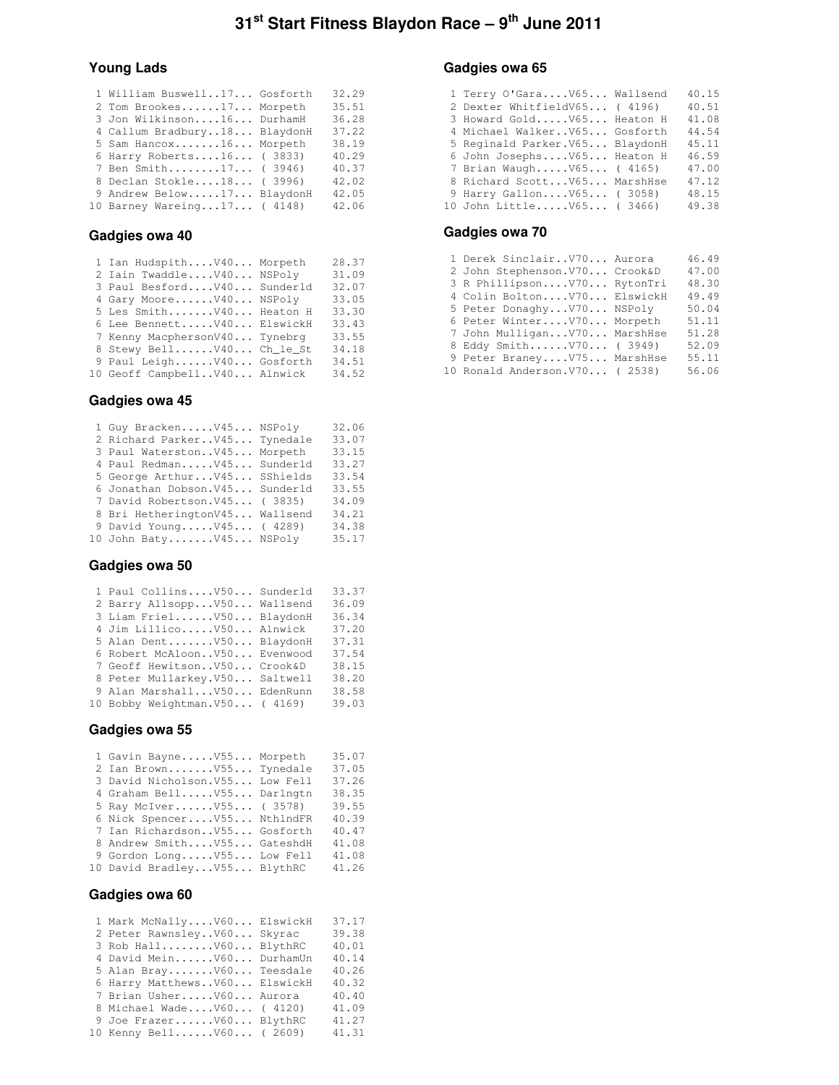### **Young Lads**

|  | 32.29                                                                                                                                                                                                                                                                                      |
|--|--------------------------------------------------------------------------------------------------------------------------------------------------------------------------------------------------------------------------------------------------------------------------------------------|
|  | 35.51                                                                                                                                                                                                                                                                                      |
|  | 36.28                                                                                                                                                                                                                                                                                      |
|  | 37.22                                                                                                                                                                                                                                                                                      |
|  | 38.19                                                                                                                                                                                                                                                                                      |
|  | 40.29                                                                                                                                                                                                                                                                                      |
|  | 40.37                                                                                                                                                                                                                                                                                      |
|  | 42.02                                                                                                                                                                                                                                                                                      |
|  | 42.05                                                                                                                                                                                                                                                                                      |
|  | 42.06                                                                                                                                                                                                                                                                                      |
|  | 1 William Buswell17 Gosforth<br>2 Tom Brookes17 Morpeth<br>3 Jon Wilkinson16 DurhamH<br>4 Callum Bradbury18 BlaydonH<br>5 Sam Hancox16 Morpeth<br>6 Harry Roberts16 (3833)<br>7 Ben Smith17 (3946)<br>8 Declan Stokle18 (3996)<br>9 Andrew Below17 BlaydonH<br>10 Barney Wareing17 ( 4148) |

### **Gadgies owa 40**

| 1 Ian HudspithV40 Morpeth     | 28.37 |
|-------------------------------|-------|
| 2 Iain TwaddleV40 NSPoly      | 31.09 |
| 3 Paul BesfordV40 Sunderld    | 32.07 |
| 4 Gary MooreV40 NSPoly        | 33.05 |
| 5 Les Smith V40 Heaton H      | 33.30 |
| 6 Lee Bennett V40 ElswickH    | 33.43 |
| 7 Kenny MacphersonV40 Tynebrg | 33.55 |
| 8 Stewy BellV40 Ch le St      | 34.18 |
| 9 Paul LeighV40 Gosforth      | 34.51 |
| 10 Geoff CampbellV40 Alnwick  | 34.52 |

### **Gadgies owa 45**

| 1 Guy BrackenV45 NSPoly        | 32.06 |
|--------------------------------|-------|
| 2 Richard ParkerV45 Tynedale   | 33.07 |
| 3 Paul WaterstonV45 Morpeth    | 33.15 |
| 4 Paul RedmanV45 Sunderld      | 33.27 |
| 5 George Arthur V45 SShields   | 33.54 |
| 6 Jonathan Dobson.V45 Sunderld | 33.55 |
| 7 David Robertson. V45 (3835)  | 34.09 |
| 8 Bri HetheringtonV45 Wallsend | 34.21 |
| 9 David YoungV45 (4289)        | 34.38 |
| 10 John BatyV45 NSPoly         | 35.17 |

### **Gadgies owa 50**

| 1 Paul CollinsV50 Sunderld      | 33.37 |
|---------------------------------|-------|
| 2 Barry AllsoppV50 Wallsend     | 36.09 |
| 3 Liam FrielV50 BlaydonH        | 36.34 |
| 4 Jim LillicoV50 Alnwick        | 37.20 |
| 5 Alan Dent V50 BlaydonH        | 37.31 |
| 6 Robert McAloonV50 Evenwood    | 37.54 |
| 7 Geoff HewitsonV50 Crook&D     | 38.15 |
| 8 Peter Mullarkey. V50 Saltwell | 38.20 |
| 9 Alan Marshall V50 EdenRunn    | 38.58 |
| 10 Bobby Weightman. V50 (4169)  | 39.03 |

## **Gadgies owa 55**

| 1 Gavin BayneV55 Morpeth        | 35.07 |
|---------------------------------|-------|
| 2 Ian BrownV55 Tynedale         | 37.05 |
| 3 David Nicholson. V55 Low Fell | 37.26 |
| 4 Graham BellV55 Darlngtn       | 38.35 |
| 5 Ray McIver V55 ( 3578)        | 39.55 |
| 6 Nick SpencerV55 NthlndFR      | 40.39 |
| 7 Ian RichardsonV55 Gosforth    | 40.47 |
| 8 Andrew SmithV55 GateshdH      | 41.08 |
| 9 Gordon LongV55 Low Fell       | 41.08 |
| 10 David BradleyV55 BlythRC     | 41.26 |
|                                 |       |

### **Gadgies owa 60**

| 1 Mark McNallyV60 ElswickH   | 37.17 |
|------------------------------|-------|
| 2 Peter RawnsleyV60 Skyrac   | 39.38 |
| 3 Rob HallV60 BlythRC        | 40.01 |
| 4 David MeinV60 DurhamUn     | 40.14 |
| 5 Alan BrayV60 Teesdale      | 40.26 |
| 6 Harry MatthewsV60 ElswickH | 40.32 |
| 7 Brian UsherV60 Aurora      | 40.40 |
| 8 Michael WadeV60 (4120)     | 41.09 |
| 9 Joe FrazerV60 BlythRC      | 41.27 |
| 10 Kenny BellV60 (2609)      | 41.31 |

### **Gadgies owa 65**

| 1 Terry O'GaraV65 Wallsend      | 40.15 |
|---------------------------------|-------|
| 2 Dexter WhitfieldV65 (4196)    | 40.51 |
| 3 Howard GoldV65 Heaton H       | 41.08 |
| 4 Michael WalkerV65 Gosforth    | 44.54 |
| 5 Reginald Parker. V65 BlaydonH | 45.11 |
| 6 John Josephs V65 Heaton H     | 46.59 |
| 7 Brian WaughV65 (4165)         | 47.00 |
| 8 Richard Scott V65 MarshHse    | 47.12 |
| 9 Harry Gallon V65 (3058)       | 48.15 |
| 10 John LittleV65 (3466)        | 49.38 |
|                                 |       |

### **Gadgies owa 70**

| 1 Derek SinclairV70 Aurora      | 46.49 |
|---------------------------------|-------|
| 2 John Stephenson. V70 Crook&D  | 47.00 |
| 3 R PhillipsonV70 RytonTri      | 48.30 |
| 4 Colin Bolton V70 ElswickH     | 49.49 |
| 5 Peter DonaghyV70 NSPoly       | 50.04 |
| 6 Peter WinterV70 Morpeth       | 51.11 |
| 7 John Mulligan V70 MarshHse    | 51.28 |
| 8 Eddy SmithV70 (3949)          | 52.09 |
| 9 Peter BraneyV75 MarshHse      | 55.11 |
| 10 Ronald Anderson. V70 ( 2538) | 56.06 |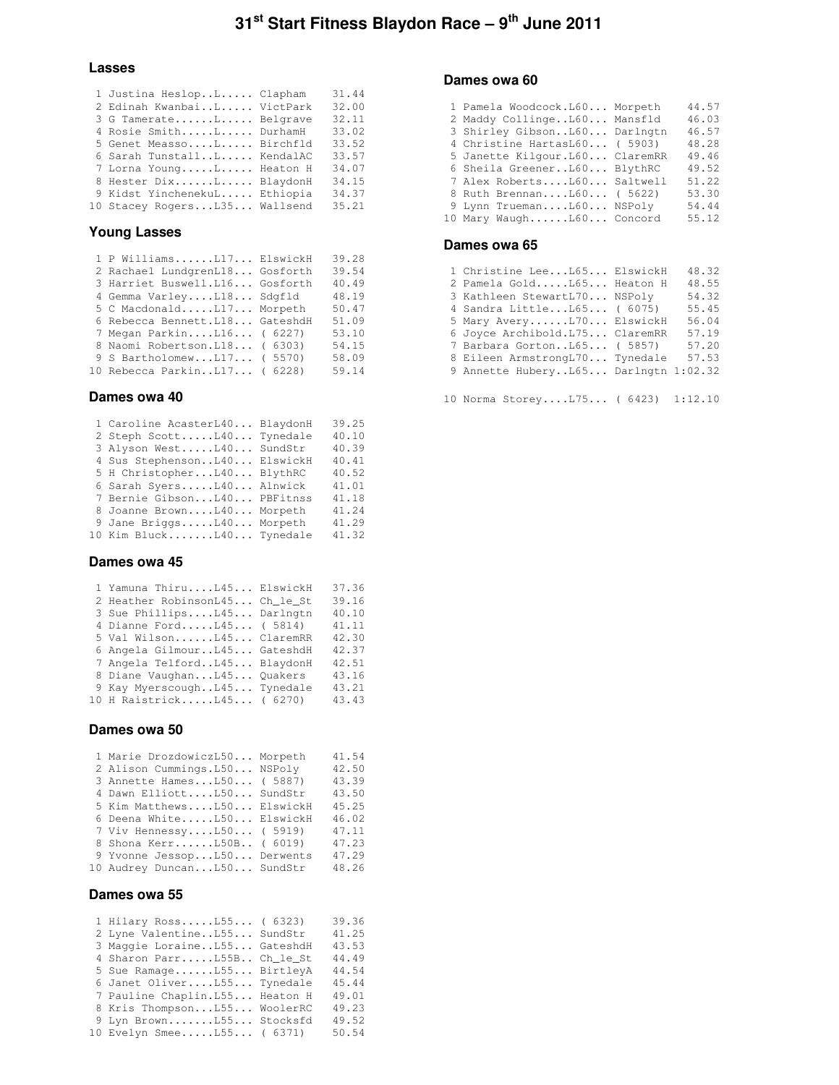### **Lasses**

| 1 Justina HeslopL Clapham    | 31.44 |
|------------------------------|-------|
| 2 Edinah KwanbaiL VictPark   | 32.00 |
| 3 G TamerateL Belgrave       | 32.11 |
| 4 Rosie SmithL DurhamH       | 33.02 |
| 5 Genet MeassoL Birchfld     | 33.52 |
| 6 Sarah TunstallL KendalAC   | 33.57 |
| 7 Lorna YoungL Heaton H      | 34.07 |
| 8 Hester DixL BlaydonH       | 34.15 |
| 9 Kidst YinchenekuL Ethiopia | 34.37 |
| 10 Stacey RogersL35 Wallsend | 35.21 |
|                              |       |

### **Young Lasses**

| 1 P WilliamsL17 ElswickH        | 39.28 |
|---------------------------------|-------|
| 2 Rachael LundgrenL18 Gosforth  | 39.54 |
| 3 Harriet Buswell.L16 Gosforth  | 40.49 |
| 4 Gemma VarleyL18 Sdgfld        | 48.19 |
| 5 C MacdonaldL17 Morpeth        | 50.47 |
| 6 Rebecca Bennett. L18 GateshdH | 51.09 |
| 7 Megan ParkinL16 ( 6227)       | 53.10 |
| 8 Naomi Robertson. L18 ( 6303)  | 54.15 |
| 9 S BartholomewL17 ( 5570)      | 58.09 |
| 10 Rebecca ParkinL17 ( 6228)    | 59.14 |
|                                 |       |

### **Dames owa 40**

| 1 Caroline AcasterL40 BlaydonH | 39.25 |
|--------------------------------|-------|
| 2 Steph ScottL40 Tynedale      | 40.10 |
| 3 Alyson WestL40 SundStr       | 40.39 |
| 4 Sus StephensonL40 ElswickH   | 40.41 |
| 5 H ChristopherL40 BlythRC     | 40.52 |
| 6 Sarah SyersL40 Alnwick       | 41.01 |
| 7 Bernie GibsonL40 PBFitnss    | 41.18 |
| 8 Joanne BrownL40 Morpeth      | 41.24 |
| 9 Jane BriggsL40 Morpeth       | 41.29 |
| 10 Kim BluckL40 Tynedale       | 41.32 |

### **Dames owa 45**

| 1 Yamuna ThiruL45 ElswickH     | 37.36 |
|--------------------------------|-------|
| 2 Heather RobinsonL45 Ch_le_St | 39.16 |
| 3 Sue PhillipsL45 Darlngtn     | 40.10 |
| 4 Dianne FordL45 ( 5814)       | 41.11 |
| 5 Val WilsonL45 ClaremRR       | 42.30 |
| 6 Angela GilmourL45 GateshdH   | 42.37 |
| 7 Angela TelfordL45 BlaydonH   | 42.51 |
| 8 Diane VaughanL45 Quakers     | 43.16 |
| 9 Kay MyerscoughL45 Tynedale   | 43.21 |
| 10 H RaistrickL45 ( 6270)      | 43.43 |
|                                |       |

### **Dames owa 50**

| 1 Marie DrozdowiczL50 Morpeth | 41.54 |
|-------------------------------|-------|
| 2 Alison Cummings. L50 NSPoly | 42.50 |
| 3 Annette HamesL50 ( 5887)    | 43.39 |
| 4 Dawn ElliottL50 SundStr     | 43.50 |
| 5 Kim MatthewsL50 ElswickH    | 45.25 |
| 6 Deena WhiteL50 ElswickH     | 46.02 |
| 7 Viv HennessyL50 ( 5919)     | 47.11 |
| 8 Shona KerrL50B ( 6019)      | 47.23 |
| 9 Yvonne JessopL50 Derwents   | 47.29 |
| 10 Audrey DuncanL50 SundStr   | 48.26 |
|                               |       |

### **Dames owa 55**

| 1 Hilary RossL55 ( 6323)        | 39.36 |
|---------------------------------|-------|
| 2 Lyne ValentineL55 SundStr     | 41.25 |
| 3 Maggie LoraineL55 GateshdH    | 43.53 |
| 4 Sharon ParrL55B Ch le St      | 44.49 |
| 5 Sue RamageL55 BirtleyA        | 44.54 |
| 6 Janet OliverL55 Tynedale      | 45.44 |
| 7 Pauline Chaplin. L55 Heaton H | 49.01 |
| 8 Kris ThompsonL55 WoolerRC     | 49.23 |
| 9 Lyn BrownL55 Stocksfd         | 49.52 |
| 10 Evelyn SmeeL55 ( 6371)       | 50.54 |

### **Dames owa 60**

| 1 Pamela Woodcock.L60 Morpeth   | 44.57 |
|---------------------------------|-------|
| 2 Maddy CollingeL60 Mansfld     | 46.03 |
| 3 Shirley GibsonL60 Darlngtn    | 46.57 |
| 4 Christine HartasL60 ( 5903)   | 48.28 |
| 5 Janette Kilgour. L60 ClaremRR | 49.46 |
| 6 Sheila GreenerL60 BlythRC     | 49.52 |
| 7 Alex RobertsL60 Saltwell      | 51.22 |
| 8 Ruth BrennanL60 ( 5622)       | 53.30 |
| 9 Lynn TruemanL60 NSPoly        | 54.44 |
| 10 Mary WaughL60 Concord        | 55.12 |

### **Dames owa 65**

| 1 Christine LeeL65 ElswickH          | 48.32 |
|--------------------------------------|-------|
| 2 Pamela GoldL65 Heaton H            | 48.55 |
| 3 Kathleen StewartL70 NSPoly         | 54.32 |
| 4 Sandra LittleL65 ( 6075)           | 55.45 |
| 5 Mary AveryL70 ElswickH             | 56.04 |
| 6 Joyce Archibold. L75 ClaremRR      | 57.19 |
| 7 Barbara GortonL65 ( 5857)          | 57.20 |
| 8 Eileen ArmstrongL70 Tynedale       | 57.53 |
| 9 Annette HuberyL65 Darlngtn 1:02.32 |       |

10 Norma Storey....L75... ( 6423) 1:12.10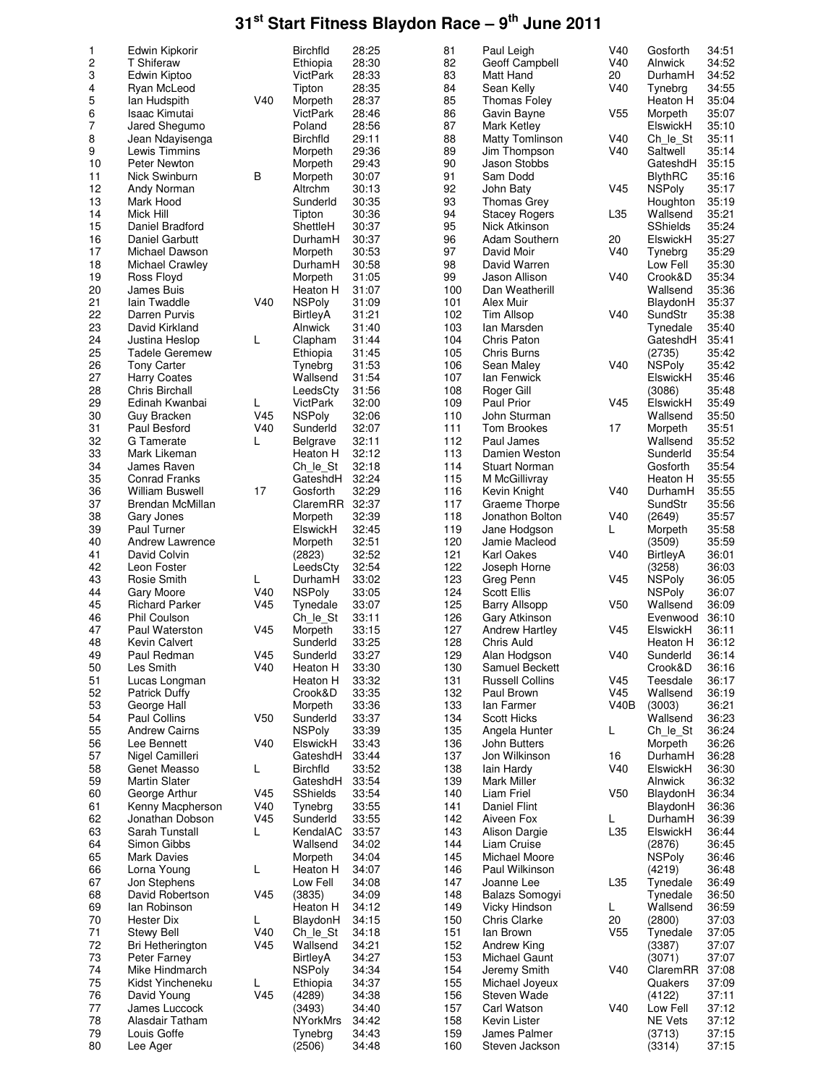| 1              | Edwin Kipkorir                         |                 | <b>Birchfld</b>           | 28:25          | 81         | Paul Leigh                            | V40             | Gosforth             | 34:51          |
|----------------|----------------------------------------|-----------------|---------------------------|----------------|------------|---------------------------------------|-----------------|----------------------|----------------|
| $\overline{c}$ | <b>T</b> Shiferaw                      |                 | Ethiopia                  | 28:30          | 82         | Geoff Campbell                        | V40             | Alnwick              | 34:52          |
| 3              | Edwin Kiptoo                           |                 | VictPark                  | 28:33          | 83         | Matt Hand                             | 20              | DurhamH              | 34:52          |
| 4              | Ryan McLeod                            |                 | Tipton                    | 28:35          | 84         | Sean Kelly                            | V40             | Tynebrg              | 34:55          |
| 5              | lan Hudspith                           | V40             | Morpeth                   | 28:37          | 85         | <b>Thomas Foley</b>                   |                 | Heaton H             | 35:04          |
| 6              | Isaac Kimutai                          |                 | <b>VictPark</b>           | 28:46          | 86         | Gavin Bayne                           | V <sub>55</sub> | Morpeth              | 35:07          |
| $\overline{7}$ | Jared Shegumo                          |                 | Poland<br><b>Birchfld</b> | 28:56<br>29:11 | 87<br>88   | Mark Ketley<br><b>Matty Tomlinson</b> | V40             | ElswickH             | 35:10<br>35:11 |
| 8<br>9         | Jean Ndayisenga<br>Lewis Timmins       |                 | Morpeth                   | 29:36          | 89         | Jim Thompson                          | V40             | Ch le St<br>Saltwell | 35:14          |
| 10             | Peter Newton                           |                 | Morpeth                   | 29:43          | 90         | Jason Stobbs                          |                 | GateshdH             | 35:15          |
| 11             | Nick Swinburn                          | B               | Morpeth                   | 30:07          | 91         | Sam Dodd                              |                 | <b>BlythRC</b>       | 35:16          |
| 12             | Andy Norman                            |                 | Altrchm                   | 30:13          | 92         | John Baty                             | V45             | <b>NSPoly</b>        | 35:17          |
| 13             | Mark Hood                              |                 | Sunderld                  | 30:35          | 93         | Thomas Grey                           |                 | Houghton             | 35:19          |
| 14             | Mick Hill                              |                 | Tipton                    | 30:36          | 94         | <b>Stacey Rogers</b>                  | L35             | Wallsend             | 35:21          |
| 15             | Daniel Bradford                        |                 | ShettleH                  | 30:37          | 95         | Nick Atkinson                         |                 | <b>SShields</b>      | 35:24          |
| 16             | Daniel Garbutt                         |                 | DurhamH                   | 30:37          | 96         | Adam Southern                         | 20              | ElswickH             | 35:27          |
| 17             | Michael Dawson                         |                 | Morpeth                   | 30:53          | 97         | David Moir                            | V40             | Tynebrg              | 35:29          |
| 18             | Michael Crawley                        |                 | DurhamH                   | 30:58          | 98         | David Warren                          |                 | Low Fell             | 35:30          |
| 19             | Ross Floyd                             |                 | Morpeth                   | 31:05          | 99         | Jason Allison                         | V40             | Crook&D              | 35:34          |
| 20             | James Buis                             |                 | Heaton H                  | 31:07          | 100        | Dan Weatherill                        |                 | Wallsend             | 35:36          |
| 21             | Iain Twaddle                           | V40             | <b>NSPoly</b>             | 31:09          | 101        | Alex Muir                             |                 | BlaydonH             | 35:37          |
| 22             | Darren Purvis                          |                 | <b>BirtleyA</b>           | 31:21          | 102        | <b>Tim Allsop</b>                     | V40             | SundStr              | 35:38          |
| 23<br>24       | David Kirkland                         | L               | Alnwick                   | 31:40<br>31:44 | 103<br>104 | lan Marsden<br>Chris Paton            |                 | Tynedale<br>GateshdH | 35:40<br>35:41 |
| 25             | Justina Heslop<br>Tadele Geremew       |                 | Clapham<br>Ethiopia       | 31:45          | 105        | Chris Burns                           |                 | (2735)               | 35:42          |
| 26             | <b>Tony Carter</b>                     |                 | Tynebra                   | 31:53          | 106        | Sean Maley                            | V40             | <b>NSPoly</b>        | 35:42          |
| 27             | <b>Harry Coates</b>                    |                 | Wallsend                  | 31:54          | 107        | lan Fenwick                           |                 | ElswickH             | 35:46          |
| 28             | Chris Birchall                         |                 | LeedsCty                  | 31:56          | 108        | Roger Gill                            |                 | (3086)               | 35:48          |
| 29             | Edinah Kwanbai                         | L               | <b>VictPark</b>           | 32:00          | 109        | <b>Paul Prior</b>                     | V45             | ElswickH             | 35:49          |
| 30             | Guy Bracken                            | V45             | <b>NSPoly</b>             | 32:06          | 110        | John Sturman                          |                 | Wallsend             | 35:50          |
| 31             | Paul Besford                           | V40             | Sunderld                  | 32:07          | 111        | <b>Tom Brookes</b>                    | 17              | Morpeth              | 35:51          |
| 32             | G Tamerate                             | L               | <b>Belgrave</b>           | 32:11          | 112        | Paul James                            |                 | Wallsend             | 35:52          |
| 33             | Mark Likeman                           |                 | Heaton H                  | 32:12          | 113        | Damien Weston                         |                 | Sunderld             | 35:54          |
| 34             | James Raven                            |                 | Ch le St                  | 32:18          | 114        | <b>Stuart Norman</b>                  |                 | Gosforth             | 35:54          |
| 35             | <b>Conrad Franks</b>                   |                 | GateshdH                  | 32:24          | 115        | M McGillivray                         |                 | Heaton H             | 35:55          |
| 36             | <b>William Buswell</b>                 | 17              | Gosforth                  | 32:29          | 116        | Kevin Knight                          | V40             | DurhamH              | 35:55          |
| 37             | Brendan McMillan                       |                 | ClaremRR                  | 32:37          | 117        | Graeme Thorpe                         |                 | SundStr              | 35:56          |
| 38             | Gary Jones                             |                 | Morpeth                   | 32:39          | 118        | Jonathon Bolton                       | V40             | (2649)               | 35:57          |
| 39             | Paul Turner                            |                 | ElswickH                  | 32:45          | 119        | Jane Hodgson                          | L               | Morpeth              | 35:58          |
| 40<br>41       | <b>Andrew Lawrence</b><br>David Colvin |                 | Morpeth                   | 32:51<br>32:52 | 120<br>121 | Jamie Macleod<br>Karl Oakes           | V40             | (3509)               | 35:59<br>36:01 |
| 42             | Leon Foster                            |                 | (2823)<br>LeedsCty        | 32:54          | 122        | Joseph Horne                          |                 | BirtleyA<br>(3258)   | 36:03          |
| 43             | Rosie Smith                            | L               | DurhamH                   | 33:02          | 123        | Greg Penn                             | V45             | <b>NSPoly</b>        | 36:05          |
| 44             | Gary Moore                             | V40             | <b>NSPoly</b>             | 33:05          | 124        | <b>Scott Ellis</b>                    |                 | <b>NSPoly</b>        | 36:07          |
| 45             | <b>Richard Parker</b>                  | V <sub>45</sub> | Tynedale                  | 33:07          | 125        | <b>Barry Allsopp</b>                  | V <sub>50</sub> | Wallsend             | 36:09          |
| 46             | Phil Coulson                           |                 | Ch le St                  | 33:11          | 126        | Gary Atkinson                         |                 | Evenwood             | 36:10          |
| 47             | Paul Waterston                         | V <sub>45</sub> | Morpeth                   | 33:15          | 127        | <b>Andrew Hartley</b>                 | V45             | ElswickH             | 36:11          |
| 48             | Kevin Calvert                          |                 | Sunderld                  | 33:25          | 128        | Chris Auld                            |                 | Heaton H             | 36:12          |
| 49             | Paul Redman                            | V45             | Sunderld                  | 33:27          | 129        | Alan Hodgson                          | V40             | Sunderld             | 36:14          |
| 50             | Les Smith                              | V40             | Heaton H                  | 33:30          | 130        | Samuel Beckett                        |                 | Crook&D              | 36:16          |
| 51             | Lucas Longman                          |                 | Heaton H                  | 33:32          | 131        | <b>Russell Collins</b>                | V <sub>45</sub> | Teesdale             | 36:17          |
| 52             | <b>Patrick Duffy</b>                   |                 | Crook&D                   | 33:35          | 132        | Paul Brown                            | V <sub>45</sub> | Wallsend             | 36:19          |
| 53             | George Hall                            |                 | Morpeth                   | 33:36          | 133        | lan Farmer                            | V40B            | (3003)               | 36:21          |
| 54<br>55       | Paul Collins<br><b>Andrew Cairns</b>   | V <sub>50</sub> | Sunderld<br><b>NSPoly</b> | 33:37<br>33:39 | 134<br>135 | <b>Scott Hicks</b><br>Angela Hunter   | L               | Wallsend<br>Ch le St | 36:23<br>36:24 |
| 56             | Lee Bennett                            | V40             | ElswickH                  | 33:43          | 136        | John Butters                          |                 | Morpeth              | 36:26          |
| 57             | Nigel Camilleri                        |                 | GateshdH                  | 33:44          | 137        | Jon Wilkinson                         | 16              | DurhamH              | 36:28          |
| 58             | Genet Measso                           | L               | <b>Birchfld</b>           | 33:52          | 138        | lain Hardy                            | V40             | ElswickH             | 36:30          |
| 59             | <b>Martin Slater</b>                   |                 | GateshdH                  | 33:54          | 139        | Mark Miller                           |                 | Alnwick              | 36:32          |
| 60             | George Arthur                          | V <sub>45</sub> | SShields                  | 33:54          | 140        | Liam Friel                            | V <sub>50</sub> | BlaydonH             | 36:34          |
| 61             | Kenny Macpherson                       | V40             | Tynebra                   | 33:55          | 141        | Daniel Flint                          |                 | BlaydonH             | 36:36          |
| 62             | Jonathan Dobson                        | V45             | Sunderld                  | 33:55          | 142        | Aiveen Fox                            | L.              | DurhamH              | 36:39          |
| 63             | Sarah Tunstall                         | L               | KendalAC                  | 33:57          | 143        | Alison Dargie                         | L35             | ElswickH             | 36:44          |
| 64             | Simon Gibbs                            |                 | Wallsend                  | 34:02          | 144        | Liam Cruise                           |                 | (2876)               | 36:45          |
| 65             | <b>Mark Davies</b>                     |                 | Morpeth                   | 34:04          | 145        | Michael Moore                         |                 | <b>NSPoly</b>        | 36:46          |
| 66             | Lorna Young                            | L               | Heaton H                  | 34:07          | 146        | Paul Wilkinson                        |                 | (4219)               | 36:48          |
| 67             | Jon Stephens                           |                 | Low Fell                  | 34:08          | 147        | Joanne Lee                            | L35             | Tynedale             | 36:49          |
| 68             | David Robertson                        | V45             | (3835)                    | 34:09          | 148        | Balazs Somogyi                        |                 | Tynedale             | 36:50          |
| 69<br>70       | lan Robinson<br><b>Hester Dix</b>      | L               | Heaton H<br>BlaydonH      | 34:12<br>34:15 | 149<br>150 | Vicky Hindson<br>Chris Clarke         | L.<br>20        | Wallsend<br>(2800)   | 36:59<br>37:03 |
| 71             | Stewy Bell                             | V40             | Ch le St                  | 34:18          | 151        | lan Brown                             | V <sub>55</sub> | Tynedale             | 37:05          |
| 72             | Bri Hetherington                       | V45             | Wallsend                  | 34:21          | 152        | Andrew King                           |                 | (3387)               | 37:07          |
| 73             | Peter Farney                           |                 | BirtleyA                  | 34:27          | 153        | Michael Gaunt                         |                 | (3071)               | 37:07          |
| 74             | Mike Hindmarch                         |                 | <b>NSPoly</b>             | 34:34          | 154        | Jeremy Smith                          | V40             | ClaremRR             | 37:08          |
| 75             | Kidst Yincheneku                       | L               | Ethiopia                  | 34:37          | 155        | Michael Joyeux                        |                 | Quakers              | 37:09          |
| 76             | David Young                            | V45             | (4289)                    | 34:38          | 156        | Steven Wade                           |                 | (4122)               | 37:11          |
| 77             | James Luccock                          |                 | (3493)                    | 34:40          | 157        | Carl Watson                           | V40             | Low Fell             | 37:12          |
| 78             | Alasdair Tatham                        |                 | <b>NYorkMrs</b>           | 34:42          | 158        | Kevin Lister                          |                 | NE Vets              | 37:12          |
| 79             | Louis Goffe                            |                 | Tynebrg                   | 34:43          | 159        | James Palmer                          |                 | (3713)               | 37:15          |
| 80             | Lee Ager                               |                 | (2506)                    | 34:48          | 160        | Steven Jackson                        |                 | (3314)               | 37:15          |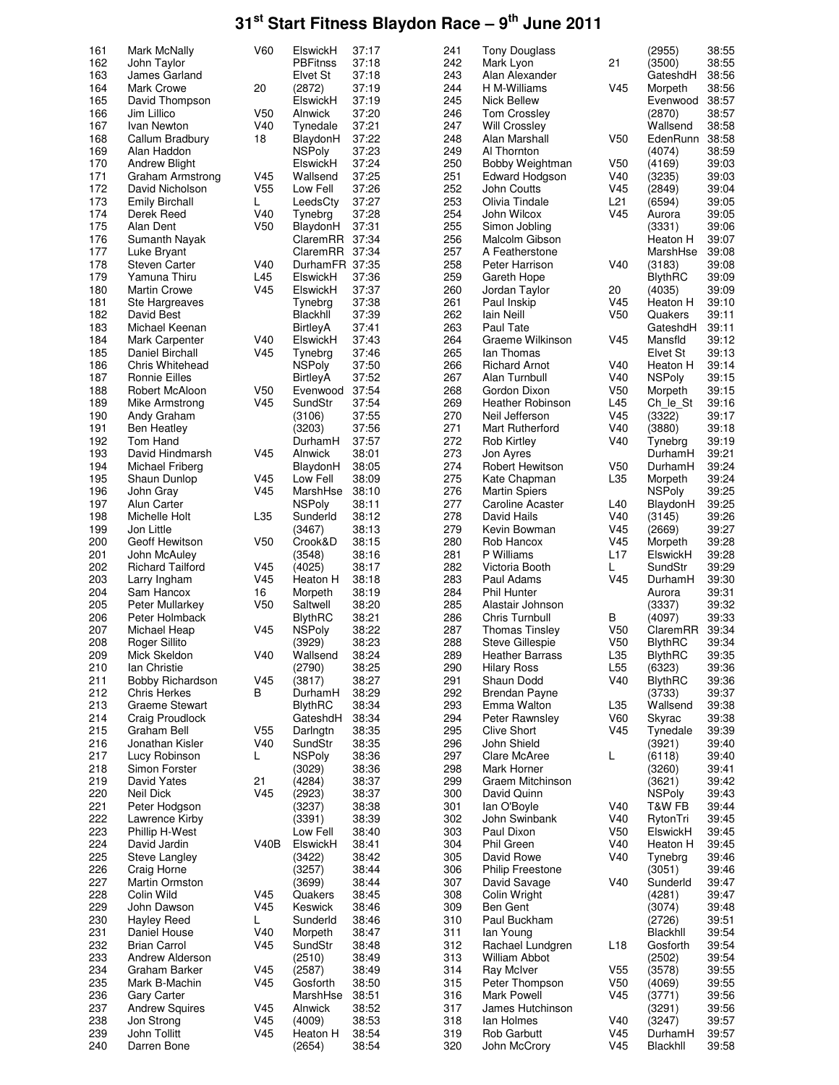| 161 | Mark McNally            | V60             | ElswickH        | 37:17 | 241 | <b>Tony Douglass</b>    |                 | (2955)         | 38:55 |
|-----|-------------------------|-----------------|-----------------|-------|-----|-------------------------|-----------------|----------------|-------|
| 162 | John Taylor             |                 | <b>PBFitnss</b> | 37:18 | 242 | Mark Lyon               | 21              | (3500)         | 38:55 |
| 163 | James Garland           |                 | Elvet St        | 37:18 | 243 | Alan Alexander          |                 | GateshdH       | 38:56 |
| 164 | Mark Crowe              | 20              | (2872)          | 37:19 | 244 | H M-Williams            | V45             | Morpeth        | 38:56 |
| 165 | David Thompson          |                 | ElswickH        | 37:19 | 245 | <b>Nick Bellew</b>      |                 | Evenwood       | 38:57 |
| 166 | Jim Lillico             | V <sub>50</sub> | Alnwick         | 37:20 | 246 | <b>Tom Crossley</b>     |                 | (2870)         | 38:57 |
| 167 | Ivan Newton             | V40             | Tynedale        | 37:21 | 247 | <b>Will Crossley</b>    |                 | Wallsend       | 38:58 |
| 168 |                         |                 | BlaydonH        | 37:22 | 248 | Alan Marshall           | V50             | EdenRunn       | 38:58 |
|     | Callum Bradbury         | 18              |                 |       |     |                         |                 |                |       |
| 169 | Alan Haddon             |                 | <b>NSPoly</b>   | 37:23 | 249 | Al Thornton             |                 | (4074)         | 38:59 |
| 170 | <b>Andrew Blight</b>    |                 | ElswickH        | 37:24 | 250 | Bobby Weightman         | V50             | (4169)         | 39:03 |
| 171 | Graham Armstrong        | V45             | Wallsend        | 37:25 | 251 | <b>Edward Hodgson</b>   | V40             | (3235)         | 39:03 |
| 172 | David Nicholson         | V <sub>55</sub> | Low Fell        | 37:26 | 252 | John Coutts             | V <sub>45</sub> | (2849)         | 39:04 |
| 173 | <b>Emily Birchall</b>   | L               | LeedsCty        | 37:27 | 253 | Olivia Tindale          | L21             | (6594)         | 39:05 |
| 174 | Derek Reed              | V40             | Tynebrg         | 37:28 | 254 | John Wilcox             | V45             | Aurora         | 39:05 |
| 175 | Alan Dent               | V <sub>50</sub> | BlaydonH        | 37:31 | 255 | Simon Jobling           |                 | (3331)         | 39:06 |
| 176 | Sumanth Nayak           |                 | ClaremRR        | 37:34 | 256 | Malcolm Gibson          |                 | Heaton H       | 39:07 |
| 177 | Luke Bryant             |                 | ClaremRR 37:34  |       | 257 | A Featherstone          |                 | MarshHse       | 39:08 |
| 178 | <b>Steven Carter</b>    | V40             | DurhamFR 37:35  |       | 258 | Peter Harrison          | V40             | (3183)         | 39:08 |
| 179 | Yamuna Thiru            | L45             | ElswickH        | 37:36 | 259 | Gareth Hope             |                 | <b>BlythRC</b> | 39:09 |
| 180 | <b>Martin Crowe</b>     | V45             | ElswickH        | 37:37 | 260 | Jordan Taylor           | 20              | (4035)         | 39:09 |
| 181 | Ste Hargreaves          |                 | Tynebrg         | 37:38 | 261 | Paul Inskip             | V45             | Heaton H       | 39:10 |
| 182 | David Best              |                 | Blackhll        | 37:39 | 262 | Iain Neill              | V50             | Quakers        | 39:11 |
|     | Michael Keenan          |                 |                 |       | 263 |                         |                 |                |       |
| 183 |                         |                 | <b>BirtleyA</b> | 37:41 |     | Paul Tate               |                 | GateshdH       | 39:11 |
| 184 | Mark Carpenter          | V40             | ElswickH        | 37:43 | 264 | Graeme Wilkinson        | V45             | Mansfld        | 39:12 |
| 185 | Daniel Birchall         | V <sub>45</sub> | Tynebra         | 37:46 | 265 | lan Thomas              |                 | Elvet St       | 39:13 |
| 186 | Chris Whitehead         |                 | <b>NSPoly</b>   | 37:50 | 266 | <b>Richard Arnot</b>    | V40             | Heaton H       | 39:14 |
| 187 | Ronnie Eilles           |                 | BirtleyA        | 37:52 | 267 | Alan Turnbull           | V40             | <b>NSPoly</b>  | 39:15 |
| 188 | Robert McAloon          | V <sub>50</sub> | Evenwood        | 37:54 | 268 | Gordon Dixon            | V50             | Morpeth        | 39:15 |
| 189 | Mike Armstrong          | V45             | SundStr         | 37:54 | 269 | Heather Robinson        | L45             | Ch_le_St       | 39:16 |
| 190 | Andy Graham             |                 | (3106)          | 37:55 | 270 | Neil Jefferson          | V45             | (3322)         | 39:17 |
| 191 | <b>Ben Heatley</b>      |                 | (3203)          | 37:56 | 271 | Mart Rutherford         | V40             | (3880)         | 39:18 |
| 192 | Tom Hand                |                 | DurhamH         | 37:57 | 272 | Rob Kirtley             | V40             | Tynebrg        | 39:19 |
| 193 | David Hindmarsh         | V45             | Alnwick         | 38:01 | 273 | Jon Ayres               |                 | DurhamH        | 39:21 |
| 194 | Michael Friberg         |                 | BlaydonH        | 38:05 | 274 | Robert Hewitson         | V <sub>50</sub> | DurhamH        | 39:24 |
| 195 | Shaun Dunlop            | V45             | Low Fell        | 38:09 | 275 | Kate Chapman            | L35             | Morpeth        | 39:24 |
| 196 |                         | V45             | MarshHse        | 38:10 | 276 |                         |                 | <b>NSPoly</b>  | 39:25 |
| 197 | John Gray               |                 |                 |       | 277 | Martin Spiers           |                 |                | 39:25 |
|     | Alun Carter             |                 | <b>NSPoly</b>   | 38:11 |     | <b>Caroline Acaster</b> | L40             | BlaydonH       |       |
| 198 | Michelle Holt           | L35             | Sunderld        | 38:12 | 278 | David Hails             | V40             | (3145)         | 39:26 |
| 199 | Jon Little              |                 | (3467)          | 38:13 | 279 | Kevin Bowman            | V45             | (2669)         | 39:27 |
| 200 | Geoff Hewitson          | V <sub>50</sub> | Crook&D         | 38:15 | 280 | Rob Hancox              | V45             | Morpeth        | 39:28 |
| 201 | John McAuley            |                 | (3548)          | 38:16 | 281 | P Williams              | L17             | ElswickH       | 39:28 |
| 202 | <b>Richard Tailford</b> | V45             | (4025)          | 38:17 | 282 | Victoria Booth          | L               | SundStr        | 39:29 |
| 203 | Larry Ingham            | V45             | Heaton H        | 38:18 | 283 | Paul Adams              | V45             | DurhamH        | 39:30 |
| 204 | Sam Hancox              | 16              | Morpeth         | 38:19 | 284 | Phil Hunter             |                 | Aurora         | 39:31 |
| 205 | Peter Mullarkey         | V50             | Saltwell        | 38:20 | 285 | Alastair Johnson        |                 | (3337)         | 39:32 |
| 206 | Peter Holmback          |                 | <b>BlythRC</b>  | 38:21 | 286 | Chris Turnbull          | В               | (4097)         | 39:33 |
| 207 | Michael Heap            | V <sub>45</sub> | <b>NSPoly</b>   | 38:22 | 287 | <b>Thomas Tinsley</b>   | V <sub>50</sub> | ClaremRR       | 39:34 |
| 208 | Roger Sillito           |                 | (3929)          | 38:23 | 288 | <b>Steve Gillespie</b>  | V <sub>50</sub> | <b>BlythRC</b> | 39:34 |
| 209 | Mick Skeldon            | V40             | Wallsend        | 38:24 | 289 | Heather Barrass         | L35             | <b>BlythRC</b> | 39:35 |
| 210 | Ian Christie            |                 | (2790)          | 38:25 | 290 | <b>Hilary Ross</b>      | L <sub>55</sub> | (6323)         | 39:36 |
| 211 | Bobby Richardson        | V45             | (3817)          | 38:27 | 291 | Shaun Dodd              | V40             | <b>BlythRC</b> | 39:36 |
| 212 | <b>Chris Herkes</b>     | В               | DurhamH         | 38:29 | 292 | <b>Brendan Payne</b>    |                 | (3733)         | 39:37 |
| 213 | Graeme Stewart          |                 | <b>BlythRC</b>  | 38:34 | 293 | Emma Walton             | L35             | Wallsend       | 39:38 |
| 214 | Craig Proudlock         |                 | GateshdH        | 38:34 | 294 | Peter Rawnsley          | V60             | Skyrac         | 39:38 |
| 215 | Graham Bell             | V <sub>55</sub> | Darlngtn        | 38:35 | 295 | <b>Clive Short</b>      | V45             | Tynedale       | 39:39 |
|     |                         |                 |                 |       |     | John Shield             |                 |                |       |
| 216 | Jonathan Kisler         | V40             | SundStr         | 38:35 | 296 |                         |                 | (3921)         | 39:40 |
| 217 | Lucy Robinson           | L               | <b>NSPoly</b>   | 38:36 | 297 | Clare McAree            | L               | (6118)         | 39:40 |
| 218 | Simon Forster           |                 | (3029)          | 38:36 | 298 | Mark Horner             |                 | (3260)         | 39:41 |
| 219 | David Yates             | 21              | (4284)          | 38:37 | 299 | Graem Mitchinson        |                 | (3621)         | 39:42 |
| 220 | Neil Dick               | V45             | (2923)          | 38:37 | 300 | David Quinn             |                 | <b>NSPoly</b>  | 39:43 |
| 221 | Peter Hodgson           |                 | (3237)          | 38:38 | 301 | lan O'Boyle             | V40             | T&W FB         | 39:44 |
| 222 | Lawrence Kirby          |                 | (3391)          | 38:39 | 302 | John Swinbank           | V40             | RytonTri       | 39:45 |
| 223 | Phillip H-West          |                 | Low Fell        | 38:40 | 303 | Paul Dixon              | V <sub>50</sub> | ElswickH       | 39:45 |
| 224 | David Jardin            | V40B            | ElswickH        | 38:41 | 304 | Phil Green              | V40             | Heaton H       | 39:45 |
| 225 | <b>Steve Langley</b>    |                 | (3422)          | 38:42 | 305 | David Rowe              | V40             | Tynebrg        | 39:46 |
| 226 | Craig Horne             |                 | (3257)          | 38:44 | 306 | <b>Philip Freestone</b> |                 | (3051)         | 39:46 |
| 227 | Martin Ormston          |                 | (3699)          | 38:44 | 307 | David Savage            | V40             | Sunderld       | 39:47 |
| 228 | Colin Wild              | V <sub>45</sub> | Quakers         | 38:45 | 308 | Colin Wright            |                 | (4281)         | 39:47 |
| 229 | John Dawson             | V45             | Keswick         | 38:46 | 309 | Ben Gent                |                 | (3074)         | 39:48 |
| 230 | <b>Hayley Reed</b>      | L               | Sunderld        | 38:46 | 310 | Paul Buckham            |                 | (2726)         | 39:51 |
|     |                         |                 |                 |       |     |                         |                 |                |       |
| 231 | Daniel House            | V40             | Morpeth         | 38:47 | 311 | lan Young               |                 | Blackhll       | 39:54 |
| 232 | <b>Brian Carrol</b>     | V45             | SundStr         | 38:48 | 312 | Rachael Lundgren        | L <sub>18</sub> | Gosforth       | 39:54 |
| 233 | Andrew Alderson         |                 | (2510)          | 38:49 | 313 | <b>William Abbot</b>    |                 | (2502)         | 39:54 |
| 234 | Graham Barker           | V45             | (2587)          | 38:49 | 314 | Ray McIver              | V <sub>55</sub> | (3578)         | 39:55 |
| 235 | Mark B-Machin           | V45             | Gosforth        | 38:50 | 315 | Peter Thompson          | V <sub>50</sub> | (4069)         | 39:55 |
| 236 | <b>Gary Carter</b>      |                 | MarshHse        | 38:51 | 316 | Mark Powell             | V45             | (3771)         | 39:56 |
| 237 | <b>Andrew Squires</b>   | V45             | Alnwick         | 38:52 | 317 | James Hutchinson        |                 | (3291)         | 39:56 |
| 238 | Jon Strong              | V <sub>45</sub> | (4009)          | 38:53 | 318 | lan Holmes              | V40             | (3247)         | 39:57 |
| 239 | John Tollitt            | V45             | Heaton H        | 38:54 | 319 | Rob Garbutt             | V <sub>45</sub> | DurhamH        | 39:57 |
| 240 | Darren Bone             |                 | (2654)          | 38:54 | 320 | John McCrory            | V45             | Blackhll       | 39:58 |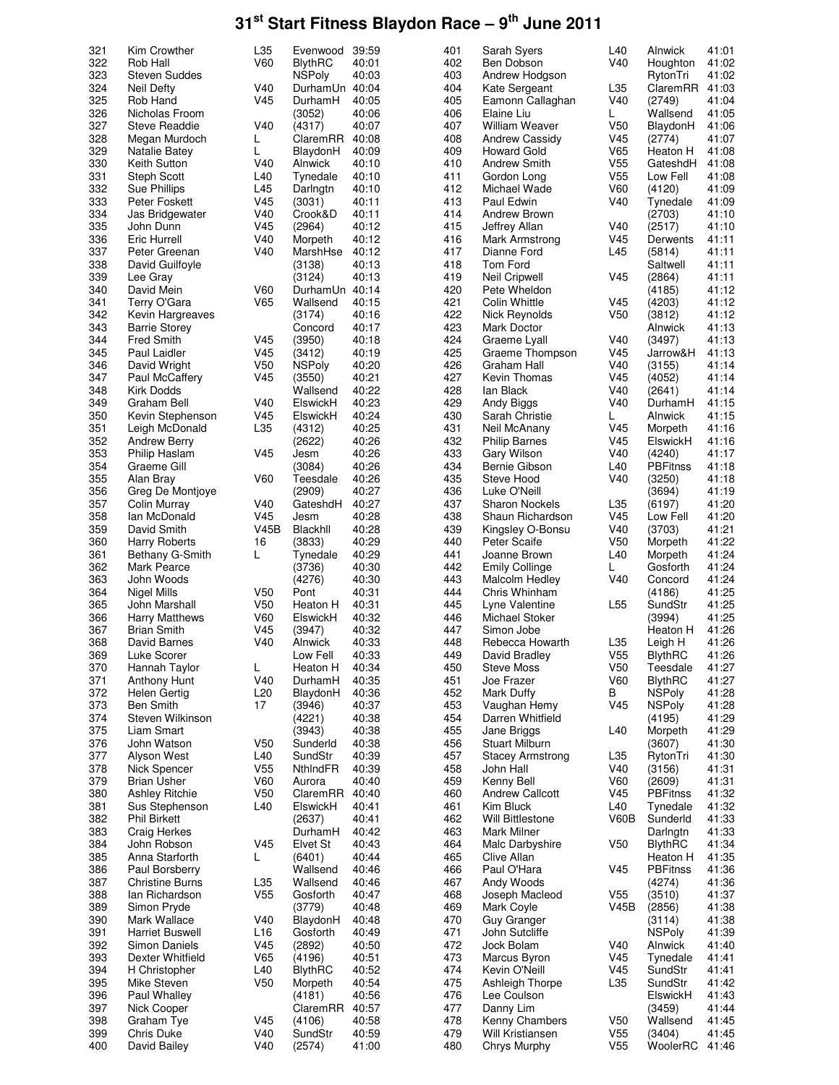| 321 | Kim Crowther           | L35             |                | 39:59 | 401 |                         | L40             | Alnwick         | 41:01 |
|-----|------------------------|-----------------|----------------|-------|-----|-------------------------|-----------------|-----------------|-------|
|     |                        |                 | Evenwood       |       |     | Sarah Syers             |                 |                 |       |
| 322 | Rob Hall               | V60             | <b>BlythRC</b> | 40:01 | 402 | Ben Dobson              | V40             | Houghton        | 41:02 |
| 323 | <b>Steven Suddes</b>   |                 | <b>NSPoly</b>  | 40:03 | 403 | Andrew Hodgson          |                 | RytonTri        | 41:02 |
| 324 | Neil Defty             | V40             | DurhamUn       | 40:04 | 404 | Kate Sergeant           | L35             | ClaremRR        | 41:03 |
|     |                        |                 |                |       |     |                         |                 |                 |       |
| 325 | Rob Hand               | V45             | DurhamH        | 40:05 | 405 | Eamonn Callaghan        | V40             | (2749)          | 41:04 |
| 326 | Nicholas Froom         |                 | (3052)         | 40:06 | 406 | Elaine Liu              | L               | Wallsend        | 41:05 |
| 327 | <b>Steve Readdie</b>   | V40             | (4317)         | 40:07 | 407 | <b>William Weaver</b>   | V50             | BlaydonH        | 41:06 |
| 328 | Megan Murdoch          | L               | ClaremRR       | 40:08 | 408 | <b>Andrew Cassidy</b>   | V45             | (2774)          | 41:07 |
|     |                        |                 |                |       |     |                         |                 |                 |       |
| 329 | Natalie Batey          | L               | BlaydonH       | 40:09 | 409 | <b>Howard Gold</b>      | V65             | Heaton H        | 41:08 |
| 330 | Keith Sutton           | V40             | Alnwick        | 40:10 | 410 | <b>Andrew Smith</b>     | V55             | GateshdH        | 41:08 |
| 331 | <b>Steph Scott</b>     | L40             | Tynedale       | 40:10 | 411 | Gordon Long             | V <sub>55</sub> | Low Fell        | 41:08 |
|     |                        |                 |                |       |     |                         |                 |                 |       |
| 332 | Sue Phillips           | L45             | Darlngtn       | 40:10 | 412 | Michael Wade            | V60             | (4120)          | 41:09 |
| 333 | Peter Foskett          | V <sub>45</sub> | (3031)         | 40:11 | 413 | Paul Edwin              | V40             | Tynedale        | 41:09 |
| 334 | Jas Bridgewater        | V40             | Crook&D        | 40:11 | 414 | Andrew Brown            |                 | (2703)          | 41:10 |
|     |                        |                 |                |       |     |                         |                 |                 |       |
| 335 | John Dunn              | V45             | (2964)         | 40:12 | 415 | Jeffrey Allan           | V40             | (2517)          | 41:10 |
| 336 | <b>Eric Hurrell</b>    | V40             | Morpeth        | 40:12 | 416 | Mark Armstrong          | V45             | Derwents        | 41:11 |
| 337 | Peter Greenan          | V40             | MarshHse       | 40:12 | 417 | Dianne Ford             | L45             | (5814)          | 41:11 |
|     |                        |                 |                |       |     |                         |                 |                 |       |
| 338 | David Guilfoyle        |                 | (3138)         | 40:13 | 418 | Tom Ford                |                 | Saltwell        | 41:11 |
| 339 | Lee Gray               |                 | (3124)         | 40:13 | 419 | <b>Neil Cripwell</b>    | V45             | (2864)          | 41:11 |
| 340 | David Mein             | <b>V60</b>      | DurhamUn 40:14 |       | 420 | Pete Wheldon            |                 | (4185)          | 41:12 |
|     |                        |                 |                |       |     |                         |                 |                 |       |
| 341 | Terry O'Gara           | V65             | Wallsend       | 40:15 | 421 | Colin Whittle           | V45             | (4203)          | 41:12 |
| 342 | Kevin Hargreaves       |                 | (3174)         | 40:16 | 422 | Nick Reynolds           | V50             | (3812)          | 41:12 |
| 343 | <b>Barrie Storey</b>   |                 | Concord        | 40:17 | 423 | Mark Doctor             |                 | Alnwick         | 41:13 |
| 344 | <b>Fred Smith</b>      | V45             | (3950)         | 40:18 | 424 | Graeme Lyall            | V40             | (3497)          | 41:13 |
|     |                        |                 |                |       |     |                         |                 |                 |       |
| 345 | Paul Laidler           | V <sub>45</sub> | (3412)         | 40:19 | 425 | Graeme Thompson         | V45             | Jarrow&H        | 41:13 |
| 346 | David Wright           | V <sub>50</sub> | <b>NSPoly</b>  | 40:20 | 426 | Graham Hall             | V40             | (3155)          | 41:14 |
| 347 | Paul McCaffery         | V <sub>45</sub> | (3550)         | 40:21 | 427 | Kevin Thomas            | V45             | (4052)          | 41:14 |
|     |                        |                 |                |       |     |                         |                 |                 |       |
| 348 | Kirk Dodds             |                 | Wallsend       | 40:22 | 428 | lan Black               | V40             | (2641)          | 41:14 |
| 349 | Graham Bell            | V40             | ElswickH       | 40:23 | 429 | Andy Biggs              | V40             | DurhamH         | 41:15 |
| 350 | Kevin Stephenson       | V <sub>45</sub> | ElswickH       | 40:24 | 430 | Sarah Christie          | L               | Alnwick         | 41:15 |
|     |                        |                 |                |       |     |                         |                 |                 |       |
| 351 | Leigh McDonald         | L35             | (4312)         | 40:25 | 431 | Neil McAnany            | V45             | Morpeth         | 41:16 |
| 352 | <b>Andrew Berry</b>    |                 | (2622)         | 40:26 | 432 | <b>Philip Barnes</b>    | V45             | ElswickH        | 41:16 |
| 353 | Philip Haslam          | V <sub>45</sub> | Jesm           | 40:26 | 433 | Gary Wilson             | V40             | (4240)          | 41:17 |
|     |                        |                 |                |       |     |                         |                 |                 |       |
| 354 | Graeme Gill            |                 | (3084)         | 40:26 | 434 | Bernie Gibson           | L40             | <b>PBFitnss</b> | 41:18 |
| 355 | Alan Bray              | <b>V60</b>      | Teesdale       | 40:26 | 435 | Steve Hood              | V40             | (3250)          | 41:18 |
| 356 | Greg De Montjoye       |                 | (2909)         | 40:27 | 436 | Luke O'Neill            |                 | (3694)          | 41:19 |
| 357 |                        | V40             |                | 40:27 | 437 |                         | L35             |                 | 41:20 |
|     | Colin Murray           |                 | GateshdH       |       |     | <b>Sharon Nockels</b>   |                 | (6197)          |       |
| 358 | Ian McDonald           | V45             | Jesm           | 40:28 | 438 | Shaun Richardson        | V45             | Low Fell        | 41:20 |
| 359 | David Smith            | V45B            | Blackhll       | 40:28 | 439 | Kingsley O-Bonsu        | V40             | (3703)          | 41:21 |
| 360 | <b>Harry Roberts</b>   | 16              | (3833)         | 40:29 | 440 | Peter Scaife            | V50             | Morpeth         | 41:22 |
|     |                        |                 |                |       |     |                         |                 |                 |       |
| 361 | Bethany G-Smith        | L               | Tynedale       | 40:29 | 441 | Joanne Brown            | L40             | Morpeth         | 41:24 |
| 362 | Mark Pearce            |                 | (3736)         | 40:30 | 442 | <b>Emily Collinge</b>   | L               | Gosforth        | 41:24 |
| 363 | John Woods             |                 | (4276)         | 40:30 | 443 | Malcolm Hedley          | V40             | Concord         | 41:24 |
|     |                        |                 |                |       |     |                         |                 |                 |       |
| 364 | Nigel Mills            | V50             | Pont           | 40:31 | 444 | Chris Whinham           |                 | (4186)          | 41:25 |
| 365 | John Marshall          | V50             | Heaton H       | 40:31 | 445 | Lyne Valentine          | L <sub>55</sub> | SundStr         | 41:25 |
| 366 | <b>Harry Matthews</b>  | <b>V60</b>      | ElswickH       | 40:32 | 446 | Michael Stoker          |                 | (3994)          | 41:25 |
|     |                        |                 |                |       |     |                         |                 |                 |       |
| 367 | <b>Brian Smith</b>     | V <sub>45</sub> | (3947)         | 40:32 | 447 | Simon Jobe              |                 | Heaton H        | 41:26 |
| 368 | David Barnes           | V40             | Alnwick        | 40:33 | 448 | Rebecca Howarth         | L35             | Leigh H         | 41:26 |
| 369 | Luke Scorer            |                 | Low Fell       | 40:33 | 449 | David Bradley           | V <sub>55</sub> | <b>BlythRC</b>  | 41:26 |
| 370 | Hannah Taylor          | L               | Heaton H       | 40:34 | 450 | <b>Steve Moss</b>       | V <sub>50</sub> | Teesdale        | 41:27 |
|     |                        |                 |                |       |     |                         |                 |                 |       |
| 371 | <b>Anthony Hunt</b>    | V40             | DurhamH        | 40:35 | 451 | Joe Frazer              | V60             | <b>BlythRC</b>  | 41:27 |
| 372 | <b>Helen Gertig</b>    | L20             | BlaydonH       | 40:36 | 452 | Mark Duffy              | В               | <b>NSPoly</b>   | 41:28 |
| 373 | <b>Ben Smith</b>       | 17              | (3946)         | 40:37 | 453 | Vaughan Hemy            | V45             | <b>NSPoly</b>   | 41:28 |
|     |                        |                 |                |       |     |                         |                 |                 |       |
| 374 | Steven Wilkinson       |                 | (4221)         | 40:38 | 454 | Darren Whitfield        |                 | (4195)          | 41:29 |
| 375 | Liam Smart             |                 | (3943)         | 40:38 | 455 | Jane Briggs             | L40             | Morpeth         | 41:29 |
| 376 | John Watson            | V <sub>50</sub> | Sunderld       | 40:38 | 456 | Stuart Milburn          |                 | (3607)          | 41:30 |
| 377 | Alyson West            | L40             | SundStr        | 40:39 | 457 | <b>Stacey Armstrong</b> | L35             | RytonTri        | 41:30 |
|     |                        |                 |                |       |     |                         |                 |                 |       |
| 378 | Nick Spencer           | V <sub>55</sub> | NthIndFR       | 40:39 | 458 | John Hall               | V40             | (3156)          | 41:31 |
| 379 | <b>Brian Usher</b>     | V60             | Aurora         | 40:40 | 459 | Kenny Bell              | V60             | (2609)          | 41:31 |
| 380 | <b>Ashley Ritchie</b>  | V <sub>50</sub> | ClaremRR       | 40:40 | 460 | <b>Andrew Callcott</b>  | V45             | <b>PBFitnss</b> | 41:32 |
|     |                        |                 |                |       |     |                         |                 |                 |       |
| 381 | Sus Stephenson         | L40             | ElswickH       | 40:41 | 461 | Kim Bluck               | L40             | Tynedale        | 41:32 |
| 382 | <b>Phil Birkett</b>    |                 | (2637)         | 40:41 | 462 | Will Bittlestone        | V60B            | Sunderld        | 41:33 |
| 383 | <b>Craig Herkes</b>    |                 | DurhamH        | 40:42 | 463 | Mark Milner             |                 | Darlngtn        | 41:33 |
|     |                        |                 |                |       |     |                         |                 |                 |       |
| 384 | John Robson            | V45             | Elvet St       | 40:43 | 464 | Malc Darbyshire         | V <sub>50</sub> | <b>BlythRC</b>  | 41:34 |
| 385 | Anna Starforth         | L               | (6401)         | 40:44 | 465 | Clive Allan             |                 | Heaton H        | 41:35 |
| 386 | Paul Borsberry         |                 | Wallsend       | 40:46 | 466 | Paul O'Hara             | V <sub>45</sub> | <b>PBFitnss</b> | 41:36 |
| 387 | <b>Christine Burns</b> | L35             | Wallsend       | 40:46 | 467 | Andy Woods              |                 | (4274)          | 41:36 |
|     |                        |                 |                |       |     |                         |                 |                 |       |
| 388 | Ian Richardson         | V <sub>55</sub> | Gosforth       | 40:47 | 468 | Joseph Macleod          | V <sub>55</sub> | (3510)          | 41:37 |
| 389 | Simon Pryde            |                 | (3779)         | 40:48 | 469 | Mark Coyle              | V45B            | (2856)          | 41:38 |
| 390 | Mark Wallace           | V40             | BlaydonH       | 40:48 | 470 | Guy Granger             |                 | (3114)          | 41:38 |
|     |                        |                 |                |       |     |                         |                 |                 |       |
| 391 | <b>Harriet Buswell</b> | L <sub>16</sub> | Gosforth       | 40:49 | 471 | John Sutcliffe          |                 | <b>NSPoly</b>   | 41:39 |
| 392 | Simon Daniels          | V45             | (2892)         | 40:50 | 472 | Jock Bolam              | V40             | Alnwick         | 41:40 |
| 393 | Dexter Whitfield       | V65             | (4196)         | 40:51 | 473 | Marcus Byron            | V <sub>45</sub> | Tynedale        | 41:41 |
| 394 | H Christopher          | L40             | <b>BlythRC</b> | 40:52 | 474 | Kevin O'Neill           | V <sub>45</sub> | SundStr         | 41:41 |
|     |                        |                 |                |       |     |                         |                 |                 |       |
| 395 | Mike Steven            | V <sub>50</sub> | Morpeth        | 40:54 | 475 | Ashleigh Thorpe         | L35             | SundStr         | 41:42 |
| 396 | Paul Whalley           |                 | (4181)         | 40:56 | 476 | Lee Coulson             |                 | ElswickH        | 41:43 |
| 397 | Nick Cooper            |                 | ClaremRR       | 40:57 | 477 | Danny Lim               |                 | (3459)          | 41:44 |
|     |                        |                 |                |       |     |                         |                 |                 |       |
| 398 | Graham Tye             | V45             | (4106)         | 40:58 | 478 | Kenny Chambers          | V <sub>50</sub> | Wallsend        | 41:45 |
| 399 | Chris Duke             | V40             | SundStr        | 40:59 | 479 | Will Kristiansen        | V <sub>55</sub> | (3404)          | 41:45 |
|     |                        |                 |                |       |     | Chrys Murphy            | V <sub>55</sub> |                 |       |
| 400 | David Bailey           | V40             | (2574)         | 41:00 | 480 |                         |                 | WoolerRC        | 41:46 |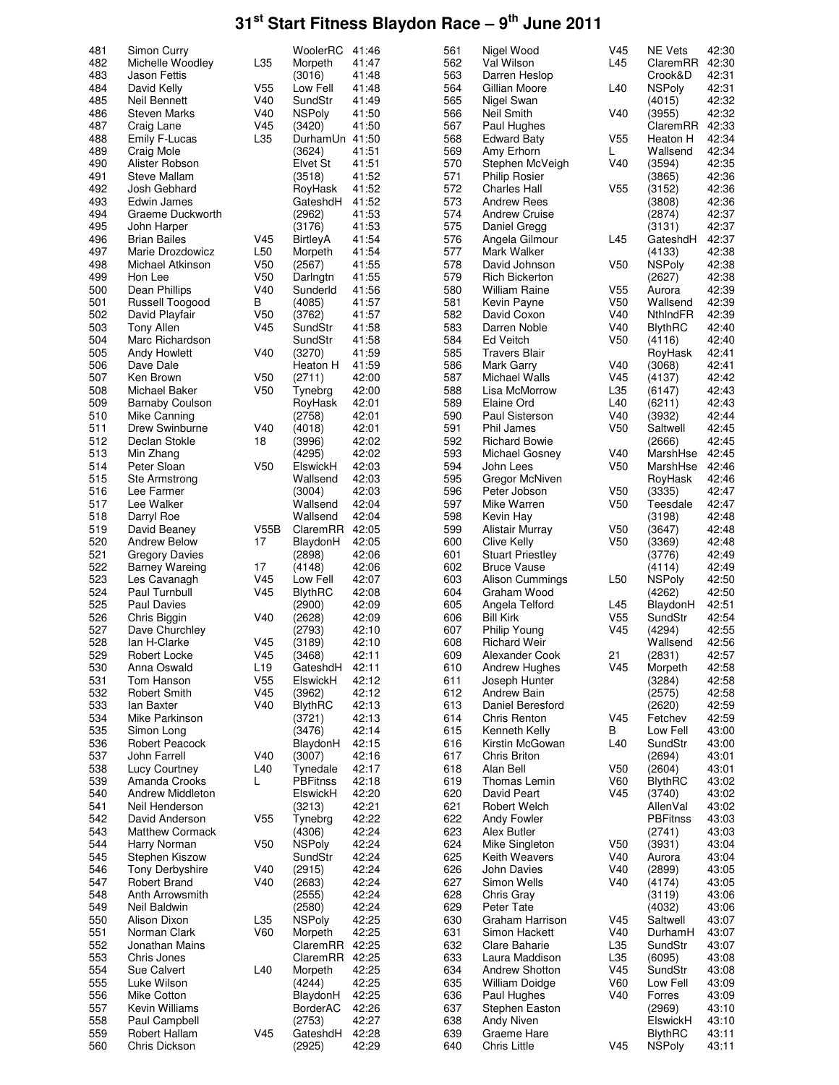| 481 | Simon Curry            |                 | WoolerRC        | 41:46 | 561 | Nigel Wood              | V45             | <b>NE Vets</b>  | 42:30 |
|-----|------------------------|-----------------|-----------------|-------|-----|-------------------------|-----------------|-----------------|-------|
| 482 | Michelle Woodley       | L35             | Morpeth         | 41:47 | 562 | Val Wilson              | L45             | ClaremRR        | 42:30 |
| 483 | <b>Jason Fettis</b>    |                 | (3016)          | 41:48 | 563 | Darren Heslop           |                 | Crook&D         | 42:31 |
| 484 | David Kelly            | V55             | Low Fell        | 41:48 | 564 | Gillian Moore           | L40             | <b>NSPoly</b>   | 42:31 |
| 485 | Neil Bennett           | V40             | SundStr         | 41:49 | 565 | Nigel Swan              |                 | (4015)          | 42:32 |
| 486 | <b>Steven Marks</b>    | V40             | <b>NSPoly</b>   | 41:50 | 566 | Neil Smith              | V40             | (3955)          | 42:32 |
| 487 |                        | V45             | (3420)          | 41:50 | 567 | Paul Hughes             |                 | ClaremRR        | 42:33 |
|     | Craig Lane             |                 |                 |       |     |                         |                 |                 | 42:34 |
| 488 | Emily F-Lucas          | L35             | DurhamUn 41:50  |       | 568 | Edward Baty             | V <sub>55</sub> | Heaton H        |       |
| 489 | Craig Mole             |                 | (3624)          | 41:51 | 569 | Amy Erhorn              | L               | Wallsend        | 42:34 |
| 490 | Alister Robson         |                 | Elvet St        | 41:51 | 570 | Stephen McVeigh         | V40             | (3594)          | 42:35 |
| 491 | Steve Mallam           |                 | (3518)          | 41:52 | 571 | Philip Rosier           |                 | (3865)          | 42:36 |
| 492 | Josh Gebhard           |                 | RoyHask         | 41:52 | 572 | Charles Hall            | V <sub>55</sub> | (3152)          | 42:36 |
| 493 | Edwin James            |                 | GateshdH        | 41:52 | 573 | <b>Andrew Rees</b>      |                 | (3808)          | 42:36 |
| 494 | Graeme Duckworth       |                 | (2962)          | 41:53 | 574 | <b>Andrew Cruise</b>    |                 | (2874)          | 42:37 |
| 495 | John Harper            |                 | (3176)          | 41:53 | 575 | Daniel Gregg            |                 | (3131)          | 42:37 |
| 496 | <b>Brian Bailes</b>    | V45             | BirtleyA        | 41:54 | 576 | Angela Gilmour          | L45             | GateshdH        | 42:37 |
| 497 | Marie Drozdowicz       | L <sub>50</sub> | Morpeth         | 41:54 | 577 | Mark Walker             |                 | (4133)          | 42:38 |
| 498 | Michael Atkinson       | V50             | (2567)          | 41:55 | 578 | David Johnson           | V50             | <b>NSPoly</b>   | 42:38 |
| 499 | Hon Lee                | V50             | Darlngtn        | 41:55 | 579 | Rich Bickerton          |                 | (2627)          | 42:38 |
| 500 | Dean Phillips          | V40             | Sunderld        | 41:56 | 580 | <b>William Raine</b>    | V <sub>55</sub> | Aurora          | 42:39 |
|     |                        |                 |                 |       | 581 |                         |                 |                 |       |
| 501 | Russell Toogood        | В               | (4085)          | 41:57 |     | Kevin Payne             | V <sub>50</sub> | Wallsend        | 42:39 |
| 502 | David Playfair         | V50             | (3762)          | 41:57 | 582 | David Coxon             | V40             | NthindFR        | 42:39 |
| 503 | Tony Allen             | V <sub>45</sub> | SundStr         | 41:58 | 583 | Darren Noble            | V40             | <b>BlythRC</b>  | 42:40 |
| 504 | Marc Richardson        |                 | SundStr         | 41:58 | 584 | Ed Veitch               | V <sub>50</sub> | (4116)          | 42:40 |
| 505 | Andy Howlett           | V40             | (3270)          | 41:59 | 585 | <b>Travers Blair</b>    |                 | RoyHask         | 42:41 |
| 506 | Dave Dale              |                 | Heaton H        | 41:59 | 586 | Mark Garry              | V40             | (3068)          | 42:41 |
| 507 | Ken Brown              | V50             | (2711)          | 42:00 | 587 | Michael Walls           | V45             | (4137)          | 42:42 |
| 508 | <b>Michael Baker</b>   | V <sub>50</sub> | Tynebra         | 42:00 | 588 | Lisa McMorrow           | L35             | (6147)          | 42:43 |
| 509 | <b>Barnaby Coulson</b> |                 | RoyHask         | 42:01 | 589 | Elaine Ord              | L40             | (6211)          | 42:43 |
| 510 | Mike Canning           |                 | (2758)          | 42:01 | 590 | Paul Sisterson          | V40             | (3932)          | 42:44 |
| 511 | Drew Swinburne         | V40             | (4018)          | 42:01 | 591 | Phil James              | V <sub>50</sub> | Saltwell        | 42:45 |
| 512 | Declan Stokle          | 18              |                 | 42:02 | 592 | <b>Richard Bowie</b>    |                 |                 | 42:45 |
|     |                        |                 | (3996)          |       |     |                         |                 | (2666)          |       |
| 513 | Min Zhang              |                 | (4295)          | 42:02 | 593 | Michael Gosney          | V40             | MarshHse        | 42:45 |
| 514 | Peter Sloan            | V50             | ElswickH        | 42:03 | 594 | John Lees               | V <sub>50</sub> | MarshHse        | 42:46 |
| 515 | Ste Armstrong          |                 | Wallsend        | 42:03 | 595 | Gregor McNiven          |                 | RoyHask         | 42:46 |
| 516 | Lee Farmer             |                 | (3004)          | 42:03 | 596 | Peter Jobson            | V <sub>50</sub> | (3335)          | 42:47 |
| 517 | Lee Walker             |                 | Wallsend        | 42:04 | 597 | Mike Warren             | V <sub>50</sub> | Teesdale        | 42:47 |
| 518 | Darryl Roe             |                 | Wallsend        | 42:04 | 598 | Kevin Hay               |                 | (3198)          | 42:48 |
| 519 | David Beaney           | V55B            | ClaremRR        | 42:05 | 599 | Alistair Murray         | V <sub>50</sub> | (3647)          | 42:48 |
| 520 | <b>Andrew Below</b>    | 17              | BlaydonH        | 42:05 | 600 | Clive Kelly             | V <sub>50</sub> | (3369)          | 42:48 |
| 521 | <b>Gregory Davies</b>  |                 | (2898)          | 42:06 | 601 | <b>Stuart Priestley</b> |                 | (3776)          | 42:49 |
| 522 | <b>Barney Wareing</b>  | 17              | (4148)          | 42:06 | 602 | <b>Bruce Vause</b>      |                 | (4114)          | 42:49 |
| 523 | Les Cavanagh           | V45             | Low Fell        | 42:07 | 603 | Alison Cummings         | L <sub>50</sub> | <b>NSPoly</b>   | 42:50 |
| 524 | Paul Turnbull          | V45             | <b>BlythRC</b>  | 42:08 | 604 | Graham Wood             |                 | (4262)          | 42:50 |
| 525 | Paul Davies            |                 | (2900)          | 42:09 | 605 | Angela Telford          | L45             | BlaydonH        | 42:51 |
|     |                        |                 |                 | 42:09 | 606 |                         |                 | SundStr         |       |
| 526 | Chris Biggin           | V40             | (2628)          |       |     | <b>Bill Kirk</b>        | V <sub>55</sub> |                 | 42:54 |
| 527 | Dave Churchley         |                 | (2793)          | 42:10 | 607 | Philip Young            | V <sub>45</sub> | (4294)          | 42:55 |
| 528 | Ian H-Clarke           | V45             | (3189)          | 42:10 | 608 | Richard Weir            |                 | Wallsend        | 42:56 |
| 529 | Robert Locke           | V45             | (3468)          | 42:11 | 609 | Alexander Cook          | 21              | (2831)          | 42:57 |
| 530 | Anna Oswald            | L <sub>19</sub> | GateshdH        | 42:11 | 610 | Andrew Hughes           | V45             | Morpeth         | 42:58 |
| 531 | Tom Hanson             | V <sub>55</sub> | ElswickH        | 42:12 | 611 | Joseph Hunter           |                 | (3284)          | 42:58 |
| 532 | <b>Robert Smith</b>    | V45             | (3962)          | 42:12 | 612 | Andrew Bain             |                 | (2575)          | 42:58 |
| 533 | lan Baxter             | V40             | <b>BlythRC</b>  | 42:13 | 613 | Daniel Beresford        |                 | (2620)          | 42:59 |
| 534 | Mike Parkinson         |                 | (3721)          | 42:13 | 614 | Chris Renton            | V45             | Fetchev         | 42:59 |
| 535 | Simon Long             |                 | (3476)          | 42:14 | 615 | Kenneth Kelly           | В               | Low Fell        | 43:00 |
| 536 | Robert Peacock         |                 | BlaydonH        | 42:15 | 616 | Kirstin McGowan         | L40             | SundStr         | 43:00 |
| 537 | John Farrell           | V40             | (3007)          | 42:16 | 617 | Chris Briton            |                 | (2694)          | 43:01 |
| 538 | Lucy Courtney          | L40             | Tynedale        | 42:17 | 618 | Alan Bell               | V <sub>50</sub> | (2604)          | 43:01 |
| 539 | Amanda Crooks          | L               | <b>PBFitnss</b> | 42:18 | 619 | Thomas Lemin            | <b>V60</b>      | <b>BlythRC</b>  | 43:02 |
| 540 | Andrew Middleton       |                 | ElswickH        | 42:20 | 620 | David Peart             | V45             | (3740)          | 43:02 |
| 541 | Neil Henderson         |                 | (3213)          | 42:21 | 621 | Robert Welch            |                 | AllenVal        | 43:02 |
|     |                        |                 |                 |       |     |                         |                 |                 |       |
| 542 | David Anderson         | V <sub>55</sub> | Tynebrg         | 42:22 | 622 | Andy Fowler             |                 | <b>PBFitnss</b> | 43:03 |
| 543 | Matthew Cormack        |                 | (4306)          | 42:24 | 623 | Alex Butler             |                 | (2741)          | 43:03 |
| 544 | Harry Norman           | V <sub>50</sub> | <b>NSPoly</b>   | 42:24 | 624 | Mike Singleton          | V50             | (3931)          | 43:04 |
| 545 | Stephen Kiszow         |                 | SundStr         | 42:24 | 625 | Keith Weavers           | V40             | Aurora          | 43:04 |
| 546 | <b>Tony Derbyshire</b> | V40             | (2915)          | 42:24 | 626 | John Davies             | V40             | (2899)          | 43:05 |
| 547 | <b>Robert Brand</b>    | V40             | (2683)          | 42:24 | 627 | Simon Wells             | V40             | (4174)          | 43:05 |
| 548 | Anth Arrowsmith        |                 | (2555)          | 42:24 | 628 | Chris Gray              |                 | (3119)          | 43:06 |
| 549 | Neil Baldwin           |                 | (2580)          | 42:24 | 629 | Peter Tate              |                 | (4032)          | 43:06 |
| 550 | Alison Dixon           | L35             | <b>NSPoly</b>   | 42:25 | 630 | Graham Harrison         | V <sub>45</sub> | Saltwell        | 43:07 |
| 551 | Norman Clark           | V60             | Morpeth         | 42:25 | 631 | Simon Hackett           | V40             | DurhamH         | 43:07 |
| 552 | Jonathan Mains         |                 | ClaremRR        | 42:25 | 632 | Clare Baharie           | L35             | SundStr         | 43:07 |
| 553 | Chris Jones            |                 | ClaremRR        | 42:25 | 633 | Laura Maddison          | L35             | (6095)          | 43:08 |
| 554 | Sue Calvert            | L40             | Morpeth         | 42:25 | 634 | <b>Andrew Shotton</b>   | V <sub>45</sub> | SundStr         | 43:08 |
| 555 | Luke Wilson            |                 | (4244)          | 42:25 | 635 | <b>William Doidge</b>   | <b>V60</b>      |                 | 43:09 |
|     |                        |                 |                 |       |     |                         |                 | Low Fell        |       |
| 556 | Mike Cotton            |                 | BlaydonH        | 42:25 | 636 | Paul Hughes             | V40             | Forres          | 43:09 |
| 557 | Kevin Williams         |                 | BorderAC        | 42:26 | 637 | Stephen Easton          |                 | (2969)          | 43:10 |
| 558 | Paul Campbell          |                 | (2753)          | 42:27 | 638 | Andy Niven              |                 | ElswickH        | 43:10 |
| 559 | Robert Hallam          | V45             | GateshdH        | 42:28 | 639 | Graeme Hare             |                 | <b>BlythRC</b>  | 43:11 |
| 560 | Chris Dickson          |                 | (2925)          | 42:29 | 640 | Chris Little            | V45             | <b>NSPoly</b>   | 43:11 |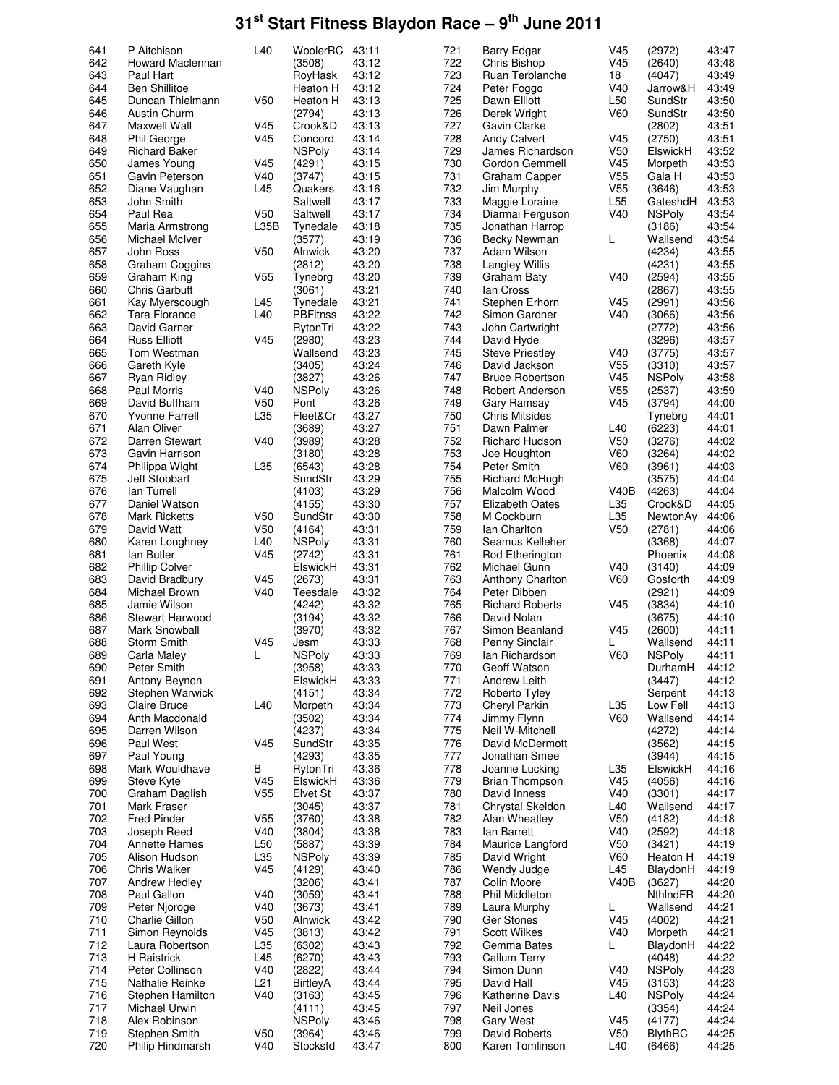| 641 | P Aitchison            | L40             | WoolerRC                | 43:11 | 721 | <b>Barry Edgar</b>     | V <sub>45</sub> | (2972)           | 43:47 |
|-----|------------------------|-----------------|-------------------------|-------|-----|------------------------|-----------------|------------------|-------|
| 642 | Howard Maclennan       |                 | (3508)                  | 43:12 | 722 | Chris Bishop           | V45             | (2640)           | 43:48 |
| 643 | Paul Hart              |                 | RoyHask                 | 43:12 | 723 | Ruan Terblanche        | 18              | (4047)           | 43:49 |
| 644 | <b>Ben Shillitoe</b>   |                 | Heaton H                | 43:12 | 724 | Peter Foggo            | V40             | Jarrow&H         | 43:49 |
| 645 | Duncan Thielmann       | V <sub>50</sub> | Heaton H                | 43:13 | 725 | Dawn Elliott           | L <sub>50</sub> | SundStr          | 43:50 |
| 646 | Austin Churm           |                 | (2794)                  | 43:13 | 726 | Derek Wright           | V60             | SundStr          | 43:50 |
| 647 | Maxwell Wall           | V45             | Crook&D                 | 43:13 | 727 | Gavin Clarke           |                 | (2802)           | 43:51 |
| 648 |                        | V <sub>45</sub> | Concord                 | 43:14 | 728 | <b>Andy Calvert</b>    | V <sub>45</sub> | (2750)           | 43:51 |
|     | Phil George            |                 |                         |       |     |                        |                 |                  |       |
| 649 | <b>Richard Baker</b>   |                 | <b>NSPoly</b>           | 43:14 | 729 | James Richardson       | V <sub>50</sub> | ElswickH         | 43:52 |
| 650 | James Young            | V <sub>45</sub> | (4291)                  | 43:15 | 730 | Gordon Gemmell         | V <sub>45</sub> | Morpeth          | 43:53 |
| 651 | Gavin Peterson         | V40             | (3747)                  | 43:15 | 731 | Graham Capper          | V <sub>55</sub> | Gala H           | 43:53 |
| 652 | Diane Vaughan          | L45             | Quakers                 | 43:16 | 732 | Jim Murphy             | V <sub>55</sub> | (3646)           | 43:53 |
| 653 | John Smith             |                 | Saltwell                | 43:17 | 733 | Maggie Loraine         | L <sub>55</sub> | GateshdH         | 43:53 |
| 654 | Paul Rea               | V <sub>50</sub> | Saltwell                | 43:17 | 734 | Diarmai Ferguson       | V40             | <b>NSPoly</b>    | 43:54 |
| 655 | Maria Armstrong        | L35B            | Tynedale                | 43:18 | 735 | Jonathan Harrop        |                 | (3186)           | 43:54 |
| 656 | Michael McIver         |                 | (3577)                  | 43:19 | 736 | Becky Newman           | L               | Wallsend         | 43:54 |
| 657 | John Ross              | V <sub>50</sub> | Alnwick                 | 43:20 | 737 | Adam Wilson            |                 | (4234)           | 43:55 |
| 658 | Graham Coggins         |                 | (2812)                  | 43:20 | 738 | <b>Langley Willis</b>  |                 | (4231)           | 43:55 |
| 659 | Graham King            | V <sub>55</sub> | Tynebrg                 | 43:20 | 739 | Graham Baty            | V40             | (2594)           | 43:55 |
| 660 | <b>Chris Garbutt</b>   |                 | (3061)                  | 43:21 | 740 | lan Cross              |                 | (2867)           | 43:55 |
| 661 | Kay Myerscough         | L45             | Tynedale                | 43:21 | 741 | Stephen Erhorn         | V45             | (2991)           | 43:56 |
| 662 | Tara Florance          | L40             | <b>PBFitnss</b>         | 43:22 | 742 | Simon Gardner          | V40             | (3066)           | 43:56 |
| 663 | David Garner           |                 | RytonTri                | 43:22 | 743 |                        |                 | (2772)           | 43:56 |
|     |                        |                 |                         |       |     | John Cartwright        |                 |                  |       |
| 664 | <b>Russ Elliott</b>    | V <sub>45</sub> | (2980)                  | 43:23 | 744 | David Hyde             |                 | (3296)           | 43:57 |
| 665 | Tom Westman            |                 | Wallsend                | 43:23 | 745 | <b>Steve Priestley</b> | V40             | (3775)           | 43:57 |
| 666 | Gareth Kyle            |                 | (3405)                  | 43:24 | 746 | David Jackson          | V <sub>55</sub> | (3310)           | 43:57 |
| 667 | <b>Ryan Ridley</b>     |                 | (3827)                  | 43:26 | 747 | <b>Bruce Robertson</b> | V45             | <b>NSPoly</b>    | 43:58 |
| 668 | <b>Paul Morris</b>     | V40             | <b>NSPoly</b>           | 43:26 | 748 | Robert Anderson        | V <sub>55</sub> | (2537)           | 43:59 |
| 669 | David Buffham          | V <sub>50</sub> | Pont                    | 43:26 | 749 | Gary Ramsay            | V <sub>45</sub> | (3794)           | 44:00 |
| 670 | <b>Yvonne Farrell</b>  | L35             | Fleet&Cr                | 43:27 | 750 | <b>Chris Mitsides</b>  |                 | Tynebrg          | 44:01 |
| 671 | Alan Oliver            |                 | (3689)                  | 43:27 | 751 | Dawn Palmer            | L40             | (6223)           | 44:01 |
| 672 | Darren Stewart         | V40             | (3989)                  | 43:28 | 752 | Richard Hudson         | V <sub>50</sub> | (3276)           | 44:02 |
| 673 | Gavin Harrison         |                 | (3180)                  | 43:28 | 753 | Joe Houghton           | V60             | (3264)           | 44:02 |
| 674 | Philippa Wight         | L35             | (6543)                  | 43:28 | 754 | Peter Smith            | V60             | (3961)           | 44:03 |
| 675 | Jeff Stobbart          |                 | SundStr                 | 43:29 | 755 | Richard McHugh         |                 | (3575)           | 44:04 |
| 676 | lan Turrell            |                 | (4103)                  | 43:29 | 756 | Malcolm Wood           | <b>V40B</b>     | (4263)           | 44:04 |
| 677 | Daniel Watson          |                 | (4155)                  | 43:30 | 757 | Elizabeth Oates        | L35             | Crook&D          | 44:05 |
| 678 | <b>Mark Ricketts</b>   | V <sub>50</sub> | SundStr                 | 43:30 | 758 | M Cockburn             | L35             | NewtonAy         | 44:06 |
| 679 | David Watt             | V <sub>50</sub> |                         | 43:31 | 759 | lan Charlton           | V <sub>50</sub> |                  | 44:06 |
| 680 |                        | L40             | (4164)<br><b>NSPoly</b> | 43:31 | 760 | Seamus Kelleher        |                 | (2781)<br>(3368) | 44:07 |
|     | Karen Loughney         |                 |                         |       |     |                        |                 |                  |       |
| 681 | lan Butler             | V45             | (2742)                  | 43:31 | 761 | Rod Etherington        |                 | Phoenix          | 44:08 |
| 682 | <b>Phillip Colver</b>  |                 | ElswickH                | 43:31 | 762 | Michael Gunn           | V40             | (3140)           | 44:09 |
| 683 | David Bradbury         | V <sub>45</sub> | (2673)                  | 43:31 | 763 | Anthony Charlton       | V60             | Gosforth         | 44:09 |
| 684 | Michael Brown          | V40             | Teesdale                | 43:32 | 764 | Peter Dibben           |                 | (2921)           | 44:09 |
| 685 | Jamie Wilson           |                 | (4242)                  | 43:32 | 765 | <b>Richard Roberts</b> | V <sub>45</sub> | (3834)           | 44:10 |
| 686 | <b>Stewart Harwood</b> |                 | (3194)                  | 43:32 | 766 | David Nolan            |                 | (3675)           | 44:10 |
| 687 | Mark Snowball          |                 | (3970)                  | 43:32 | 767 | Simon Beanland         | V <sub>45</sub> | (2600)           | 44:11 |
| 688 | Storm Smith            | V45             | Jesm                    | 43:33 | 768 | Penny Sinclair         | L               | Wallsend         | 44:11 |
| 689 | Carla Maley            |                 | <b>NSPoly</b>           | 43:33 | 769 | lan Richardson         | V60             | NSPoly           | 44:11 |
| 690 | Peter Smith            |                 | (3958)                  | 43:33 | 770 | Geoff Watson           |                 | DurhamH          | 44:12 |
| 691 | Antony Beynon          |                 | ElswickH                | 43:33 | 771 | Andrew Leith           |                 | (3447)           | 44:12 |
| 692 | Stephen Warwick        |                 | (4151)                  | 43:34 | 772 | Roberto Tyley          |                 | Serpent          | 44:13 |
| 693 | Claire Bruce           | L40             | Morpeth                 | 43:34 | 773 | Cheryl Parkin          | L35             | Low Fell         | 44:13 |
| 694 | Anth Macdonald         |                 | (3502)                  | 43:34 | 774 | Jimmy Flynn            | V60             | Wallsend         | 44:14 |
| 695 | Darren Wilson          |                 | (4237)                  | 43:34 | 775 | Neil W-Mitchell        |                 | (4272)           | 44:14 |
| 696 | Paul West              | V <sub>45</sub> | SundStr                 | 43:35 | 776 | David McDermott        |                 | (3562)           | 44:15 |
| 697 | Paul Young             |                 | (4293)                  | 43:35 | 777 | Jonathan Smee          |                 | (3944)           | 44:15 |
| 698 | Mark Wouldhave         | В               | RytonTri                | 43:36 | 778 | Joanne Lucking         | L35             | ElswickH         | 44:16 |
|     |                        |                 |                         |       |     |                        |                 |                  |       |
| 699 | Steve Kyte             | V <sub>45</sub> | ElswickH                | 43:36 | 779 | <b>Brian Thompson</b>  | V <sub>45</sub> | (4056)           | 44:16 |
| 700 | Graham Daglish         | V55             | Elvet St                | 43:37 | 780 | David Inness           | V40             | (3301)           | 44:17 |
| 701 | Mark Fraser            |                 | (3045)                  | 43:37 | 781 | Chrystal Skeldon       | L40             | Wallsend         | 44:17 |
| 702 | <b>Fred Pinder</b>     | V <sub>55</sub> | (3760)                  | 43:38 | 782 | Alan Wheatley          | V <sub>50</sub> | (4182)           | 44:18 |
| 703 | Joseph Reed            | V40             | (3804)                  | 43:38 | 783 | lan Barrett            | V40             | (2592)           | 44:18 |
| 704 | <b>Annette Hames</b>   | L50             | (5887)                  | 43:39 | 784 | Maurice Langford       | V <sub>50</sub> | (3421)           | 44:19 |
| 705 | Alison Hudson          | L35             | <b>NSPoly</b>           | 43:39 | 785 | David Wright           | V60             | Heaton H         | 44:19 |
| 706 | Chris Walker           | V45             | (4129)                  | 43:40 | 786 | Wendy Judge            | L45             | BlaydonH         | 44:19 |
| 707 | Andrew Hedley          |                 | (3206)                  | 43:41 | 787 | Colin Moore            | V40B            | (3627)           | 44:20 |
| 708 | Paul Gallon            | V40             | (3059)                  | 43:41 | 788 | Phil Middleton         |                 | NthindFR         | 44:20 |
| 709 | Peter Njoroge          | V40             | (3673)                  | 43:41 | 789 | Laura Murphy           | L               | Wallsend         | 44:21 |
| 710 | Charlie Gillon         | V <sub>50</sub> | Alnwick                 | 43:42 | 790 | Ger Stones             | V45             | (4002)           | 44:21 |
| 711 | Simon Reynolds         | V45             | (3813)                  | 43:42 | 791 | <b>Scott Wilkes</b>    | V40             | Morpeth          | 44:21 |
| 712 | Laura Robertson        | L35             | (6302)                  | 43:43 | 792 | Gemma Bates            | L               | BlaydonH         | 44:22 |
| 713 | H Raistrick            | L45             | (6270)                  | 43:43 | 793 | Callum Terry           |                 | (4048)           | 44:22 |
| 714 | Peter Collinson        | V40             | (2822)                  | 43:44 | 794 | Simon Dunn             | V40             | <b>NSPoly</b>    | 44:23 |
| 715 |                        | L21             |                         | 43:44 | 795 | David Hall             |                 |                  | 44:23 |
|     | Nathalie Reinke        |                 | BirtleyA                |       |     |                        | V45             | (3153)           |       |
| 716 | Stephen Hamilton       | V40             | (3163)                  | 43:45 | 796 | Katherine Davis        | L40             | <b>NSPoly</b>    | 44:24 |
| 717 | Michael Urwin          |                 | (4111)                  | 43:45 | 797 | Neil Jones             |                 | (3354)           | 44:24 |
| 718 | Alex Robinson          |                 | <b>NSPoly</b>           | 43:46 | 798 | <b>Gary West</b>       | V45             | (4177)           | 44:24 |
| 719 | Stephen Smith          | V50             | (3964)                  | 43:46 | 799 | David Roberts          | V50             | <b>BlythRC</b>   | 44:25 |
| 720 | Philip Hindmarsh       | V40             | Stocksfd                | 43:47 | 800 | Karen Tomlinson        | L40             | (6466)           | 44:25 |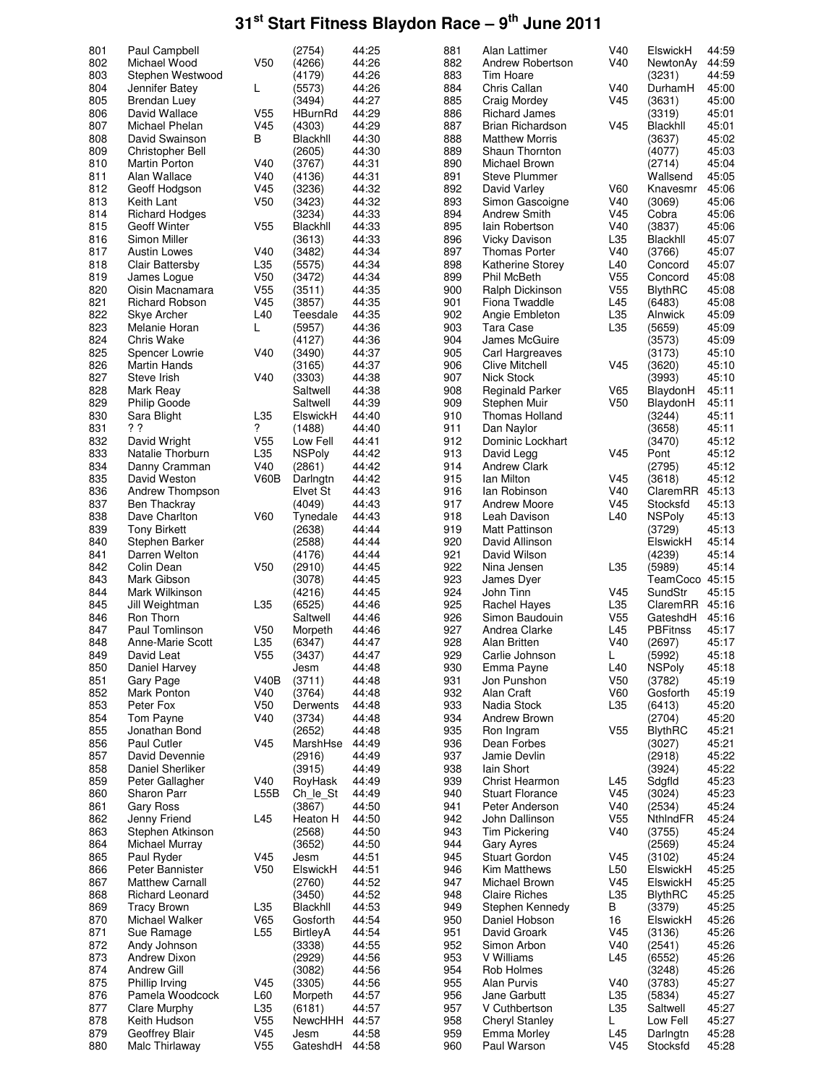| 801        | Paul Campbell                    |                                    | (2754)           | 44:25          | 881        | Alan Lattimer              | V40             | ElswickH             | 44:59          |
|------------|----------------------------------|------------------------------------|------------------|----------------|------------|----------------------------|-----------------|----------------------|----------------|
|            |                                  |                                    |                  |                |            |                            |                 |                      |                |
| 802        | Michael Wood                     | V <sub>50</sub>                    | (4266)           | 44:26          | 882        | Andrew Robertson           | V40             | NewtonAy             | 44:59          |
| 803        | Stephen Westwood                 |                                    | (4179)           | 44:26          | 883        | Tim Hoare                  |                 | (3231)               | 44:59          |
| 804        | Jennifer Batey                   | L                                  | (5573)           | 44:26          | 884        | Chris Callan               | V40             | DurhamH              | 45:00          |
|            |                                  |                                    |                  |                |            |                            |                 |                      |                |
| 805        | Brendan Luey                     |                                    | (3494)           | 44:27          | 885        | <b>Craig Mordey</b>        | V45             | (3631)               | 45:00          |
| 806        | David Wallace                    | V <sub>55</sub>                    | HBurnRd          | 44:29          | 886        | <b>Richard James</b>       |                 | (3319)               | 45:01          |
|            |                                  |                                    |                  |                |            |                            |                 |                      |                |
| 807        | Michael Phelan                   | V45                                | (4303)           | 44:29          | 887        | <b>Brian Richardson</b>    | V45             | Blackhll             | 45:01          |
| 808        | David Swainson                   | в                                  | Blackhll         | 44:30          | 888        | <b>Matthew Morris</b>      |                 | (3637)               | 45:02          |
| 809        |                                  |                                    | (2605)           | 44:30          | 889        | Shaun Thornton             |                 | (4077)               | 45:03          |
|            | Christopher Bell                 |                                    |                  |                |            |                            |                 |                      |                |
| 810        | Martin Porton                    | V40                                | (3767)           | 44:31          | 890        | Michael Brown              |                 | (2714)               | 45:04          |
| 811        | Alan Wallace                     | V40                                | (4136)           | 44:31          | 891        | <b>Steve Plummer</b>       |                 | Wallsend             | 45:05          |
|            |                                  |                                    |                  |                |            |                            |                 |                      |                |
| 812        | Geoff Hodgson                    | V45                                | (3236)           | 44:32          | 892        | David Varley               | V60             | Knavesmr             | 45:06          |
| 813        | Keith Lant                       | V <sub>50</sub>                    | (3423)           | 44:32          | 893        | Simon Gascoigne            | V40             | (3069)               | 45:06          |
|            |                                  |                                    |                  | 44:33          | 894        |                            | V <sub>45</sub> |                      | 45:06          |
| 814        | <b>Richard Hodges</b>            |                                    | (3234)           |                |            | <b>Andrew Smith</b>        |                 | Cobra                |                |
| 815        | <b>Geoff Winter</b>              | V <sub>55</sub>                    | Blackhll         | 44:33          | 895        | lain Robertson             | V40             | (3837)               | 45:06          |
| 816        | Simon Miller                     |                                    | (3613)           | 44:33          | 896        | <b>Vicky Davison</b>       | L35             | Blackhll             | 45:07          |
|            |                                  |                                    |                  |                |            |                            |                 |                      |                |
| 817        | <b>Austin Lowes</b>              | V40                                | (3482)           | 44:34          | 897        | <b>Thomas Porter</b>       | V40             | (3766)               | 45:07          |
| 818        | Clair Battersby                  | L35                                | (5575)           | 44:34          | 898        | <b>Katherine Storey</b>    | L40             | Concord              | 45:07          |
| 819        | James Logue                      | V <sub>50</sub>                    | (3472)           | 44:34          | 899        | <b>Phil McBeth</b>         | V <sub>55</sub> | Concord              | 45:08          |
|            |                                  |                                    |                  |                |            |                            |                 |                      |                |
| 820        | Oisin Macnamara                  | V <sub>55</sub>                    | (3511)           | 44:35          | 900        | Ralph Dickinson            | V55             | BlythRC              | 45:08          |
| 821        | <b>Richard Robson</b>            | V <sub>45</sub>                    | (3857)           | 44:35          | 901        | Fiona Twaddle              | L45             | (6483)               | 45:08          |
|            |                                  |                                    |                  |                |            |                            |                 |                      |                |
| 822        | Skye Archer                      | L40                                | Teesdale         | 44:35          | 902        | Angie Embleton             | L35             | Alnwick              | 45:09          |
| 823        | Melanie Horan                    | L                                  | (5957)           | 44:36          | 903        | Tara Case                  | L35             | (5659)               | 45:09          |
| 824        |                                  |                                    |                  | 44:36          | 904        |                            |                 |                      |                |
|            | Chris Wake                       |                                    | (4127)           |                |            | James McGuire              |                 | (3573)               | 45:09          |
| 825        | Spencer Lowrie                   | V40                                | (3490)           | 44:37          | 905        | Carl Hargreaves            |                 | (3173)               | 45:10          |
| 826        | <b>Martin Hands</b>              |                                    | (3165)           | 44:37          | 906        | Clive Mitchell             | V45             | (3620)               | 45:10          |
|            |                                  |                                    |                  |                |            |                            |                 |                      |                |
| 827        | Steve Irish                      | V40                                | (3303)           | 44:38          | 907        | <b>Nick Stock</b>          |                 | (3993)               | 45:10          |
| 828        | Mark Reay                        |                                    | Saltwell         | 44:38          | 908        | <b>Reginald Parker</b>     | V65             | BlaydonH             | 45:11          |
|            |                                  |                                    |                  |                |            |                            |                 |                      |                |
| 829        | <b>Philip Goode</b>              |                                    | Saltwell         | 44:39          | 909        | Stephen Muir               | V50             | BlaydonH             | 45:11          |
| 830        | Sara Blight                      | L35                                | ElswickH         | 44:40          | 910        | <b>Thomas Holland</b>      |                 | (3244)               | 45:11          |
| 831        | ??                               | ?                                  | (1488)           | 44:40          | 911        | Dan Naylor                 |                 | (3658)               | 45:11          |
|            |                                  |                                    |                  |                |            |                            |                 |                      |                |
| 832        | David Wright                     | V <sub>55</sub>                    | Low Fell         | 44:41          | 912        | Dominic Lockhart           |                 | (3470)               | 45:12          |
| 833        | Natalie Thorburn                 | L35                                | <b>NSPoly</b>    | 44:42          | 913        | David Legg                 | V45             | Pont                 | 45:12          |
|            |                                  |                                    |                  |                |            |                            |                 |                      |                |
| 834        | Danny Cramman                    | V40                                | (2861)           | 44:42          | 914        | <b>Andrew Clark</b>        |                 | (2795)               | 45:12          |
| 835        | David Weston                     | V60B                               | Darlngtn         | 44:42          | 915        | lan Milton                 | V45             | (3618)               | 45:12          |
| 836        | Andrew Thompson                  |                                    | Elvet St         | 44:43          | 916        | lan Robinson               | V40             | ClaremRR 45:13       |                |
|            |                                  |                                    |                  |                |            |                            |                 |                      |                |
| 837        | Ben Thackray                     |                                    | (4049)           | 44:43          | 917        | <b>Andrew Moore</b>        | V45             | Stocksfd             | 45:13          |
| 838        | Dave Charlton                    | V60                                | Tynedale         | 44:43          | 918        | Leah Davison               | L40             | <b>NSPoly</b>        | 45:13          |
|            |                                  |                                    |                  |                |            |                            |                 |                      |                |
| 839        | <b>Tony Birkett</b>              |                                    | (2638)           | 44:44          | 919        | <b>Matt Pattinson</b>      |                 | (3729)               | 45:13          |
| 840        | Stephen Barker                   |                                    | (2588)           | 44:44          | 920        | David Allinson             |                 | ElswickH             | 45:14          |
| 841        | Darren Welton                    |                                    | (4176)           | 44:44          | 921        | David Wilson               |                 | (4239)               | 45:14          |
|            |                                  |                                    |                  |                |            |                            |                 |                      |                |
| 842        | Colin Dean                       | V <sub>50</sub>                    | (2910)           | 44:45          | 922        | Nina Jensen                | L35             | (5989)               | 45:14          |
| 843        | Mark Gibson                      |                                    | (3078)           | 44:45          | 923        | James Dyer                 |                 | TeamCoco 45:15       |                |
|            |                                  |                                    |                  |                |            |                            |                 |                      |                |
| 844        | Mark Wilkinson                   |                                    | (4216)           | 44:45          | 924        | John Tinn                  | V45             | SundStr              | 45:15          |
| 845        | Jill Weightman                   | L35                                | (6525)           | 44:46          | 925        | <b>Rachel Hayes</b>        | L35             | ClaremRR 45:16       |                |
| 846        | Ron Thorn                        |                                    | Saltwell         | 44:46          | 926        | Simon Baudouin             | V <sub>55</sub> | GateshdH             | 45:16          |
|            |                                  |                                    |                  |                |            |                            |                 |                      |                |
| 847        | Paul Tomlinson                   | V <sub>50</sub>                    | Morpeth          | 44:46          | 927        | Andrea Clarke              | L45             | <b>PBFitnss</b>      | 45:17          |
| 848        | Anne-Marie Scott                 | L35                                | (6347)           | 44:47          | 928        | Alan Britten               | V40             | (2697)               | 45:17          |
|            |                                  |                                    |                  |                |            |                            |                 |                      |                |
| 849        | David Leat                       | V <sub>55</sub>                    | (3437)           | 44:47          | 929        | Carlie Johnson             | L               | (5992)               | 45:18          |
| 850        | Daniel Harvey                    |                                    | Jesm             | 44:48          | 930        | Emma Payne                 | L40             | <b>NSPoly</b>        | 45:18          |
| 851        | Gary Page                        | V40B                               | (3711)           | 44:48          | 931        | Jon Punshon                | V50             | (3782)               | 45:19          |
|            |                                  |                                    |                  |                |            |                            |                 |                      |                |
| 852        | Mark Ponton                      | V40                                | (3764)           | 44:48          | 932        | Alan Craft                 | V60             | Gosforth             | 45:19          |
| 853        | Peter Fox                        | V <sub>50</sub>                    | Derwents         | 44:48          | 933        | Nadia Stock                | L35             | (6413)               | 45:20          |
|            |                                  |                                    |                  |                |            |                            |                 |                      |                |
| 854        | Tom Payne                        | V40                                | (3734)           | 44:48          | 934        | Andrew Brown               |                 | (2704)               | 45:20          |
| 855        | Jonathan Bond                    |                                    | (2652)           | 44:48          | 935        | Ron Ingram                 | V55             | <b>BlythRC</b>       | 45:21          |
| 856        | Paul Cutler                      | V45                                | MarshHse         | 44:49          | 936        | Dean Forbes                |                 | (3027)               | 45:21          |
|            |                                  |                                    |                  |                |            |                            |                 |                      |                |
| 857        | David Devennie                   |                                    | (2916)           | 44:49          | 937        | Jamie Devlin               |                 | (2918)               | 45:22          |
| 858        | Daniel Sherliker                 |                                    | (3915)           | 44:49          | 938        | lain Short                 |                 | (3924)               | 45:22          |
|            |                                  | V40                                |                  |                | 939        | Christ Hearmon             |                 |                      | 45:23          |
| 859        | Peter Gallagher                  |                                    | RoyHask          | 44:49          |            |                            | L45             | Sdgfld               |                |
| 860        | Sharon Parr                      | L55B                               | Ch_le_St         | 44:49          | 940        | <b>Stuart Florance</b>     | V45             | (3024)               | 45:23          |
| 861        | <b>Gary Ross</b>                 |                                    | (3867)           | 44:50          | 941        | Peter Anderson             | V40             | (2534)               | 45:24          |
|            |                                  |                                    |                  |                |            |                            |                 |                      |                |
| 862        | Jenny Friend                     | L45                                | Heaton H         | 44:50          | 942        | John Dallinson             | V <sub>55</sub> | NthindFR             | 45:24          |
| 863        | Stephen Atkinson                 |                                    | (2568)           | 44:50          | 943        | <b>Tim Pickering</b>       | V40             | (3755)               | 45:24          |
|            |                                  |                                    |                  |                |            |                            |                 |                      |                |
| 864        | Michael Murray                   |                                    | (3652)           | 44:50          | 944        | <b>Gary Ayres</b>          |                 | (2569)               | 45:24          |
| 865        | Paul Ryder                       | V <sub>45</sub>                    | Jesm             | 44:51          | 945        | <b>Stuart Gordon</b>       | V45             | (3102)               | 45:24          |
| 866        | Peter Bannister                  | V <sub>50</sub>                    | ElswickH         | 44:51          | 946        | Kim Matthews               | L50             | ElswickH             | 45:25          |
|            |                                  |                                    |                  |                |            |                            |                 |                      |                |
| 867        | Matthew Carnall                  |                                    | (2760)           | 44:52          | 947        | Michael Brown              | V45             | ElswickH             | 45:25          |
| 868        | Richard Leonard                  |                                    | (3450)           | 44:52          | 948        | <b>Claire Riches</b>       | L35             | <b>BlythRC</b>       | 45:25          |
|            |                                  |                                    |                  |                |            |                            |                 |                      |                |
| 869        | <b>Tracy Brown</b>               | L35                                | Blackhll         | 44:53          | 949        | Stephen Kennedy            | В               | (3379)               | 45:25          |
| 870        | Michael Walker                   | V65                                | Gosforth         | 44:54          | 950        | Daniel Hobson              | 16              | ElswickH             | 45:26          |
| 871        |                                  | L <sub>55</sub>                    |                  | 44:54          | 951        | David Groark               | V45             |                      | 45:26          |
|            | Sue Ramage                       |                                    | BirtleyA         |                |            |                            |                 | (3136)               |                |
| 872        | Andy Johnson                     |                                    | (3338)           | 44:55          | 952        | Simon Arbon                | V40             | (2541)               | 45:26          |
| 873        | <b>Andrew Dixon</b>              |                                    | (2929)           | 44:56          | 953        | V Williams                 | L45             | (6552)               | 45:26          |
|            |                                  |                                    |                  |                |            |                            |                 |                      |                |
| 874        | Andrew Gill                      |                                    | (3082)           | 44:56          | 954        | Rob Holmes                 |                 | (3248)               | 45:26          |
| 875        | Phillip Irving                   | V45                                | (3305)           | 44:56          | 955        | Alan Purvis                | V40             | (3783)               | 45:27          |
| 876        | Pamela Woodcock                  | L60                                | Morpeth          | 44:57          | 956        | Jane Garbutt               | L35             | (5834)               | 45:27          |
|            |                                  |                                    |                  |                |            |                            |                 |                      |                |
|            |                                  |                                    |                  |                |            |                            |                 |                      |                |
| 877        | Clare Murphy                     | L35                                | (6181)           | 44:57          | 957        | V Cuthbertson              | L35             | Saltwell             | 45:27          |
|            |                                  |                                    |                  |                |            |                            |                 |                      |                |
| 878        | Keith Hudson                     | V <sub>55</sub>                    | NewcHHH          | 44:57          | 958        | <b>Cheryl Stanley</b>      | L.              | Low Fell             | 45:27          |
| 879<br>880 | Geoffrey Blair<br>Malc Thirlaway | V <sub>45</sub><br>V <sub>55</sub> | Jesm<br>GateshdH | 44:58<br>44:58 | 959<br>960 | Emma Morley<br>Paul Warson | L45<br>V45      | Darlngtn<br>Stocksfd | 45:28<br>45:28 |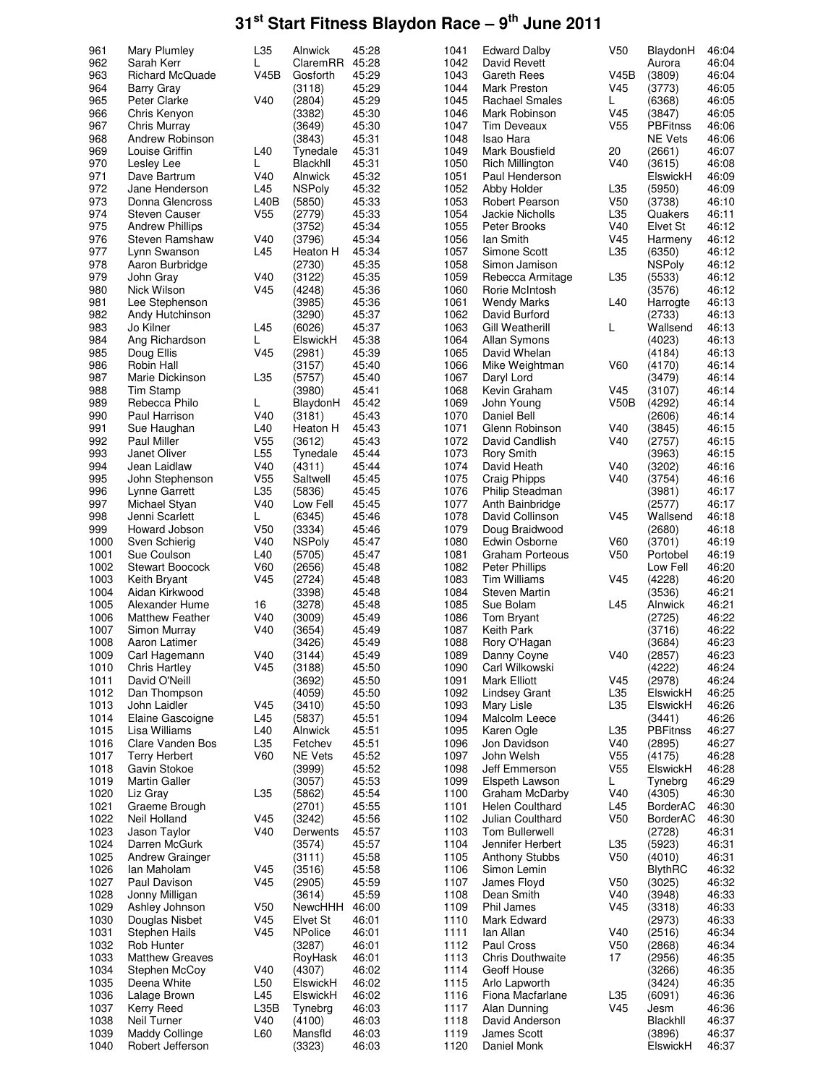| 961          | Mary Plumley                         | L35             | Alnwick                   | 45:28          | 1041         | <b>Edward Dalby</b>             | V50                    | BlaydonH                           | 46:04          |
|--------------|--------------------------------------|-----------------|---------------------------|----------------|--------------|---------------------------------|------------------------|------------------------------------|----------------|
| 962          | Sarah Kerr                           | L               | ClaremRR                  | 45:28          | 1042         | David Revett                    |                        | Aurora                             | 46:04          |
| 963          | <b>Richard McQuade</b>               | V45B            | Gosforth                  | 45:29          | 1043         | Gareth Rees                     | <b>V45B</b>            | (3809)                             | 46:04          |
| 964          | Barry Gray                           |                 | (3118)                    | 45:29          | 1044         | Mark Preston                    | V45                    | (3773)                             | 46:05          |
| 965          | Peter Clarke                         | V40             | (2804)                    | 45:29          | 1045         | <b>Rachael Smales</b>           | L                      | (6368)                             | 46:05          |
| 966          | Chris Kenyon                         |                 | (3382)                    | 45:30          | 1046         | Mark Robinson                   | V45                    | (3847)                             | 46:05          |
| 967          | Chris Murray                         |                 | (3649)                    | 45:30          | 1047         | <b>Tim Deveaux</b>              | V <sub>55</sub>        | <b>PBFitnss</b>                    | 46:06          |
| 968          | Andrew Robinson                      |                 | (3843)                    | 45:31          | 1048         | Isao Hara                       |                        | <b>NE Vets</b>                     | 46:06          |
| 969          | Louise Griffin                       | L40             | Tynedale                  | 45:31          | 1049         | Mark Bousfield                  | 20                     | (2661)                             | 46:07          |
| 970          | Lesley Lee                           | L               | Blackhll                  | 45:31          | 1050         | Rich Millington                 | V40                    | (3615)                             | 46:08          |
| 971          | Dave Bartrum                         | V40             | Alnwick                   | 45:32          | 1051         | Paul Henderson                  |                        | ElswickH                           | 46:09          |
| 972          | Jane Henderson                       | L45             | <b>NSPoly</b>             | 45:32          | 1052         | Abby Holder                     | L35                    | (5950)                             | 46:09          |
| 973          | Donna Glencross                      | L40B            | (5850)                    | 45:33          | 1053         | Robert Pearson                  | V <sub>50</sub>        | (3738)                             | 46:10          |
| 974          | <b>Steven Causer</b>                 | V <sub>55</sub> | (2779)                    | 45:33          | 1054         | Jackie Nicholls                 | L35                    | Quakers                            | 46:11          |
| 975          | <b>Andrew Phillips</b>               |                 | (3752)                    | 45:34          | 1055         | Peter Brooks                    | V40                    | Elvet St                           | 46:12          |
| 976          | <b>Steven Ramshaw</b>                | V40             | (3796)                    | 45:34          | 1056         | lan Smith                       | V45                    | Harmeny                            | 46:12          |
| 977          | Lynn Swanson                         | L45             | Heaton H                  | 45:34          | 1057         | Simone Scott                    | L35                    | (6350)                             | 46:12          |
| 978          | Aaron Burbridge                      |                 | (2730)                    | 45:35          | 1058         | Simon Jamison                   |                        | <b>NSPoly</b>                      | 46:12          |
| 979          | John Gray                            | V40             | (3122)                    | 45:35          | 1059         | Rebecca Armitage                | L35                    | (5533)                             | 46:12          |
| 980          | Nick Wilson                          | V45             | (4248)                    | 45:36          | 1060         | Rorie McIntosh                  |                        | (3576)                             | 46:12          |
| 981          | Lee Stephenson                       |                 | (3985)                    | 45:36          | 1061         | Wendy Marks                     | L40                    | Harrogte                           | 46:13          |
| 982          | Andy Hutchinson                      |                 | (3290)                    | 45:37          | 1062         | David Burford                   |                        | (2733)                             | 46:13          |
| 983          | Jo Kilner                            | L45             | (6026)                    | 45:37          | 1063         | Gill Weatherill                 | L                      | Wallsend                           | 46:13          |
| 984          | Ang Richardson                       | L               | ElswickH                  | 45:38          | 1064         | <b>Allan Symons</b>             |                        | (4023)                             | 46:13          |
| 985          | Doug Ellis                           | V <sub>45</sub> | (2981)                    | 45:39          | 1065         | David Whelan                    |                        | (4184)                             | 46:13          |
| 986          | Robin Hall                           |                 | (3157)                    | 45:40          | 1066         | Mike Weightman                  | V60                    | (4170)                             | 46:14          |
| 987          | Marie Dickinson                      | L35             | (5757)                    | 45:40          | 1067         | Daryl Lord                      |                        | (3479)                             | 46:14          |
| 988          | <b>Tim Stamp</b>                     |                 | (3980)                    | 45:41          | 1068         | Kevin Graham                    | V45                    | (3107)                             | 46:14          |
| 989          | Rebecca Philo                        | L               | BlaydonH                  | 45:42          | 1069         | John Young                      | V50B                   | (4292)                             | 46:14          |
| 990          | Paul Harrison                        | V40             | (3181)                    | 45:43          | 1070         | Daniel Bell                     |                        | (2606)                             | 46:14          |
| 991          | Sue Haughan                          | L40             | Heaton H                  | 45:43          | 1071         | Glenn Robinson                  | V40                    | (3845)                             | 46:15          |
| 992          | Paul Miller                          | V55             | (3612)                    | 45:43          | 1072         | David Candlish                  | V40                    | (2757)                             | 46:15          |
| 993          | Janet Oliver                         | L <sub>55</sub> | Tynedale                  | 45:44          | 1073         | <b>Rory Smith</b>               |                        | (3963)                             | 46:15          |
| 994          | Jean Laidlaw                         | V40             | (4311)                    | 45:44          | 1074         | David Heath                     | V40                    | (3202)                             | 46:16          |
| 995          | John Stephenson                      | V <sub>55</sub> | Saltwell                  | 45:45          | 1075         | <b>Craig Phipps</b>             | V40                    | (3754)                             | 46:16          |
| 996          | Lynne Garrett                        | L35             | (5836)                    | 45:45          | 1076         | Philip Steadman                 |                        | (3981)                             | 46:17          |
| 997          | Michael Styan                        | V40             | Low Fell                  | 45:45          | 1077         | Anth Bainbridge                 |                        | (2577)                             | 46:17          |
| 998          | Jenni Scarlett                       | L               | (6345)                    | 45:46          | 1078         | David Collinson                 | V45                    | Wallsend                           | 46:18          |
| 999          | Howard Jobson                        | V <sub>50</sub> | (3334)                    | 45:46          | 1079         | Doug Braidwood                  |                        | (2680)                             | 46:18          |
| 1000         | Sven Schierig                        | V40             | <b>NSPoly</b>             | 45:47          | 1080         | Edwin Osborne                   | V60                    | (3701)                             | 46:19          |
| 1001         | Sue Coulson                          | L40             | (5705)                    | 45:47          | 1081         | <b>Graham Porteous</b>          | V <sub>50</sub>        | Portobel                           | 46:19          |
| 1002         | <b>Stewart Boocock</b>               | <b>V60</b>      | (2656)                    | 45:48          | 1082         | <b>Peter Phillips</b>           |                        | Low Fell                           | 46:20          |
| 1003         | Keith Bryant                         | V45             | (2724)                    | 45:48          | 1083         | Tim Williams                    | V45                    | (4228)                             | 46:20          |
| 1004         | Aidan Kirkwood                       |                 | (3398)                    | 45:48          | 1084         | <b>Steven Martin</b>            |                        | (3536)                             | 46:21          |
| 1005         | Alexander Hume                       | 16              | (3278)                    | 45:48          | 1085         | Sue Bolam                       | L45                    | Alnwick                            | 46:21          |
| 1006         | <b>Matthew Feather</b>               | V40             | (3009)                    | 45:49          | 1086         | Tom Bryant                      |                        | (2725)                             | 46:22          |
| 1007         | Simon Murray                         | V40             | (3654)                    | 45:49          | 1087         | Keith Park                      |                        | (3716)                             | 46:22          |
| 1008         | Aaron Latimer                        |                 | (3426)                    | 45:49          | 1088         | Rory O'Hagan                    |                        | (3684)                             | 46:23          |
| 1009         | Carl Hagemann                        | V40             | (3144)                    | 45:49          | 1089         | Danny Coyne                     | V40                    | (2857)                             | 46:23          |
| 1010         | <b>Chris Hartley</b>                 | V45             | (3188)                    | 45:50          | 1090         | Carl Wilkowski                  |                        | (4222)                             | 46:24          |
| 1011         | David O'Neill<br>Dan Thompson        |                 | (3692)                    | 45:50          | 1091         | Mark Elliott                    | V <sub>45</sub>        | (2978)                             | 46:24          |
| 1012         |                                      |                 | (4059)                    | 45:50          | 1092         | <b>Lindsey Grant</b>            | L35                    | ElswickH                           | 46:25          |
| 1013         | John Laidler                         | V45             | (3410)                    | 45:50          | 1093         | Mary Lisle<br>Malcolm Leece     | L35                    | ElswickH                           | 46:26          |
| 1014         | Elaine Gascoigne                     | L45             | (5837)                    | 45:51          | 1094         |                                 |                        | (3441)                             | 46:26          |
| 1015         | Lisa Williams                        | L40             | Alnwick                   | 45:51          | 1095         | Karen Ogle                      | L35                    | <b>PBFitnss</b>                    | 46:27          |
| 1016<br>1017 | Clare Vanden Bos                     | L35<br>V60      | Fetchev<br><b>NE Vets</b> | 45:51<br>45:52 | 1096<br>1097 | Jon Davidson                    | V40<br>V <sub>55</sub> | (2895)<br>(4175)                   | 46:27<br>46:28 |
| 1018         | <b>Terry Herbert</b><br>Gavin Stokoe |                 |                           | 45:52          | 1098         | John Welsh                      | V <sub>55</sub>        |                                    |                |
| 1019         | Martin Galler                        |                 | (3999)<br>(3057)          | 45:53          | 1099         | Jeff Emmerson<br>Elspeth Lawson | L                      | ElswickH<br>Tynebrg                | 46:28<br>46:29 |
| 1020         | Liz Gray                             | L35             | (5862)                    | 45:54          | 1100         | Graham McDarby                  | V40                    | (4305)                             | 46:30          |
| 1021         | Graeme Brough                        |                 | (2701)                    | 45:55          | 1101         | Helen Coulthard                 | L45                    |                                    | 46:30          |
|              | Neil Holland                         | V <sub>45</sub> |                           |                | 1102         | Julian Coulthard                | V <sub>50</sub>        | <b>BorderAC</b><br><b>BorderAC</b> |                |
| 1022<br>1023 | Jason Taylor                         | V40             | (3242)                    | 45:56<br>45:57 | 1103         | Tom Bullerwell                  |                        | (2728)                             | 46:30<br>46:31 |
| 1024         | Darren McGurk                        |                 | Derwents<br>(3574)        | 45:57          | 1104         | Jennifer Herbert                | L35                    | (5923)                             | 46:31          |
| 1025         |                                      |                 | (3111)                    | 45:58          | 1105         | <b>Anthony Stubbs</b>           | V <sub>50</sub>        | (4010)                             | 46:31          |
| 1026         | Andrew Grainger<br>Ian Maholam       | V45             | (3516)                    | 45:58          | 1106         | Simon Lemin                     |                        | <b>BlythRC</b>                     | 46:32          |
| 1027         | Paul Davison                         | V <sub>45</sub> | (2905)                    | 45:59          | 1107         | James Floyd                     |                        |                                    | 46:32          |
| 1028         | Jonny Milligan                       |                 | (3614)                    | 45:59          | 1108         | Dean Smith                      | V <sub>50</sub><br>V40 | (3025)<br>(3948)                   | 46:33          |
| 1029         | Ashley Johnson                       | V <sub>50</sub> | NewcHHH                   | 46:00          | 1109         | Phil James                      | V45                    | (3318)                             | 46:33          |
| 1030         | Douglas Nisbet                       | V45             | Elvet St                  | 46:01          | 1110         | Mark Edward                     |                        | (2973)                             | 46:33          |
| 1031         | Stephen Hails                        | V <sub>45</sub> | <b>NPolice</b>            | 46:01          | 1111         | lan Allan                       | V40                    | (2516)                             | 46:34          |
| 1032         | Rob Hunter                           |                 | (3287)                    | 46:01          | 1112         | Paul Cross                      | V <sub>50</sub>        | (2868)                             | 46:34          |
| 1033         | <b>Matthew Greaves</b>               |                 | RoyHask                   | 46:01          | 1113         | <b>Chris Douthwaite</b>         | 17                     | (2956)                             | 46:35          |
| 1034         | Stephen McCoy                        | V40             | (4307)                    | 46:02          | 1114         | Geoff House                     |                        | (3266)                             | 46:35          |
| 1035         | Deena White                          | L50             | ElswickH                  | 46:02          | 1115         | Arlo Lapworth                   |                        | (3424)                             | 46:35          |
| 1036         | Lalage Brown                         | L45             | ElswickH                  | 46:02          | 1116         | Fiona Macfarlane                | L35                    | (6091)                             | 46:36          |
| 1037         | <b>Kerry Reed</b>                    | L35B            | Tynebrg                   | 46:03          | 1117         | Alan Dunning                    | V <sub>45</sub>        | Jesm                               | 46:36          |
| 1038         | Neil Turner                          | V40             | (4100)                    | 46:03          | 1118         | David Anderson                  |                        | Blackhll                           | 46:37          |
| 1039         | Maddy Collinge                       | L60             | Mansfld                   | 46:03          | 1119         | James Scott                     |                        | (3896)                             | 46:37          |
| 1040         | Robert Jefferson                     |                 | (3323)                    | 46:03          | 1120         | Daniel Monk                     |                        | ElswickH                           | 46:37          |
|              |                                      |                 |                           |                |              |                                 |                        |                                    |                |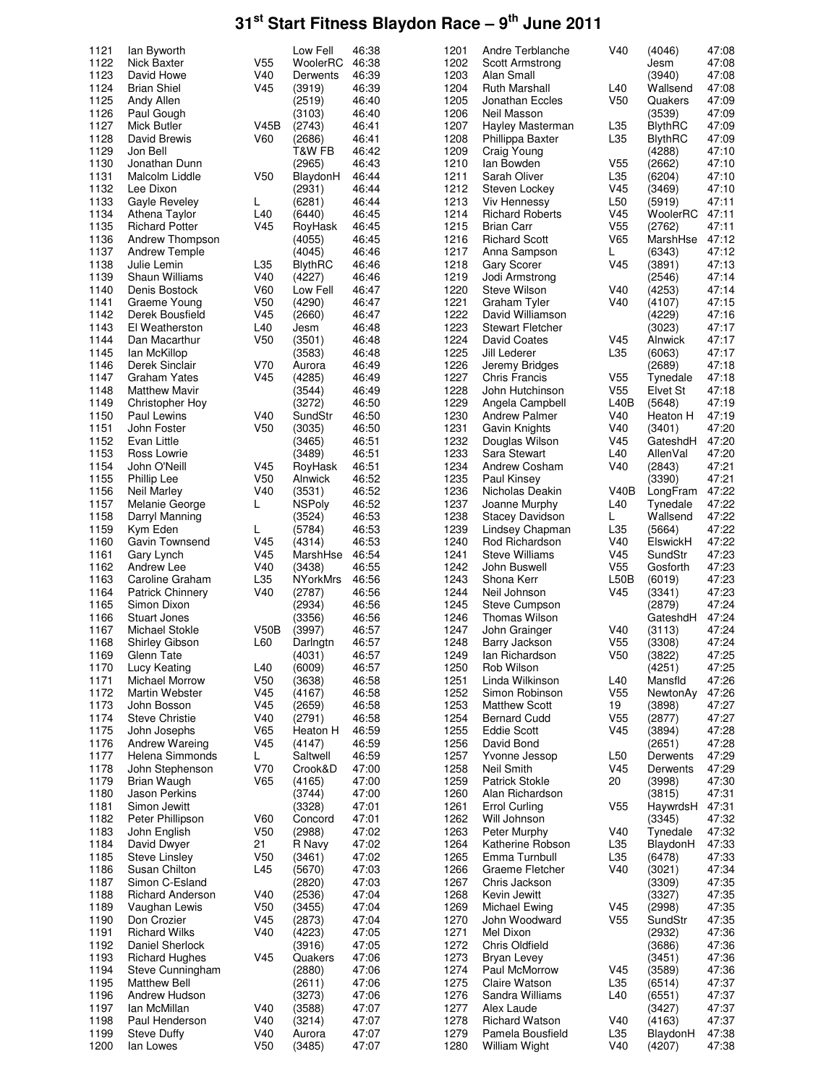| 1121         | lan Byworth                     |                        | Low Fell         | 46:38          | 1201         | Andre Terblanche                  | V40             | (4046)             | 47:08          |
|--------------|---------------------------------|------------------------|------------------|----------------|--------------|-----------------------------------|-----------------|--------------------|----------------|
| 1122         | Nick Baxter                     | V55                    | WoolerRC         | 46:38          | 1202         | <b>Scott Armstrong</b>            |                 | Jesm               | 47:08          |
| 1123         | David Howe                      | V40                    | Derwents         | 46:39          | 1203         | Alan Small                        |                 | (3940)             | 47:08          |
|              |                                 |                        |                  |                |              |                                   |                 |                    |                |
| 1124         | <b>Brian Shiel</b>              | V45                    | (3919)           | 46:39          | 1204         | Ruth Marshall                     | L40             | Wallsend           | 47:08          |
| 1125         | Andy Allen                      |                        | (2519)           | 46:40          | 1205         | Jonathan Eccles                   | V <sub>50</sub> | Quakers            | 47:09          |
| 1126         | Paul Gough                      |                        | (3103)           | 46:40          | 1206         | Neil Masson                       |                 | (3539)             | 47:09          |
|              |                                 |                        |                  |                |              |                                   |                 |                    |                |
| 1127         | Mick Butler                     | V45B                   | (2743)           | 46:41          | 1207         | Hayley Masterman                  | L35             | BlythRC            | 47:09          |
| 1128         | David Brewis                    | V60                    | (2686)           | 46:41          | 1208         | Phillippa Baxter                  | L35             | <b>BlythRC</b>     | 47:09          |
|              |                                 |                        |                  |                |              |                                   |                 |                    |                |
| 1129         | Jon Bell                        |                        | T&W FB           | 46:42          | 1209         | Craig Young                       |                 | (4288)             | 47:10          |
| 1130         | Jonathan Dunn                   |                        | (2965)           | 46:43          | 1210         | lan Bowden                        | V55             | (2662)             | 47:10          |
| 1131         | Malcolm Liddle                  | V <sub>50</sub>        | BlaydonH         | 46:44          | 1211         | Sarah Oliver                      | L35             | (6204)             | 47:10          |
|              |                                 |                        |                  |                |              |                                   |                 |                    |                |
| 1132         | Lee Dixon                       |                        | (2931)           | 46:44          | 1212         | Steven Lockey                     | V45             | (3469)             | 47:10          |
| 1133         | Gayle Reveley                   | L.                     | (6281)           | 46:44          | 1213         | Viv Hennessy                      | L <sub>50</sub> | (5919)             | 47:11          |
| 1134         |                                 |                        |                  |                | 1214         |                                   | V45             |                    | 47:11          |
|              | Athena Taylor                   | L40                    | (6440)           | 46:45          |              | <b>Richard Roberts</b>            |                 | WoolerRC           |                |
| 1135         | <b>Richard Potter</b>           | V45                    | RoyHask          | 46:45          | 1215         | Brian Carr                        | V <sub>55</sub> | (2762)             | 47:11          |
| 1136         | Andrew Thompson                 |                        | (4055)           | 46:45          | 1216         | <b>Richard Scott</b>              | V65             | MarshHse           | 47:12          |
|              |                                 |                        |                  |                |              |                                   |                 |                    |                |
| 1137         | Andrew Temple                   |                        | (4045)           | 46:46          | 1217         | Anna Sampson                      | L               | (6343)             | 47:12          |
| 1138         | Julie Lemin                     | L35                    | <b>BlythRC</b>   | 46:46          | 1218         | Gary Scorer                       | V45             | (3891)             | 47:13          |
| 1139         | <b>Shaun Williams</b>           | V40                    | (4227)           | 46:46          | 1219         | Jodi Armstrong                    |                 | (2546)             | 47:14          |
|              |                                 |                        |                  |                |              |                                   |                 |                    |                |
| 1140         | Denis Bostock                   | <b>V60</b>             | Low Fell         | 46:47          | 1220         | Steve Wilson                      | V40             | (4253)             | 47:14          |
| 1141         | Graeme Young                    | V <sub>50</sub>        | (4290)           | 46:47          | 1221         | Graham Tyler                      | V40             | (4107)             | 47:15          |
|              |                                 |                        |                  |                |              |                                   |                 |                    |                |
| 1142         | Derek Bousfield                 | V45                    | (2660)           | 46:47          | 1222         | David Williamson                  |                 | (4229)             | 47:16          |
| 1143         | El Weatherston                  | L40                    | Jesm             | 46:48          | 1223         | <b>Stewart Fletcher</b>           |                 | (3023)             | 47:17          |
| 1144         | Dan Macarthur                   | V <sub>50</sub>        | (3501)           | 46:48          | 1224         | David Coates                      | V45             | Alnwick            | 47:17          |
|              |                                 |                        |                  |                |              |                                   |                 |                    |                |
| 1145         | lan McKillop                    |                        | (3583)           | 46:48          | 1225         | Jill Lederer                      | L35             | (6063)             | 47:17          |
| 1146         | Derek Sinclair                  | V70                    | Aurora           | 46:49          | 1226         | Jeremy Bridges                    |                 | (2689)             | 47:18          |
| 1147         | <b>Graham Yates</b>             | V <sub>45</sub>        | (4285)           |                | 1227         |                                   | V <sub>55</sub> |                    | 47:18          |
|              |                                 |                        |                  | 46:49          |              | Chris Francis                     |                 | Tynedale           |                |
| 1148         | <b>Matthew Mavir</b>            |                        | (3544)           | 46:49          | 1228         | John Hutchinson                   | V <sub>55</sub> | Elvet St           | 47:18          |
| 1149         | Christopher Hoy                 |                        | (3272)           | 46:50          | 1229         | Angela Campbell                   | L40B            | (5648)             | 47:19          |
|              |                                 |                        |                  |                |              |                                   |                 |                    |                |
| 1150         | Paul Lewins                     | V40                    | SundStr          | 46:50          | 1230         | <b>Andrew Palmer</b>              | V40             | Heaton H           | 47:19          |
| 1151         | John Foster                     | V <sub>50</sub>        | (3035)           | 46:50          | 1231         | Gavin Knights                     | V40             | (3401)             | 47:20          |
| 1152         |                                 |                        | (3465)           | 46:51          | 1232         |                                   | V45             |                    | 47:20          |
|              | Evan Little                     |                        |                  |                |              | Douglas Wilson                    |                 | GateshdH           |                |
| 1153         | Ross Lowrie                     |                        | (3489)           | 46:51          | 1233         | Sara Stewart                      | L40             | AllenVal           | 47:20          |
| 1154         | John O'Neill                    | V45                    | RoyHask          | 46:51          | 1234         | Andrew Cosham                     | V40             | (2843)             | 47:21          |
|              |                                 |                        |                  |                |              |                                   |                 |                    |                |
| 1155         | <b>Phillip Lee</b>              | V <sub>50</sub>        | Alnwick          | 46:52          | 1235         | Paul Kinsey                       |                 | (3390)             | 47:21          |
| 1156         | Neil Marley                     | V40                    | (3531)           | 46:52          | 1236         | Nicholas Deakin                   | <b>V40B</b>     | LongFram           | 47:22          |
| 1157         | Melanie George                  | L                      | <b>NSPoly</b>    | 46:52          | 1237         | Joanne Murphy                     | L40             | Tynedale           | 47:22          |
|              |                                 |                        |                  |                |              |                                   |                 |                    |                |
| 1158         | Darryl Manning                  |                        | (3524)           | 46:53          | 1238         | <b>Stacey Davidson</b>            | L               | Wallsend           | 47:22          |
| 1159         | Kym Eden                        | L                      | (5784)           | 46:53          | 1239         | Lindsey Chapman                   | L35             | (5664)             | 47:22          |
| 1160         |                                 | V45                    |                  | 46:53          | 1240         | Rod Richardson                    | V40             |                    | 47:22          |
|              | Gavin Townsend                  |                        | (4314)           |                |              |                                   |                 | ElswickH           |                |
| 1161         | Gary Lynch                      | V45                    | MarshHse         | 46:54          | 1241         | <b>Steve Williams</b>             | V45             | SundStr            | 47:23          |
| 1162         | Andrew Lee                      | V40                    | (3438)           | 46:55          | 1242         | John Buswell                      | V <sub>55</sub> | Gosforth           | 47:23          |
|              |                                 |                        |                  |                |              |                                   |                 |                    |                |
| 1163         | Caroline Graham                 | L35                    | <b>NYorkMrs</b>  | 46:56          | 1243         | Shona Kerr                        | L50B            | (6019)             | 47:23          |
| 1164         | <b>Patrick Chinnery</b>         | V40                    | (2787)           | 46:56          | 1244         | Neil Johnson                      | V45             | (3341)             | 47:23          |
| 1165         |                                 |                        |                  | 46:56          | 1245         | Steve Cumpson                     |                 |                    | 47:24          |
|              | Simon Dixon                     |                        | (2934)           |                |              |                                   |                 | (2879)             |                |
| 1166         | <b>Stuart Jones</b>             |                        | (3356)           | 46:56          | 1246         | <b>Thomas Wilson</b>              |                 | GateshdH           | 47:24          |
| 1167         | Michael Stokle                  | V50B                   | (3997)           | 46:57          | 1247         | John Grainger                     | V40             | (3113)             | 47:24          |
|              |                                 |                        |                  |                |              |                                   |                 |                    |                |
| 1168         | Shirley Gibson                  | L60                    | Darlngtn         | 46:57          | 1248         | Barry Jackson                     | V <sub>55</sub> | (3308)             | 47:24          |
| 1169         | Glenn Tate                      |                        | (4031)           | 46:57          | 1249         | lan Richardson                    | V <sub>50</sub> | (3822)             | 47:25          |
| 1170         | Lucy Keating                    | L40                    | (6009)           | 46:57          | 1250         | Rob Wilson                        |                 | (4251)             | 47:25          |
|              |                                 |                        |                  |                |              |                                   |                 |                    |                |
| 1171         | Michael Morrow                  | V <sub>50</sub>        | (3638)           | 46:58          | 1251         | Linda Wilkinson                   | L40             | Mansfld            | 47:26          |
| 1172         | Martin Webster                  | V45                    | (4167)           | 46:58          | 1252         | Simon Robinson                    | V <sub>55</sub> | NewtonAv           | 47:26          |
|              |                                 |                        |                  |                |              |                                   |                 |                    |                |
| 1173         | John Bosson                     | V45                    | (2659)           | 46:58          | 1253         | <b>Matthew Scott</b>              | 19              | (3898)             | 47:27          |
| 1174         | <b>Steve Christie</b>           | V40                    | (2791)           | 46:58          | 1254         | <b>Bernard Cudd</b>               | V <sub>55</sub> | (2877)             | 47:27          |
| 1175         | John Josephs                    | V65                    | Heaton H         | 46:59          | 1255         | <b>Eddie Scott</b>                | V45             | (3894)             | 47:28          |
|              |                                 |                        |                  |                |              |                                   |                 |                    |                |
| 1176         | Andrew Wareing                  | V45                    | (4147)           | 46:59          | 1256         | David Bond                        |                 | (2651)             | 47:28          |
| 1177         | Helena Simmonds                 | L                      | Saltwell         | 46:59          | 1257         | Yvonne Jessop                     | L <sub>50</sub> | Derwents           | 47:29          |
| 1178         | John Stephenson                 | V70                    | Crook&D          | 47:00          | 1258         | Neil Smith                        | V45             | Derwents           | 47:29          |
|              |                                 |                        |                  |                |              |                                   |                 |                    | 47:30          |
| 1179         | Brian Waugh                     | V65                    | (4165)           | 47:00          | 1259         | <b>Patrick Stokle</b>             | 20              | (3998)             |                |
| 1180         | Jason Perkins                   |                        | (3744)           | 47:00          | 1260         | Alan Richardson                   |                 | (3815)             | 47:31          |
| 1181         | Simon Jewitt                    |                        | (3328)           | 47:01          | 1261         | <b>Errol Curling</b>              | V <sub>55</sub> | HaywrdsH           | 47:31          |
|              |                                 |                        |                  |                |              |                                   |                 |                    |                |
| 1182         | Peter Phillipson                | V60                    | Concord          | 47:01          | 1262         | Will Johnson                      |                 | (3345)             | 47:32          |
| 1183         | John English                    | V <sub>50</sub>        | (2988)           | 47:02          | 1263         | Peter Murphy                      | V40             | Tynedale           | 47:32          |
| 1184         |                                 | 21                     | R Navy           | 47:02          | 1264         | Katherine Robson                  | L35             | BlaydonH           | 47:33          |
|              | David Dwyer                     |                        |                  |                |              |                                   |                 |                    |                |
| 1185         | Steve Linsley                   | V <sub>50</sub>        | (3461)           | 47:02          | 1265         | Emma Turnbull                     | L35             | (6478)             | 47:33          |
| 1186         | Susan Chilton                   | L45                    | (5670)           | 47:03          | 1266         | Graeme Fletcher                   | V40             | (3021)             | 47:34          |
|              |                                 |                        |                  |                |              |                                   |                 |                    |                |
| 1187         | Simon C-Esland                  |                        | (2820)           | 47:03          | 1267         | Chris Jackson                     |                 | (3309)             | 47:35          |
| 1188         | <b>Richard Anderson</b>         | V40                    | (2536)           | 47:04          | 1268         | Kevin Jewitt                      |                 | (3327)             | 47:35          |
| 1189         | Vaughan Lewis                   | V <sub>50</sub>        | (3455)           | 47:04          | 1269         | Michael Ewing                     | V <sub>45</sub> | (2998)             | 47:35          |
|              |                                 |                        |                  |                |              |                                   |                 |                    |                |
| 1190         | Don Crozier                     | V45                    | (2873)           | 47:04          | 1270         | John Woodward                     | V <sub>55</sub> | SundStr            | 47:35          |
| 1191         | <b>Richard Wilks</b>            | V40                    | (4223)           | 47:05          | 1271         | Mel Dixon                         |                 | (2932)             | 47:36          |
|              |                                 |                        |                  |                |              |                                   |                 |                    |                |
| 1192         | Daniel Sherlock                 |                        | (3916)           | 47:05          | 1272         | Chris Oldfield                    |                 | (3686)             | 47:36          |
| 1193         | <b>Richard Hughes</b>           | V <sub>45</sub>        | Quakers          | 47:06          | 1273         | Bryan Levey                       |                 | (3451)             | 47:36          |
| 1194         | Steve Cunningham                |                        | (2880)           | 47:06          | 1274         | Paul McMorrow                     | V45             | (3589)             | 47:36          |
|              |                                 |                        |                  |                |              |                                   |                 |                    |                |
| 1195         |                                 |                        | (2611)           | 47:06          | 1275         | Claire Watson                     | L35             | (6514)             | 47:37          |
|              | <b>Matthew Bell</b>             |                        |                  |                |              |                                   |                 |                    |                |
|              |                                 |                        |                  | 47:06          |              |                                   |                 |                    |                |
| 1196         | Andrew Hudson                   |                        | (3273)           |                | 1276         | Sandra Williams                   | L40             | (6551)             | 47:37          |
| 1197         | Ian McMillan                    | V40                    | (3588)           | 47:07          | 1277         | Alex Laude                        |                 | (3427)             | 47:37          |
| 1198         | Paul Henderson                  | V40                    |                  | 47:07          | 1278         | <b>Richard Watson</b>             | V40             | (4163)             | 47:37          |
|              |                                 |                        | (3214)           |                |              |                                   |                 |                    |                |
| 1199<br>1200 | <b>Steve Duffy</b><br>lan Lowes | V40<br>V <sub>50</sub> | Aurora<br>(3485) | 47:07<br>47:07 | 1279<br>1280 | Pamela Bousfield<br>William Wight | L35<br>V40      | BlaydonH<br>(4207) | 47:38<br>47:38 |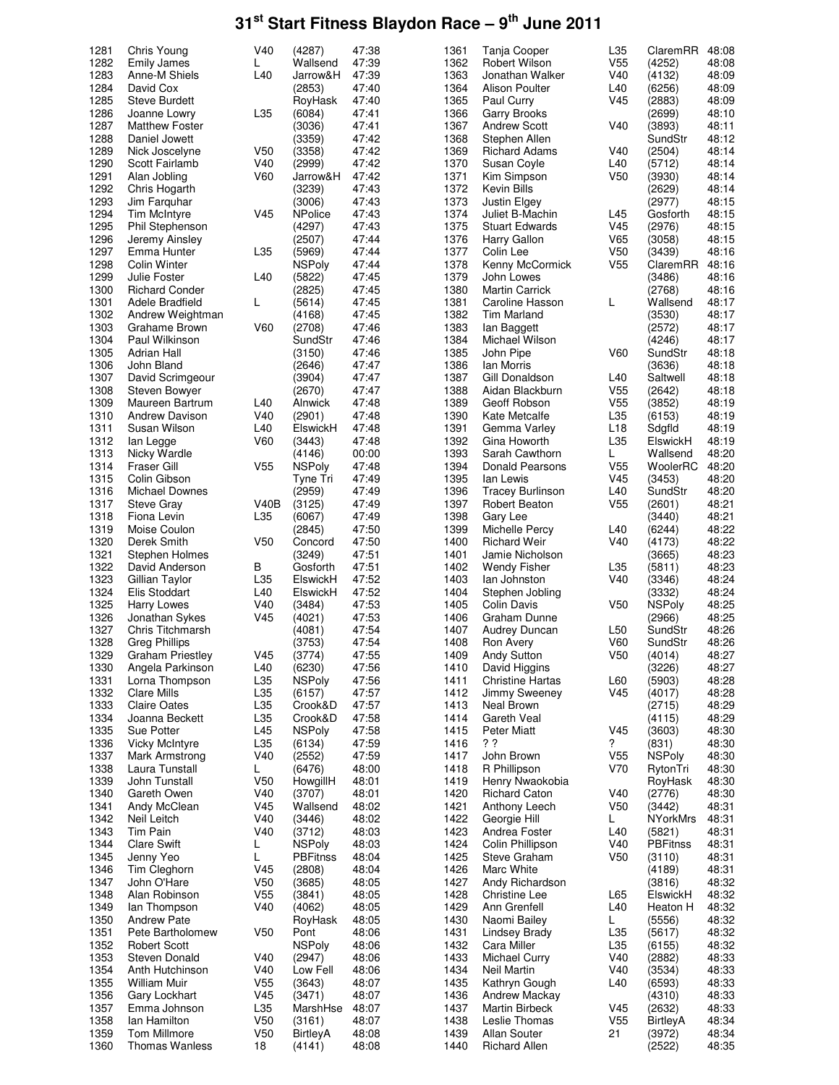| 1281         | Chris Young                              | V40             | (4287)             | 47:38          | 1361         | Tanja Cooper                             | L35                    | ClaremRR           | 48:08          |
|--------------|------------------------------------------|-----------------|--------------------|----------------|--------------|------------------------------------------|------------------------|--------------------|----------------|
| 1282         | <b>Emily James</b>                       | L               | Wallsend           | 47:39          | 1362         | <b>Robert Wilson</b>                     | V <sub>55</sub>        | (4252)             | 48:08          |
| 1283         | Anne-M Shiels                            | L40             | Jarrow&H           | 47:39          | 1363         | Jonathan Walker                          | V40                    | (4132)             | 48:09          |
| 1284         | David Cox                                |                 | (2853)             | 47:40          | 1364         | Alison Poulter                           | L40                    | (6256)             | 48:09          |
| 1285         | <b>Steve Burdett</b>                     |                 | RoyHask            | 47:40          | 1365         | Paul Curry                               | V45                    | (2883)             | 48:09          |
| 1286         | Joanne Lowry                             | L35             | (6084)             | 47:41          | 1366         | <b>Garry Brooks</b>                      |                        | (2699)             | 48:10          |
| 1287         | <b>Matthew Foster</b>                    |                 | (3036)             | 47:41          | 1367         | <b>Andrew Scott</b>                      | V40                    | (3893)             | 48:11          |
| 1288         | Daniel Jowett                            |                 | (3359)             | 47:42          | 1368         | Stephen Allen                            |                        | SundStr            | 48:12          |
| 1289         | Nick Joscelyne                           | V <sub>50</sub> | (3358)             | 47:42          | 1369         | <b>Richard Adams</b>                     | V40                    | (2504)             | 48:14          |
| 1290         | Scott Fairlamb                           | V40             | (2999)             | 47:42          | 1370         | Susan Coyle                              | L40                    | (5712)             | 48:14          |
| 1291<br>1292 | Alan Jobling                             | V60             | Jarrow&H<br>(3239) | 47:42<br>47:43 | 1371<br>1372 | Kim Simpson                              | V <sub>50</sub>        | (3930)<br>(2629)   | 48:14<br>48:14 |
|              | Chris Hogarth                            |                 |                    |                |              | Kevin Bills                              |                        |                    |                |
| 1293<br>1294 | Jim Farquhar                             |                 | (3006)             | 47:43          | 1373         | Justin Elgey                             |                        | (2977)             | 48:15          |
| 1295         | Tim McIntyre                             | V <sub>45</sub> | <b>NPolice</b>     | 47:43<br>47:43 | 1374<br>1375 | Juliet B-Machin<br><b>Stuart Edwards</b> | L45<br>V <sub>45</sub> | Gosforth           | 48:15<br>48:15 |
| 1296         | <b>Phil Stephenson</b><br>Jeremy Ainsley |                 | (4297)<br>(2507)   | 47:44          | 1376         | Harry Gallon                             | V65                    | (2976)<br>(3058)   | 48:15          |
| 1297         | Emma Hunter                              | L35             | (5969)             | 47:44          | 1377         | Colin Lee                                | V <sub>50</sub>        | (3439)             | 48:16          |
| 1298         | <b>Colin Winter</b>                      |                 | <b>NSPoly</b>      | 47:44          | 1378         | Kenny McCormick                          | V <sub>55</sub>        | ClaremRR           | 48:16          |
| 1299         | Julie Foster                             | L40             | (5822)             | 47:45          | 1379         | John Lowes                               |                        | (3486)             | 48:16          |
| 1300         | <b>Richard Conder</b>                    |                 | (2825)             | 47:45          | 1380         | <b>Martin Carrick</b>                    |                        | (2768)             | 48:16          |
| 1301         | Adele Bradfield                          | L               | (5614)             | 47:45          | 1381         | Caroline Hasson                          | L                      | Wallsend           | 48:17          |
| 1302         | Andrew Weightman                         |                 | (4168)             | 47:45          | 1382         | <b>Tim Marland</b>                       |                        | (3530)             | 48:17          |
| 1303         | Grahame Brown                            | <b>V60</b>      | (2708)             | 47:46          | 1383         | lan Baggett                              |                        | (2572)             | 48:17          |
| 1304         | Paul Wilkinson                           |                 | SundStr            | 47:46          | 1384         | Michael Wilson                           |                        | (4246)             | 48:17          |
| 1305         | <b>Adrian Hall</b>                       |                 | (3150)             | 47:46          | 1385         | John Pipe                                | V60                    | SundStr            | 48:18          |
| 1306         | John Bland                               |                 | (2646)             | 47:47          | 1386         | lan Morris                               |                        | (3636)             | 48:18          |
| 1307         | David Scrimgeour                         |                 | (3904)             | 47:47          | 1387         | Gill Donaldson                           | L40                    | Saltwell           | 48:18          |
| 1308         | <b>Steven Bowyer</b>                     |                 | (2670)             | 47:47          | 1388         | Aidan Blackburn                          | V <sub>55</sub>        | (2642)             | 48:18          |
| 1309         | Maureen Bartrum                          | L40             | Alnwick            | 47:48          | 1389         | Geoff Robson                             | V <sub>55</sub>        | (3852)             | 48:19          |
| 1310         | <b>Andrew Davison</b>                    | V40             | (2901)             | 47:48          | 1390         | Kate Metcalfe                            | L35                    | (6153)             | 48:19          |
| 1311         | Susan Wilson                             | L40             | ElswickH           | 47:48          | 1391         | Gemma Varley                             | L <sub>18</sub>        | Sdgfld             | 48:19          |
| 1312         | lan Legge                                | <b>V60</b>      | (3443)             | 47:48          | 1392         | Gina Howorth                             | L35                    | ElswickH           | 48:19          |
| 1313         | Nicky Wardle                             |                 | (4146)             | 00:00          | 1393         | Sarah Cawthorn                           | L                      | Wallsend           | 48:20          |
| 1314         | Fraser Gill                              | V <sub>55</sub> | <b>NSPoly</b>      | 47:48          | 1394         | <b>Donald Pearsons</b>                   | V <sub>55</sub>        | WoolerRC           | 48:20          |
| 1315         | Colin Gibson                             |                 | Tyne Tri           | 47:49          | 1395         | lan Lewis                                | V45                    | (3453)             | 48:20          |
| 1316         | Michael Downes                           |                 | (2959)             | 47:49          | 1396         | <b>Tracey Burlinson</b>                  | L40                    | SundStr            | 48:20          |
| 1317         | <b>Steve Gray</b>                        | V40B            | (3125)             | 47:49          | 1397         | Robert Beaton                            | V <sub>55</sub>        | (2601)             | 48:21          |
| 1318         | Fiona Levin                              | L35             | (6067)             | 47:49          | 1398         | Gary Lee                                 |                        | (3440)             | 48:21          |
| 1319         | Moise Coulon                             |                 | (2845)             | 47:50          | 1399         | Michelle Percy                           | L40                    | (6244)             | 48:22          |
| 1320         | Derek Smith                              | V <sub>50</sub> | Concord            | 47:50          | 1400         | <b>Richard Weir</b>                      | V40                    | (4173)             | 48:22          |
| 1321         | Stephen Holmes                           |                 | (3249)             | 47:51          | 1401         | Jamie Nicholson                          |                        | (3665)             | 48:23          |
| 1322         | David Anderson                           | В               | Gosforth           | 47:51          | 1402         | <b>Wendy Fisher</b>                      | L35                    | (5811)             | 48:23          |
| 1323         | Gillian Taylor                           | L35             | ElswickH           | 47:52          | 1403         | lan Johnston                             | V40                    | (3346)             | 48:24          |
| 1324         | Elis Stoddart                            | L40             | ElswickH           | 47:52          | 1404         | Stephen Jobling                          |                        | (3332)             | 48:24          |
| 1325         | Harry Lowes                              | V40             | (3484)             | 47:53          | 1405         | Colin Davis                              | V <sub>50</sub>        | <b>NSPoly</b>      | 48:25          |
| 1326         | Jonathan Sykes                           | V <sub>45</sub> | (4021)             | 47:53          | 1406         | Graham Dunne                             |                        | (2966)             | 48:25          |
| 1327         | Chris Titchmarsh                         |                 | (4081)             | 47:54          | 1407         | Audrey Duncan                            | L <sub>50</sub>        | SundStr            | 48:26          |
| 1328         | <b>Greg Phillips</b>                     |                 | (3753)             | 47:54          | 1408         | Ron Avery                                | V60                    | SundStr            | 48:26          |
| 1329         | <b>Graham Priestley</b>                  | V45             | (3774)             | 47:55          | 1409         | Andy Sutton                              | V <sub>50</sub>        | (4014)             | 48:27          |
| 1330         | Angela Parkinson                         | L40             | (6230)             | 47:56          | 1410         | David Higgins                            |                        | (3226)             | 48:27          |
| 1331         | Lorna Thompson                           | L35             | <b>NSPoly</b>      | 47:56          | 1411         | <b>Christine Hartas</b>                  | L60                    | (5903)             | 48:28          |
| 1332         | <b>Clare Mills</b>                       | L35             | (6157)             | 47:57          | 1412         | Jimmy Sweeney                            | V45                    | (4017)             | 48:28          |
| 1333         | <b>Claire Oates</b>                      | L35             | Crook&D            | 47:57          | 1413         | Neal Brown                               |                        | (2715)             | 48:29          |
| 1334         | Joanna Beckett                           | L35             | Crook&D            | 47:58          | 1414         | Gareth Veal                              |                        | (4115)             | 48:29          |
| 1335         | Sue Potter                               | L45             | <b>NSPoly</b>      | 47:58          | 1415         | Peter Miatt                              | V45                    | (3603)             | 48:30          |
| 1336         | <b>Vicky McIntyre</b>                    | L35             | (6134)             | 47:59          | 1416         | ??                                       | ?                      | (831)              | 48:30          |
| 1337         | Mark Armstrong                           | V40             | (2552)             | 47:59          | 1417         | John Brown                               | V <sub>55</sub>        | <b>NSPoly</b>      | 48:30          |
| 1338         | Laura Tunstall                           | L               | (6476)             | 48:00          | 1418         | R Phillipson                             | V70                    | RytonTri           | 48:30          |
| 1339         | John Tunstall                            | V <sub>50</sub> | HowgillH           | 48:01          | 1419         | Henry Nwaokobia                          |                        | RoyHask            | 48:30          |
| 1340         | Gareth Owen                              | V40             | (3707)             | 48:01          | 1420         | <b>Richard Caton</b>                     | V40                    | (2776)             | 48:30          |
| 1341         | Andy McClean                             | V <sub>45</sub> | Wallsend           | 48:02          | 1421         | Anthony Leech                            | V50                    | (3442)             | 48:31          |
| 1342         | Neil Leitch                              | V40             | (3446)             | 48:02          | 1422         | Georgie Hill                             | L                      | NYorkMrs           | 48:31          |
| 1343         | Tim Pain                                 | V40             | (3712)             | 48:03          | 1423         | Andrea Foster                            | L40                    | (5821)             | 48:31          |
| 1344         | <b>Clare Swift</b>                       | L<br>L          | <b>NSPoly</b>      | 48:03          | 1424         | Colin Phillipson                         | V40<br>V50             | <b>PBFitnss</b>    | 48:31          |
| 1345<br>1346 | Jenny Yeo                                | V <sub>45</sub> | <b>PBFitnss</b>    | 48:04<br>48:04 | 1425<br>1426 | Steve Graham                             |                        | (3110)             | 48:31          |
| 1347         | Tim Cleghorn<br>John O'Hare              | V <sub>50</sub> | (2808)<br>(3685)   | 48:05          | 1427         | Marc White                               |                        | (4189)             | 48:31          |
| 1348         | Alan Robinson                            | V <sub>55</sub> | (3841)             | 48:05          | 1428         | Andy Richardson<br>Christine Lee         | L65                    | (3816)<br>ElswickH | 48:32<br>48:32 |
| 1349         |                                          | V40             |                    | 48:05          | 1429         | Ann Grenfell                             | L40                    |                    | 48:32          |
| 1350         | lan Thompson<br><b>Andrew Pate</b>       |                 | (4062)<br>RoyHask  | 48:05          | 1430         | Naomi Bailey                             | L.                     | Heaton H<br>(5556) | 48:32          |
| 1351         | Pete Bartholomew                         | V <sub>50</sub> | Pont               | 48:06          | 1431         | Lindsey Brady                            | L35                    | (5617)             | 48:32          |
| 1352         | <b>Robert Scott</b>                      |                 | <b>NSPoly</b>      | 48:06          | 1432         | Cara Miller                              | L35                    | (6155)             | 48:32          |
| 1353         | Steven Donald                            | V40             | (2947)             | 48:06          | 1433         | <b>Michael Curry</b>                     | V40                    | (2882)             | 48:33          |
| 1354         | Anth Hutchinson                          | V40             | Low Fell           | 48:06          | 1434         | Neil Martin                              | V40                    | (3534)             | 48:33          |
| 1355         | William Muir                             | V <sub>55</sub> | (3643)             | 48:07          | 1435         | Kathryn Gough                            | L40                    | (6593)             | 48:33          |
| 1356         | Gary Lockhart                            | V <sub>45</sub> | (3471)             | 48:07          | 1436         | Andrew Mackay                            |                        | (4310)             | 48:33          |
| 1357         | Emma Johnson                             | L35             | MarshHse           | 48:07          | 1437         | Martin Birbeck                           | V45                    | (2632)             | 48:33          |
| 1358         | Ian Hamilton                             | V <sub>50</sub> | (3161)             | 48:07          | 1438         | Leslie Thomas                            | V <sub>55</sub>        | BirtleyA           | 48:34          |
| 1359         | Tom Millmore                             | V <sub>50</sub> | BirtleyA           | 48:08          | 1439         | Allan Souter                             | 21                     | (3972)             | 48:34          |
| 1360         | <b>Thomas Wanless</b>                    | 18              | (4141)             | 48:08          | 1440         | <b>Richard Allen</b>                     |                        | (2522)             | 48:35          |
|              |                                          |                 |                    |                |              |                                          |                        |                    |                |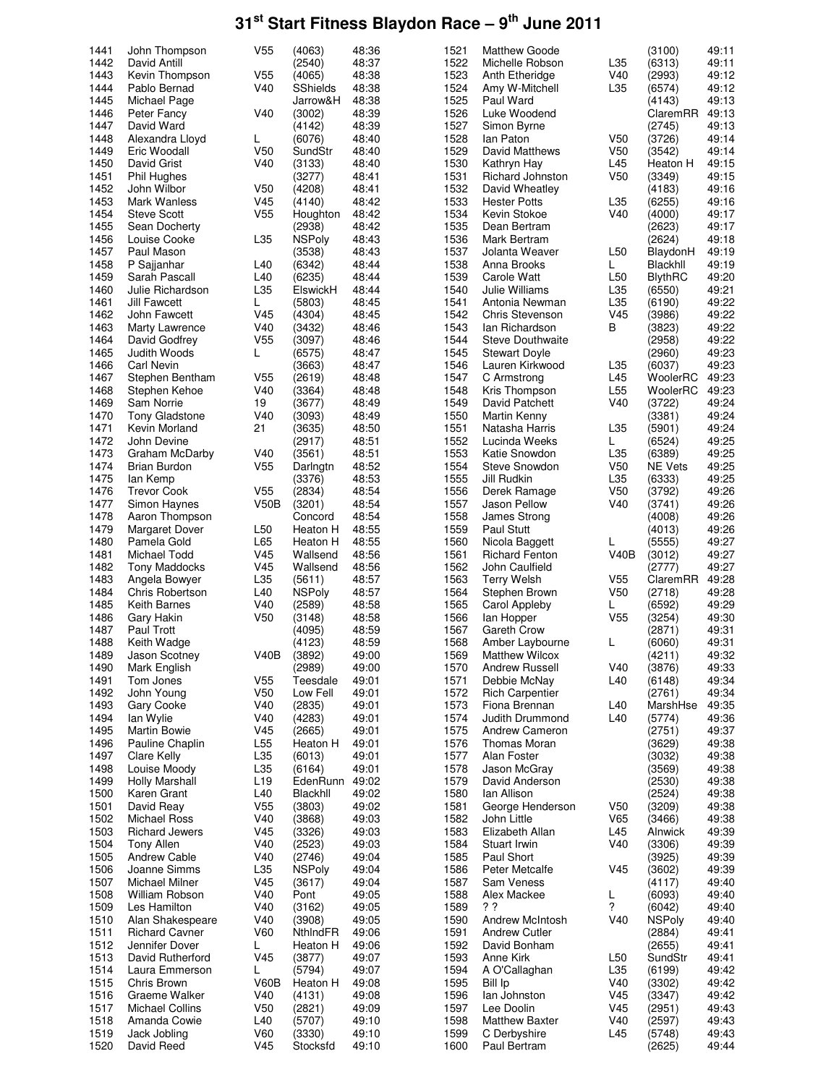| 1441         |                                       |                 |                    |                |              |                              |                 |                  |                |
|--------------|---------------------------------------|-----------------|--------------------|----------------|--------------|------------------------------|-----------------|------------------|----------------|
|              | John Thompson                         | V <sub>55</sub> | (4063)             | 48:36          | 1521         | <b>Matthew Goode</b>         |                 | (3100)           | 49:11          |
| 1442         | David Antill                          |                 | (2540)             | 48:37          | 1522         | Michelle Robson              | L35             | (6313)           | 49:11          |
| 1443         | Kevin Thompson                        | V <sub>55</sub> | (4065)             | 48:38          | 1523         | Anth Etheridge               | V40             | (2993)           | 49:12          |
| 1444         | Pablo Bernad                          | V40             | <b>SShields</b>    | 48:38          | 1524         | Amy W-Mitchell               | L35             | (6574)           | 49:12          |
| 1445         | Michael Page                          |                 | Jarrow&H           | 48:38          | 1525         | Paul Ward                    |                 | (4143)           | 49:13          |
| 1446         | Peter Fancy                           | V40             | (3002)             | 48:39          | 1526         | Luke Woodend                 |                 | ClaremRR         | 49:13          |
| 1447         | David Ward                            |                 | (4142)             | 48:39          | 1527         | Simon Byrne                  |                 | (2745)           | 49:13          |
|              |                                       |                 |                    |                |              |                              |                 |                  |                |
| 1448         | Alexandra Lloyd                       | L               | (6076)             | 48:40          | 1528         | lan Paton                    | V50             | (3726)           | 49:14          |
| 1449         | Eric Woodall                          | V <sub>50</sub> | SundStr            | 48:40          | 1529         | David Matthews               | V <sub>50</sub> | (3542)           | 49:14          |
| 1450         | David Grist                           | V40             | (3133)             | 48:40          | 1530         | Kathryn Hay                  | L45             | Heaton H         | 49:15          |
| 1451         | <b>Phil Hughes</b>                    |                 | (3277)             | 48:41          | 1531         | Richard Johnston             | V50             | (3349)           | 49:15          |
| 1452         | John Wilbor                           | V <sub>50</sub> | (4208)             | 48:41          | 1532         | David Wheatley               |                 | (4183)           | 49:16          |
| 1453         | Mark Wanless                          | V <sub>45</sub> | (4140)             | 48:42          | 1533         | <b>Hester Potts</b>          | L35             | (6255)           | 49:16          |
| 1454         | <b>Steve Scott</b>                    | V <sub>55</sub> | Houghton           | 48:42          | 1534         | Kevin Stokoe                 | V40             | (4000)           | 49:17          |
| 1455         | Sean Docherty                         |                 | (2938)             | 48:42          | 1535         | Dean Bertram                 |                 | (2623)           | 49:17          |
|              |                                       |                 |                    |                |              |                              |                 |                  |                |
| 1456         | Louise Cooke                          | L35             | <b>NSPoly</b>      | 48:43          | 1536         | Mark Bertram                 |                 | (2624)           | 49:18          |
| 1457         | Paul Mason                            |                 | (3538)             | 48:43          | 1537         | Jolanta Weaver               | L <sub>50</sub> | BlaydonH         | 49:19          |
| 1458         | P Sajjanhar                           | L40             | (6342)             | 48:44          | 1538         | Anna Brooks                  | L.              | Blackhll         | 49:19          |
| 1459         | Sarah Pascall                         | L40             | (6235)             | 48:44          | 1539         | Carole Watt                  | L <sub>50</sub> | <b>BlythRC</b>   | 49:20          |
| 1460         | Julie Richardson                      | L35             | ElswickH           | 48:44          | 1540         | Julie Williams               | L35             | (6550)           | 49:21          |
| 1461         | <b>Jill Fawcett</b>                   | L               | (5803)             | 48:45          | 1541         | Antonia Newman               | L35             | (6190)           | 49:22          |
| 1462         | John Fawcett                          | V <sub>45</sub> | (4304)             | 48:45          | 1542         | <b>Chris Stevenson</b>       | V45             | (3986)           | 49:22          |
| 1463         | Marty Lawrence                        | V40             | (3432)             | 48:46          | 1543         | lan Richardson               | В               | (3823)           | 49:22          |
| 1464         | David Godfrey                         | V <sub>55</sub> |                    | 48:46          | 1544         | <b>Steve Douthwaite</b>      |                 |                  | 49:22          |
|              |                                       |                 | (3097)             |                |              |                              |                 | (2958)           |                |
| 1465         | Judith Woods                          | L               | (6575)             | 48:47          | 1545         | <b>Stewart Doyle</b>         |                 | (2960)           | 49:23          |
| 1466         | <b>Carl Nevin</b>                     |                 | (3663)             | 48:47          | 1546         | Lauren Kirkwood              | L35             | (6037)           | 49:23          |
| 1467         | Stephen Bentham                       | V <sub>55</sub> | (2619)             | 48:48          | 1547         | C Armstrong                  | L45             | WoolerRC         | 49:23          |
| 1468         | Stephen Kehoe                         | V40             | (3364)             | 48:48          | 1548         | Kris Thompson                | L <sub>55</sub> | WoolerRC         | 49:23          |
| 1469         | Sam Norrie                            | 19              | (3677)             | 48:49          | 1549         | David Patchett               | V40             | (3722)           | 49:24          |
| 1470         | <b>Tony Gladstone</b>                 | V40             | (3093)             | 48:49          | 1550         | Martin Kenny                 |                 | (3381)           | 49:24          |
| 1471         | Kevin Morland                         | 21              | (3635)             | 48:50          | 1551         | Natasha Harris               | L35             | (5901)           | 49:24          |
| 1472         | John Devine                           |                 | (2917)             | 48:51          | 1552         | Lucinda Weeks                | L               | (6524)           | 49:25          |
| 1473         |                                       |                 |                    | 48:51          | 1553         |                              | L35             |                  | 49:25          |
|              | Graham McDarby                        | V40             | (3561)             |                |              | Katie Snowdon                |                 | (6389)           |                |
| 1474         | Brian Burdon                          | V <sub>55</sub> | Darlngtn           | 48:52          | 1554         | Steve Snowdon                | V50             | <b>NE Vets</b>   | 49:25          |
| 1475         | lan Kemp                              |                 | (3376)             | 48:53          | 1555         | Jill Rudkin                  | L35             | (6333)           | 49:25          |
| 1476         | <b>Trevor Cook</b>                    | V <sub>55</sub> | (2834)             | 48:54          | 1556         | Derek Ramage                 | V50             | (3792)           | 49:26          |
| 1477         | Simon Haynes                          | V50B            | (3201)             | 48:54          | 1557         | Jason Pellow                 | V40             | (3741)           | 49:26          |
| 1478         | Aaron Thompson                        |                 | Concord            | 48:54          | 1558         | James Strong                 |                 | (4008)           | 49:26          |
| 1479         | Margaret Dover                        | L <sub>50</sub> | Heaton H           | 48:55          | 1559         | <b>Paul Stutt</b>            |                 | (4013)           | 49:26          |
| 1480         | Pamela Gold                           | L65             | Heaton H           | 48:55          | 1560         | Nicola Baggett               | L               | (5555)           | 49:27          |
| 1481         | Michael Todd                          | V45             | Wallsend           | 48:56          | 1561         | <b>Richard Fenton</b>        | V40B            | (3012)           | 49:27          |
| 1482         |                                       | V45             | Wallsend           | 48:56          | 1562         | John Caulfield               |                 |                  | 49:27          |
|              | <b>Tony Maddocks</b><br>Angela Bowyer | L35             |                    |                |              |                              |                 | (2777)           |                |
| 1483         |                                       |                 | (5611)             | 48:57          | 1563         | <b>Terry Welsh</b>           | V <sub>55</sub> | ClaremRR         | 49:28          |
|              |                                       |                 |                    |                |              |                              |                 |                  |                |
| 1484         | Chris Robertson                       | L40             | <b>NSPoly</b>      | 48:57          | 1564         | Stephen Brown                | V50             | (2718)           | 49:28          |
| 1485         | Keith Barnes                          | V40             | (2589)             | 48:58          | 1565         | Carol Appleby                | L               | (6592)           | 49:29          |
| 1486         | Gary Hakin                            | V <sub>50</sub> | (3148)             | 48:58          | 1566         | lan Hopper                   | V <sub>55</sub> | (3254)           | 49:30          |
|              | <b>Paul Trott</b>                     |                 | (4095)             | 48:59          | 1567         | Gareth Crow                  |                 | (2871)           | 49:31          |
| 1487         |                                       |                 |                    |                |              |                              |                 |                  |                |
| 1488         | Keith Wadge                           |                 | (4123)             | 48:59          | 1568         | Amber Laybourne              | L               | (6060)           | 49:31          |
| 1489         | Jason Scotney                         | V40B            | (3892)             | 49:00          | 1569         | <b>Matthew Wilcox</b>        |                 | (4211)           | 49:32          |
| 1490         | Mark English                          |                 | (2989)             | 49:00          | 1570         | <b>Andrew Russell</b>        | V40             | (3876)           | 49:33          |
| 1491         | Tom Jones                             | V <sub>55</sub> | Teesdale           | 49:01          | 1571         | Debbie McNay                 | L40             | (6148)           | 49:34          |
| 1492         | John Young                            | V <sub>50</sub> | Low Fell           | 49:01          | 1572         | <b>Rich Carpentier</b>       |                 | (2761)           | 49:34          |
| 1493         | Gary Cooke                            | V40             | (2835)             | 49:01          | 1573         | Fiona Brennan                | L40             | MarshHse         | 49:35          |
| 1494         | Ian Wylie                             | V40             | (4283)             | 49:01          | 1574         | <b>Judith Drummond</b>       | L40             | (5774)           | 49:36          |
| 1495         | <b>Martin Bowie</b>                   | V <sub>45</sub> | (2665)             | 49:01          | 1575         | Andrew Cameron               |                 | (2751)           | 49:37          |
| 1496         | Pauline Chaplin                       | L55             | Heaton H           | 49:01          | 1576         | <b>Thomas Moran</b>          |                 | (3629)           | 49:38          |
| 1497         | Clare Kelly                           | L35             | (6013)             | 49:01          | 1577         | Alan Foster                  |                 | (3032)           | 49:38          |
|              |                                       |                 |                    |                |              |                              |                 |                  |                |
| 1498         | Louise Moody                          | L35             | (6164)             | 49:01          | 1578         | Jason McGray                 |                 | (3569)           | 49:38          |
| 1499         | <b>Holly Marshall</b>                 | L <sub>19</sub> | EdenRunn           | 49:02          | 1579         | David Anderson               |                 | (2530)           | 49:38          |
| 1500         | Karen Grant                           | L40             | Blackhll           | 49:02          | 1580         | Ian Allison                  |                 | (2524)           | 49:38          |
| 1501         | David Reay                            | V <sub>55</sub> | (3803)             | 49:02          | 1581         | George Henderson             | V <sub>50</sub> | (3209)           | 49:38          |
| 1502         | <b>Michael Ross</b>                   | V40             | (3868)             | 49:03          | 1582         | John Little                  | V65             | (3466)           | 49:38          |
| 1503         | <b>Richard Jewers</b>                 | V <sub>45</sub> | (3326)             | 49:03          | 1583         | Elizabeth Allan              | L45             | Alnwick          | 49:39          |
| 1504         | Tony Allen                            | V40             | (2523)             | 49:03          | 1584         | Stuart Irwin                 | V40             | (3306)           | 49:39          |
| 1505         | Andrew Cable                          | V40             | (2746)             | 49:04          | 1585         | Paul Short                   |                 | (3925)           | 49:39          |
| 1506         | Joanne Simms                          | L35             | <b>NSPoly</b>      | 49:04          | 1586         | Peter Metcalfe               | V45             | (3602)           | 49:39          |
|              | <b>Michael Milner</b>                 | V <sub>45</sub> | (3617)             | 49:04          | 1587         | Sam Veness                   |                 | (4117)           | 49:40          |
| 1507         |                                       |                 |                    |                |              |                              |                 |                  |                |
| 1508         | William Robson                        | V40             | Pont               | 49:05          | 1588         | Alex Mackee                  | L               | (6093)           | 49:40          |
| 1509         | Les Hamilton                          | V40             | (3162)             | 49:05          | 1589         | ??                           | ?               | (6042)           | 49:40          |
| 1510         | Alan Shakespeare                      | V40             | (3908)             | 49:05          | 1590         | Andrew McIntosh              | V40             | <b>NSPoly</b>    | 49:40          |
| 1511         | <b>Richard Cavner</b>                 | V60             | NthindFR           | 49:06          | 1591         | <b>Andrew Cutler</b>         |                 | (2884)           | 49:41          |
| 1512         | Jennifer Dover                        | L               | Heaton H           | 49:06          | 1592         | David Bonham                 |                 | (2655)           | 49:41          |
| 1513         | David Rutherford                      | V45             | (3877)             | 49:07          | 1593         | Anne Kirk                    | L <sub>50</sub> | SundStr          | 49:41          |
| 1514         | Laura Emmerson                        | L               | (5794)             | 49:07          | 1594         | A O'Callaghan                | L35             | (6199)           | 49:42          |
| 1515         | Chris Brown                           | V60B            | Heaton H           | 49:08          | 1595         | Bill Ip                      | V40             | (3302)           | 49:42          |
| 1516         | Graeme Walker                         | V40             | (4131)             | 49:08          | 1596         | lan Johnston                 | V45             | (3347)           | 49:42          |
|              |                                       |                 |                    |                |              |                              |                 |                  |                |
| 1517         | Michael Collins                       | V <sub>50</sub> | (2821)             | 49:09          | 1597         | Lee Doolin                   | V <sub>45</sub> | (2951)           | 49:43          |
| 1518         | Amanda Cowie                          | L40             | (5707)             | 49:10          | 1598         | <b>Matthew Baxter</b>        | V40             | (2597)           | 49:43          |
| 1519<br>1520 | Jack Jobling<br>David Reed            | V60<br>V45      | (3330)<br>Stocksfd | 49:10<br>49:10 | 1599<br>1600 | C Derbyshire<br>Paul Bertram | L45             | (5748)<br>(2625) | 49:43<br>49:44 |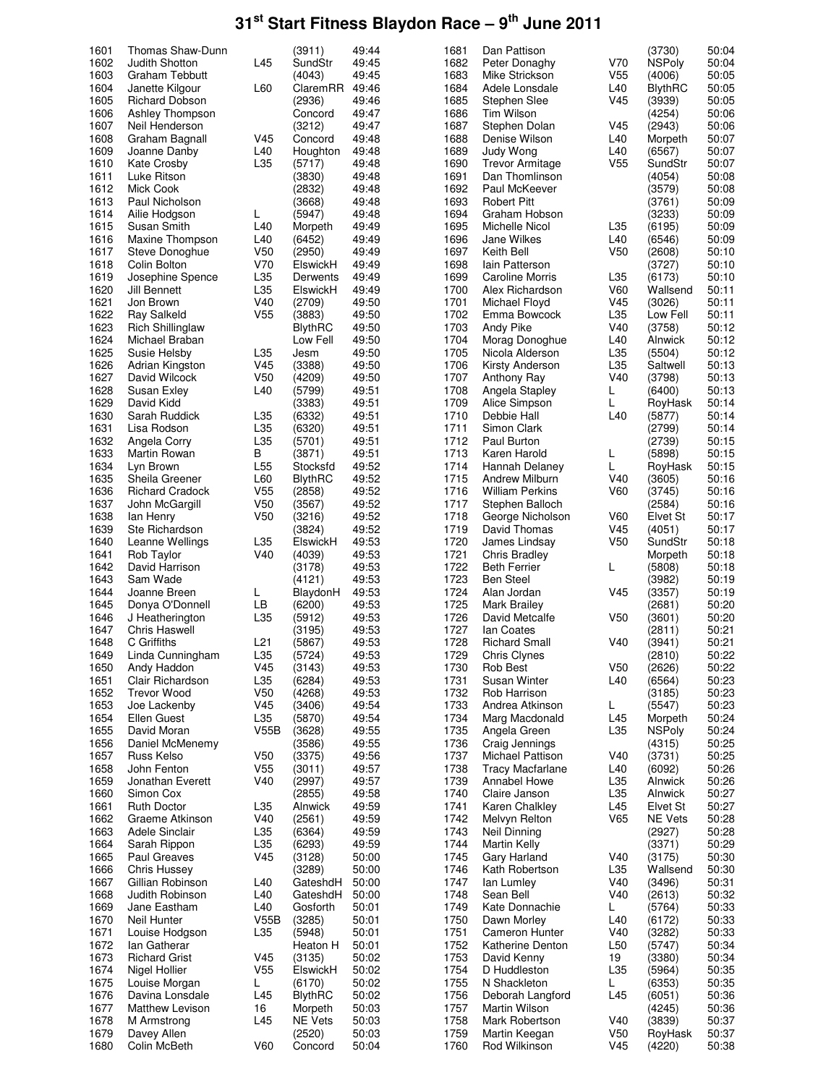| 1601         | Thomas Shaw-Dunn            |                 | (3911)            | 49:44          | 1681         | Dan Pattison                   |                        | (3730)            | 50:04          |
|--------------|-----------------------------|-----------------|-------------------|----------------|--------------|--------------------------------|------------------------|-------------------|----------------|
| 1602         | <b>Judith Shotton</b>       | L45             | SundStr           | 49:45          | 1682         | Peter Donaghy                  | V70                    | <b>NSPoly</b>     | 50:04          |
| 1603         | Graham Tebbutt              |                 | (4043)            | 49:45          | 1683         | Mike Strickson                 | V <sub>55</sub>        | (4006)            | 50:05          |
| 1604         |                             |                 |                   |                | 1684         |                                |                        |                   |                |
|              | Janette Kilgour             | L60             | ClaremRR          | 49:46          |              | Adele Lonsdale                 | L40                    | <b>BlythRC</b>    | 50:05          |
| 1605         | <b>Richard Dobson</b>       |                 | (2936)            | 49:46          | 1685         | Stephen Slee                   | V45                    | (3939)            | 50:05          |
| 1606         | Ashley Thompson             |                 | Concord           | 49:47          | 1686         | Tim Wilson                     |                        | (4254)            | 50:06          |
| 1607         | Neil Henderson              |                 | (3212)            | 49:47          | 1687         | Stephen Dolan                  | V45                    | (2943)            | 50:06          |
| 1608         | Graham Bagnall              | V <sub>45</sub> | Concord           | 49:48          | 1688         | Denise Wilson                  | L40                    | Morpeth           | 50:07          |
| 1609         | Joanne Danby                | L40             | Houghton          | 49:48          | 1689         | Judy Wong                      | L40                    | (6567)            | 50:07          |
| 1610         | <b>Kate Crosby</b>          | L35             | (5717)            | 49:48          | 1690         | Trevor Armitage                | V55                    | SundStr           | 50:07          |
| 1611         | Luke Ritson                 |                 | (3830)            | 49:48          | 1691         | Dan Thomlinson                 |                        | (4054)            | 50:08          |
| 1612         | Mick Cook                   |                 | (2832)            | 49:48          | 1692         | Paul McKeever                  |                        | (3579)            | 50:08          |
| 1613         | Paul Nicholson              |                 | (3668)            | 49:48          | 1693         | <b>Robert Pitt</b>             |                        | (3761)            | 50:09          |
| 1614         | Ailie Hodgson               | L               | (5947)            | 49:48          | 1694         | Graham Hobson                  |                        | (3233)            | 50:09          |
| 1615         | Susan Smith                 | L40             | Morpeth           | 49:49          | 1695         | Michelle Nicol                 | L35                    | (6195)            | 50:09          |
|              |                             |                 |                   |                |              |                                |                        |                   |                |
| 1616         | Maxine Thompson             | L40             | (6452)            | 49:49          | 1696         | <b>Jane Wilkes</b>             | L40                    | (6546)            | 50:09          |
| 1617         | Steve Donoghue              | V50             | (2950)            | 49:49          | 1697         | Keith Bell                     | V <sub>50</sub>        | (2608)            | 50:10          |
| 1618         | Colin Bolton                | V70             | ElswickH          | 49:49          | 1698         | lain Patterson                 |                        | (3727)            | 50:10          |
| 1619         | Josephine Spence            | L35             | Derwents          | 49:49          | 1699         | <b>Caroline Morris</b>         | L35                    | (6173)            | 50:10          |
| 1620         | Jill Bennett                | L35             | ElswickH          | 49:49          | 1700         | Alex Richardson                | V60                    | Wallsend          | 50:11          |
| 1621         | Jon Brown                   | V40             | (2709)            | 49:50          | 1701         | Michael Floyd                  | V45                    | (3026)            | 50:11          |
| 1622         | Ray Salkeld                 | V <sub>55</sub> | (3883)            | 49:50          | 1702         | Emma Bowcock                   | L35                    | Low Fell          | 50:11          |
| 1623         | <b>Rich Shillinglaw</b>     |                 | <b>BlythRC</b>    | 49:50          | 1703         | Andy Pike                      | V40                    | (3758)            | 50:12          |
| 1624         | Michael Braban              |                 | Low Fell          | 49:50          | 1704         | Morag Donoghue                 | L40                    | Alnwick           | 50:12          |
| 1625         | Susie Helsby                | L35             | Jesm              | 49:50          | 1705         | Nicola Alderson                | L35                    | (5504)            | 50:12          |
| 1626         | Adrian Kingston             | V45             | (3388)            | 49:50          | 1706         | Kirsty Anderson                | L35                    | Saltwell          | 50:13          |
| 1627         | David Wilcock               | V50             | (4209)            | 49:50          | 1707         | Anthony Ray                    | V40                    | (3798)            | 50:13          |
| 1628         |                             | L40             |                   | 49:51          | 1708         |                                | L                      | (6400)            | 50:13          |
|              | Susan Exley                 |                 | (5799)            |                |              | Angela Stapley                 |                        |                   |                |
| 1629         | David Kidd                  |                 | (3383)            | 49:51          | 1709         | Alice Simpson                  | L                      | RoyHask           | 50:14          |
| 1630         | Sarah Ruddick               | L35             | (6332)            | 49:51          | 1710         | Debbie Hall                    | L40                    | (5877)            | 50:14          |
| 1631         | Lisa Rodson                 | L35             | (6320)            | 49:51          | 1711         | Simon Clark                    |                        | (2799)            | 50:14          |
| 1632         | Angela Corry                | L35             | (5701)            | 49:51          | 1712         | Paul Burton                    |                        | (2739)            | 50:15          |
| 1633         | Martin Rowan                | В               | (3871)            | 49:51          | 1713         | Karen Harold                   | L                      | (5898)            | 50:15          |
| 1634         | Lyn Brown                   | L <sub>55</sub> | Stocksfd          | 49:52          | 1714         | Hannah Delaney                 | L                      | RoyHask           | 50:15          |
| 1635         | Sheila Greener              | L60             | <b>BlythRC</b>    | 49:52          | 1715         | <b>Andrew Milburn</b>          | V40                    | (3605)            | 50:16          |
| 1636         | <b>Richard Cradock</b>      | V <sub>55</sub> | (2858)            | 49:52          | 1716         | <b>William Perkins</b>         | V60                    | (3745)            | 50:16          |
| 1637         | John McGargill              | V <sub>50</sub> | (3567)            | 49:52          | 1717         | Stephen Balloch                |                        | (2584)            | 50:16          |
| 1638         | lan Henry                   | V <sub>50</sub> | (3216)            | 49:52          | 1718         | George Nicholson               | V60                    | Elvet St          | 50:17          |
| 1639         | Ste Richardson              |                 | (3824)            | 49:52          | 1719         | David Thomas                   | V45                    | (4051)            | 50:17          |
| 1640         | Leanne Wellings             | L35             | ElswickH          | 49:53          | 1720         | James Lindsay                  | V <sub>50</sub>        | SundStr           | 50:18          |
| 1641         | Rob Taylor                  | V40             | (4039)            | 49:53          | 1721         | Chris Bradley                  |                        | Morpeth           | 50:18          |
| 1642         | David Harrison              |                 | (3178)            | 49:53          | 1722         | <b>Beth Ferrier</b>            | L                      | (5808)            | 50:18          |
| 1643         | Sam Wade                    |                 | (4121)            | 49:53          | 1723         | <b>Ben Steel</b>               |                        | (3982)            | 50:19          |
| 1644         | Joanne Breen                |                 |                   |                | 1724         | Alan Jordan                    |                        |                   |                |
|              |                             | L               | BlaydonH          | 49:53          |              |                                | V45                    | (3357)            | 50:19          |
| 1645         | Donya O'Donnell             | LВ              | (6200)            | 49:53          | 1725         | Mark Brailey                   |                        | (2681)            | 50:20          |
| 1646         | J Heatherington             | L35             | (5912)            | 49:53          | 1726         | David Metcalfe                 | V50                    | (3601)            | 50:20          |
| 1647         | Chris Haswell               |                 | (3195)            | 49:53          | 1727         | lan Coates                     |                        | (2811)            | 50:21          |
| 1648         | C Griffiths                 | L21             | (5867)            | 49:53          | 1728         | <b>Richard Small</b>           | V40                    | (3941)            | 50:21          |
| 1649         | Linda Cunningham            | L35             | (5724)            | 49:53          | 1729         | Chris Clynes                   |                        | (2810)            | 50:22          |
| 1650         | Andy Haddon                 | V45             | (3143)            | 49:53          | 1730         | Rob Best                       | V <sub>50</sub>        | (2626)            | 50:22          |
| 1651         | Clair Richardson            | L35             | (6284)            | 49:53          | 1731         | <b>Susan Winter</b>            | L40                    | (6564)            | 50:23          |
| 1652         | <b>Trevor Wood</b>          | V <sub>50</sub> | (4268)            | 49:53          | 1732         | Rob Harrison                   |                        | (3185)            | 50:23          |
| 1653         | Joe Lackenby                | V <sub>45</sub> | (3406)            | 49:54          | 1733         | Andrea Atkinson                | L.                     | (5547)            | 50:23          |
| 1654         | Ellen Guest                 | L35             | (5870)            | 49:54          | 1734         | Marg Macdonald                 | L45                    | Morpeth           | 50:24          |
| 1655         | David Moran                 | V55B            | (3628)            | 49:55          | 1735         | Angela Green                   | L35                    | <b>NSPoly</b>     | 50:24          |
| 1656         | Daniel McMenemy             |                 | (3586)            | 49:55          | 1736         | Craig Jennings                 |                        | (4315)            | 50:25          |
| 1657         | Russ Kelso                  | V50             | (3375)            | 49:56          | 1737         | Michael Pattison               | V40                    | (3731)            | 50:25          |
| 1658         | John Fenton                 | V <sub>55</sub> | (3011)            | 49:57          | 1738         | <b>Tracy Macfarlane</b>        | L40                    | (6092)            | 50:26          |
| 1659         | Jonathan Everett            | V40             | (2997)            | 49:57          | 1739         | Annabel Howe                   | L35                    | Alnwick           | 50:26          |
|              |                             |                 |                   |                |              |                                |                        |                   |                |
| 1660         | Simon Cox                   |                 | (2855)            | 49:58          | 1740         | Claire Janson                  | L35                    | Alnwick           | 50:27          |
| 1661         | <b>Ruth Doctor</b>          | L35             | Alnwick           | 49:59          | 1741         | Karen Chalkley                 | L45                    | Elvet St          | 50:27          |
| 1662         | Graeme Atkinson             | V40             | (2561)            | 49:59          | 1742         | Melvyn Relton                  | V65                    | <b>NE Vets</b>    | 50:28          |
| 1663         | Adele Sinclair              | L35             | (6364)            | 49:59          | 1743         | Neil Dinning                   |                        | (2927)            | 50:28          |
| 1664         | Sarah Rippon                | L35             | (6293)            | 49:59          | 1744         | <b>Martin Kelly</b>            |                        | (3371)            | 50:29          |
| 1665         | Paul Greaves                | V <sub>45</sub> | (3128)            | 50:00          | 1745         | Gary Harland                   | V40                    | (3175)            | 50:30          |
| 1666         | <b>Chris Hussey</b>         |                 | (3289)            | 50:00          | 1746         | Kath Robertson                 | L35                    | Wallsend          | 50:30          |
| 1667         | Gillian Robinson            | L40             | GateshdH          | 50:00          | 1747         | lan Lumley                     | V40                    | (3496)            | 50:31          |
| 1668         | Judith Robinson             | L40             | GateshdH          | 50:00          | 1748         | Sean Bell                      | V40                    | (2613)            | 50:32          |
| 1669         | Jane Eastham                | L40             | Gosforth          | 50:01          | 1749         | Kate Donnachie                 | L                      | (5764)            | 50:33          |
| 1670         | Neil Hunter                 | V55B            | (3285)            | 50:01          | 1750         | Dawn Morley                    | L40                    | (6172)            | 50:33          |
| 1671         | Louise Hodgson              | L35             | (5948)            | 50:01          | 1751         | Cameron Hunter                 | V40                    | (3282)            | 50:33          |
| 1672         | lan Gatherar                |                 | Heaton H          | 50:01          | 1752         | Katherine Denton               | L <sub>50</sub>        | (5747)            | 50:34          |
| 1673         | <b>Richard Grist</b>        | V <sub>45</sub> | (3135)            | 50:02          | 1753         | David Kenny                    | 19                     | (3380)            | 50:34          |
| 1674         | Nigel Hollier               | V <sub>55</sub> | ElswickH          | 50:02          | 1754         | D Huddleston                   | L35                    | (5964)            | 50:35          |
| 1675         |                             |                 |                   | 50:02          | 1755         |                                |                        |                   | 50:35          |
|              | Louise Morgan               | L               | (6170)            |                |              | N Shackleton                   | L.<br>L45              | (6353)            | 50:36          |
| 1676         |                             |                 |                   |                |              |                                |                        |                   |                |
|              | Davina Lonsdale             | L45             | <b>BlythRC</b>    | 50:02          | 1756         | Deborah Langford               |                        | (6051)            |                |
| 1677         | <b>Matthew Levison</b>      | 16              | Morpeth           | 50:03          | 1757         | Martin Wilson                  |                        | (4245)            | 50:36          |
| 1678         | M Armstrong                 | L45             | <b>NE Vets</b>    | 50:03          | 1758         | Mark Robertson                 | V40                    | (3839)            | 50:37          |
| 1679<br>1680 | Davey Allen<br>Colin McBeth | V60             | (2520)<br>Concord | 50:03<br>50:04 | 1759<br>1760 | Martin Keegan<br>Rod Wilkinson | V <sub>50</sub><br>V45 | RoyHask<br>(4220) | 50:37<br>50:38 |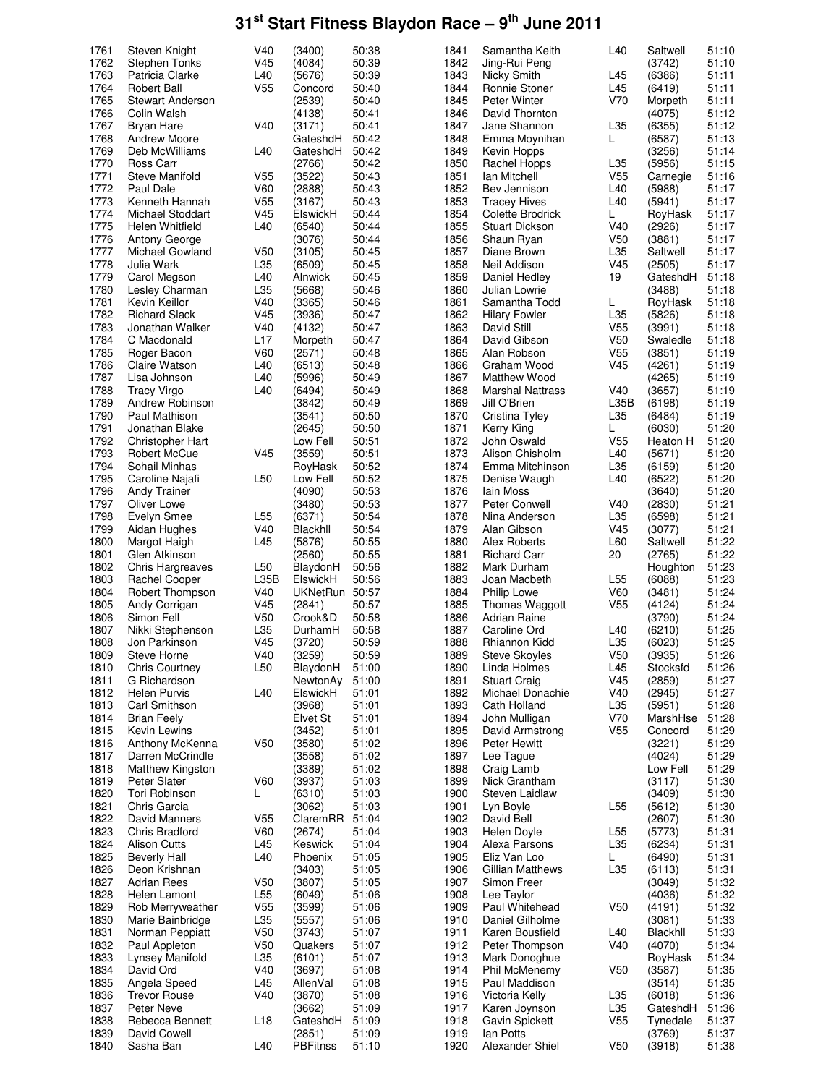| 1761         | Steven Knight             | V40             | (3400)                    | 50:38          | 1841         | Samantha Keith               | L40             | Saltwell         | 51:10          |
|--------------|---------------------------|-----------------|---------------------------|----------------|--------------|------------------------------|-----------------|------------------|----------------|
| 1762         | Stephen Tonks             | V <sub>45</sub> | (4084)                    | 50:39          | 1842         | Jing-Rui Peng                |                 | (3742)           | 51:10          |
| 1763         | Patricia Clarke           | L40             | (5676)                    | 50:39          | 1843         | Nicky Smith                  | L45             | (6386)           | 51:11          |
| 1764         | Robert Ball               | V <sub>55</sub> | Concord                   | 50:40          | 1844         | Ronnie Stoner                | L45             | (6419)           | 51:11          |
|              |                           |                 |                           |                |              |                              |                 |                  |                |
| 1765         | Stewart Anderson          |                 | (2539)                    | 50:40          | 1845         | <b>Peter Winter</b>          | V70             | Morpeth          | 51:11          |
| 1766         | Colin Walsh               |                 | (4138)                    | 50:41          | 1846         | David Thornton               |                 | (4075)           | 51:12          |
| 1767         | Bryan Hare                | V40             | (3171)                    | 50:41          | 1847         | Jane Shannon                 | L35             | (6355)           | 51:12          |
| 1768         | <b>Andrew Moore</b>       |                 | GateshdH                  | 50:42          | 1848         | Emma Moynihan                | L.              | (6587)           | 51:13          |
|              |                           |                 |                           |                |              |                              |                 |                  |                |
| 1769         | Deb McWilliams            | L40             | GateshdH                  | 50:42          | 1849         | Kevin Hopps                  |                 | (3256)           | 51:14          |
| 1770         | Ross Carr                 |                 | (2766)                    | 50:42          | 1850         | Rachel Hopps                 | L35             | (5956)           | 51:15          |
| 1771         | Steve Manifold            | V55             | (3522)                    | 50:43          | 1851         | lan Mitchell                 | V <sub>55</sub> | Carnegie         | 51:16          |
| 1772         | Paul Dale                 | <b>V60</b>      |                           | 50:43          | 1852         | Bev Jennison                 | L40             |                  | 51:17          |
|              |                           |                 | (2888)                    |                |              |                              |                 | (5988)           |                |
| 1773         | Kenneth Hannah            | V55             | (3167)                    | 50:43          | 1853         | <b>Tracey Hives</b>          | L40             | (5941)           | 51:17          |
| 1774         | <b>Michael Stoddart</b>   | V <sub>45</sub> | ElswickH                  | 50:44          | 1854         | <b>Colette Brodrick</b>      | L               | RoyHask          | 51:17          |
| 1775         | Helen Whitfield           | L40             | (6540)                    | 50:44          | 1855         | <b>Stuart Dickson</b>        | V40             | (2926)           | 51:17          |
|              |                           |                 |                           |                |              |                              |                 |                  |                |
| 1776         | <b>Antony George</b>      |                 | (3076)                    | 50:44          | 1856         | Shaun Ryan                   | V <sub>50</sub> | (3881)           | 51:17          |
| 1777         | Michael Gowland           | V <sub>50</sub> | (3105)                    | 50:45          | 1857         | Diane Brown                  | L35             | Saltwell         | 51:17          |
| 1778         | Julia Wark                | L35             | (6509)                    | 50:45          | 1858         | Neil Addison                 | V45             | (2505)           | 51:17          |
| 1779         | Carol Megson              | L40             | Alnwick                   | 50:45          | 1859         | Daniel Hedley                | 19              | GateshdH         | 51:18          |
|              |                           |                 |                           |                |              |                              |                 |                  |                |
| 1780         | Lesley Charman            | L35             | (5668)                    | 50:46          | 1860         | Julian Lowrie                |                 | (3488)           | 51:18          |
| 1781         | Kevin Keillor             | V40             | (3365)                    | 50:46          | 1861         | Samantha Todd                | L.              | RoyHask          | 51:18          |
| 1782         | <b>Richard Slack</b>      | V <sub>45</sub> | (3936)                    | 50:47          | 1862         | <b>Hilary Fowler</b>         | L35             | (5826)           | 51:18          |
| 1783         | Jonathan Walker           | V40             | (4132)                    | 50:47          | 1863         | David Still                  | V <sub>55</sub> | (3991)           | 51:18          |
|              |                           |                 |                           |                |              |                              |                 |                  |                |
| 1784         | C Macdonald               | L <sub>17</sub> | Morpeth                   | 50:47          | 1864         | David Gibson                 | V50             | Swaledle         | 51:18          |
| 1785         | Roger Bacon               | <b>V60</b>      | (2571)                    | 50:48          | 1865         | Alan Robson                  | V <sub>55</sub> | (3851)           | 51:19          |
| 1786         | Claire Watson             | L40             | (6513)                    | 50:48          | 1866         | Graham Wood                  | V45             | (4261)           | 51:19          |
| 1787         | Lisa Johnson              | L40             | (5996)                    | 50:49          | 1867         | Matthew Wood                 |                 | (4265)           | 51:19          |
|              |                           |                 |                           |                |              |                              |                 |                  |                |
| 1788         | <b>Tracy Virgo</b>        | L40             | (6494)                    | 50:49          | 1868         | <b>Marshal Nattrass</b>      | V40             | (3657)           | 51:19          |
| 1789         | Andrew Robinson           |                 | (3842)                    | 50:49          | 1869         | Jill O'Brien                 | L35B            | (6198)           | 51:19          |
| 1790         | Paul Mathison             |                 | (3541)                    | 50:50          | 1870         | Cristina Tyley               | L35             | (6484)           | 51:19          |
|              |                           |                 |                           |                |              |                              |                 |                  |                |
| 1791         | Jonathan Blake            |                 | (2645)                    | 50:50          | 1871         | Kerry King                   | L               | (6030)           | 51:20          |
| 1792         | Christopher Hart          |                 | Low Fell                  | 50:51          | 1872         | John Oswald                  | V <sub>55</sub> | Heaton H         | 51:20          |
| 1793         | Robert McCue              | V45             | (3559)                    | 50:51          | 1873         | Alison Chisholm              | L40             | (5671)           | 51:20          |
| 1794         | Sohail Minhas             |                 | RoyHask                   | 50:52          | 1874         | Emma Mitchinson              | L35             | (6159)           | 51:20          |
|              |                           |                 |                           |                |              |                              |                 |                  |                |
| 1795         | Caroline Najafi           | L50             | Low Fell                  | 50:52          | 1875         | Denise Waugh                 | L40             | (6522)           | 51:20          |
| 1796         | <b>Andy Trainer</b>       |                 | (4090)                    | 50:53          | 1876         | Iain Moss                    |                 | (3640)           | 51:20          |
| 1797         | Oliver Lowe               |                 | (3480)                    | 50:53          | 1877         | Peter Conwell                | V40             | (2830)           | 51:21          |
| 1798         |                           | L <sub>55</sub> | (6371)                    | 50:54          | 1878         | Nina Anderson                | L35             |                  | 51:21          |
|              | Evelyn Smee               |                 |                           |                |              |                              |                 | (6598)           |                |
| 1799         | Aidan Hughes              | V40             | Blackhll                  | 50:54          | 1879         | Alan Gibson                  | V45             | (3077)           | 51:21          |
| 1800         | Margot Haigh              | L45             | (5876)                    | 50:55          | 1880         | Alex Roberts                 | L60             | Saltwell         | 51:22          |
| 1801         | Glen Atkinson             |                 | (2560)                    | 50:55          | 1881         | <b>Richard Carr</b>          | 20              | (2765)           | 51:22          |
|              |                           |                 |                           |                |              |                              |                 |                  |                |
| 1802         | Chris Hargreaves          | L50             | BlaydonH                  | 50:56          | 1882         | Mark Durham                  |                 | Houghton         | 51:23          |
| 1803         | <b>Rachel Cooper</b>      | L35B            | ElswickH                  | 50:56          | 1883         | Joan Macbeth                 | L <sub>55</sub> | (6088)           | 51:23          |
| 1804         | Robert Thompson           | V40             | <b>UKNetRun</b>           | 50:57          | 1884         | Philip Lowe                  | V60             | (3481)           | 51:24          |
| 1805         | Andy Corrigan             | V <sub>45</sub> | (2841)                    | 50:57          | 1885         | Thomas Waggott               | V <sub>55</sub> | (4124)           | 51:24          |
|              |                           |                 |                           |                |              |                              |                 |                  |                |
| 1806         | Simon Fell                | V <sub>50</sub> | Crook&D                   | 50:58          | 1886         | <b>Adrian Raine</b>          |                 | (3790)           | 51:24          |
| 1807         | Nikki Stephenson          | L35             | DurhamH                   | 50:58          | 1887         | Caroline Ord                 | L40             | (6210)           | 51:25          |
| 1808         | Jon Parkinson             | V45             | (3720)                    | 50:59          | 1888         | Rhiannon Kidd                | L35             | (6023)           | 51:25          |
| 1809         | Steve Horne               | V40             |                           | 50:59          | 1889         |                              | V <sub>50</sub> | (3935)           | 51:26          |
|              |                           |                 | (3259)                    |                |              | Steve Skoyles                |                 |                  |                |
| 1810         | Chris Courtney            | L <sub>50</sub> | BlaydonH                  | 51:00          | 1890         | Linda Holmes                 | L45             | Stocksfd         | 51:26          |
| 1811         | G Richardson              |                 | NewtonAy                  | 51:00          | 1891         | <b>Stuart Craig</b>          | V <sub>45</sub> | (2859)           | 51:27          |
| 1812         | <b>Helen Purvis</b>       | L40             | ElswickH                  | 51:01          | 1892         | Michael Donachie             | V40             | (2945)           | 51:27          |
| 1813         | Carl Smithson             |                 | (3968)                    | 51:01          | 1893         | Cath Holland                 | L35             | (5951)           | 51:28          |
|              |                           |                 |                           |                |              |                              |                 |                  |                |
| 1814         | Brian Feely               |                 | Elvet St                  | 51:01          | 1894         | John Mulligan                | V70             | MarshHse         | 51:28          |
| 1815         | Kevin Lewins              |                 | (3452)                    | 51:01          | 1895         | David Armstrong              | V55             | Concord          | 51:29          |
| 1816         | Anthony McKenna           | V <sub>50</sub> | (3580)                    | 51:02          | 1896         | Peter Hewitt                 |                 | (3221)           | 51:29          |
| 1817         | Darren McCrindle          |                 | (3558)                    | 51:02          | 1897         | Lee Tague                    |                 | (4024)           | 51:29          |
|              |                           |                 |                           |                |              |                              |                 |                  |                |
| 1818         | Matthew Kingston          |                 | (3389)                    | 51:02          | 1898         | Craig Lamb                   |                 | Low Fell         | 51:29          |
| 1819         | Peter Slater              | V60             | (3937)                    | 51:03          | 1899         | Nick Grantham                |                 | (3117)           | 51:30          |
| 1820         | Tori Robinson             | L               | (6310)                    | 51:03          | 1900         | <b>Steven Laidlaw</b>        |                 | (3409)           | 51:30          |
|              |                           |                 |                           |                |              |                              |                 |                  |                |
| 1821         | Chris Garcia              |                 | (3062)                    | 51:03          | 1901         | Lyn Boyle                    | L <sub>55</sub> | (5612)           | 51:30          |
| 1822         | David Manners             | V55             | ClaremRR                  | 51:04          | 1902         | David Bell                   |                 | (2607)           | 51:30          |
| 1823         | Chris Bradford            | V60             | (2674)                    | 51:04          | 1903         | Helen Doyle                  | L55             | (5773)           | 51:31          |
| 1824         | Alison Cutts              | L45             | Keswick                   | 51:04          | 1904         | Alexa Parsons                | L35             | (6234)           | 51:31          |
|              |                           |                 |                           |                |              |                              |                 |                  |                |
| 1825         | <b>Beverly Hall</b>       | L40             | Phoenix                   | 51:05          | 1905         | Eliz Van Loo                 | L.              | (6490)           | 51:31          |
| 1826         | Deon Krishnan             |                 | (3403)                    | 51:05          | 1906         | Gillian Matthews             | L35             | (6113)           | 51:31          |
| 1827         | Adrian Rees               | V <sub>50</sub> | (3807)                    | 51:05          | 1907         | Simon Freer                  |                 | (3049)           | 51:32          |
|              |                           |                 |                           |                |              |                              |                 |                  |                |
| 1828         | Helen Lamont              | L <sub>55</sub> | (6049)                    | 51:06          | 1908         | Lee Taylor                   |                 | (4036)           | 51:32          |
| 1829         | Rob Merryweather          | V <sub>55</sub> | (3599)                    | 51:06          | 1909         | Paul Whitehead               | V <sub>50</sub> | (4191)           | 51:32          |
| 1830         | Marie Bainbridge          | L35             | (5557)                    | 51:06          | 1910         | Daniel Gilholme              |                 | (3081)           | 51:33          |
| 1831         | Norman Peppiatt           | V50             | (3743)                    | 51:07          | 1911         | Karen Bousfield              | L40             | Blackhll         | 51:33          |
|              |                           |                 |                           |                |              |                              |                 |                  |                |
| 1832         | Paul Appleton             | V <sub>50</sub> | Quakers                   | 51:07          | 1912         | Peter Thompson               | V40             | (4070)           | 51:34          |
| 1833         | Lynsey Manifold           | L35             | (6101)                    | 51:07          | 1913         | Mark Donoghue                |                 | RoyHask          | 51:34          |
| 1834         | David Ord                 | V40             | (3697)                    | 51:08          | 1914         | Phil McMenemy                | V <sub>50</sub> | (3587)           | 51:35          |
|              |                           |                 |                           |                |              |                              |                 |                  |                |
|              |                           |                 |                           |                |              |                              |                 |                  |                |
| 1835         | Angela Speed              | L45             | AllenVal                  | 51:08          | 1915         | Paul Maddison                |                 | (3514)           | 51:35          |
| 1836         | <b>Trevor Rouse</b>       | V40             | (3870)                    | 51:08          | 1916         | Victoria Kelly               | L35             | (6018)           | 51:36          |
| 1837         | Peter Neve                |                 | (3662)                    | 51:09          | 1917         | Karen Joynson                | L35             | GateshdH         |                |
|              |                           |                 |                           |                |              |                              |                 |                  | 51:36          |
| 1838         | Rebecca Bennett           | L <sub>18</sub> | GateshdH                  | 51:09          | 1918         | Gavin Spickett               | V55             | Tynedale         | 51:37          |
| 1839<br>1840 | David Cowell<br>Sasha Ban | L40             | (2851)<br><b>PBFitnss</b> | 51:09<br>51:10 | 1919<br>1920 | lan Potts<br>Alexander Shiel | V <sub>50</sub> | (3769)<br>(3918) | 51:37<br>51:38 |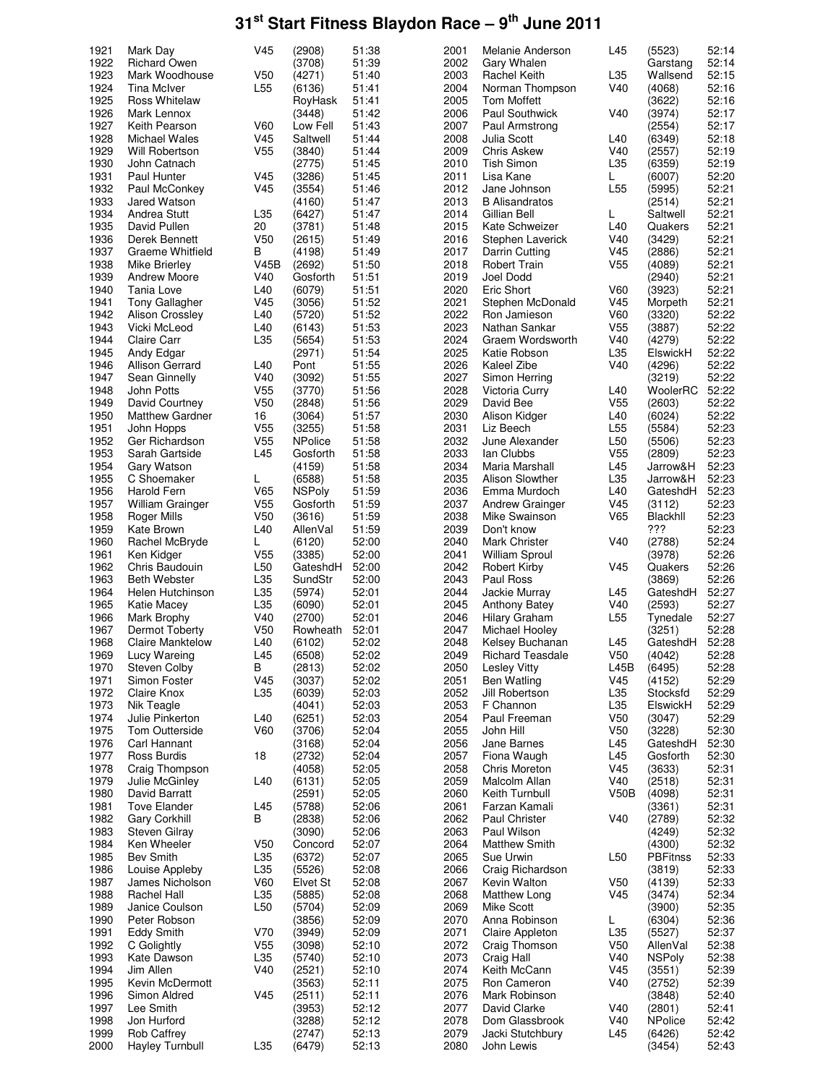| 1921 | Mark Day                | V45             | (2908)         | 51:38 | 2001 | Melanie Anderson      | L45             | (5523)          | 52:14 |
|------|-------------------------|-----------------|----------------|-------|------|-----------------------|-----------------|-----------------|-------|
| 1922 | <b>Richard Owen</b>     |                 | (3708)         | 51:39 | 2002 | Gary Whalen           |                 | Garstang        | 52:14 |
| 1923 | Mark Woodhouse          | V50             | (4271)         | 51:40 | 2003 | Rachel Keith          | L35             | Wallsend        | 52:15 |
| 1924 | Tina McIver             | L55             | (6136)         | 51:41 | 2004 | Norman Thompson       | V40             | (4068)          | 52:16 |
| 1925 | <b>Ross Whitelaw</b>    |                 | RoyHask        | 51:41 | 2005 | <b>Tom Moffett</b>    |                 | (3622)          | 52:16 |
| 1926 | Mark Lennox             |                 | (3448)         | 51:42 | 2006 | Paul Southwick        | V40             | (3974)          | 52:17 |
| 1927 | Keith Pearson           | V60             | Low Fell       | 51:43 | 2007 | Paul Armstrong        |                 | (2554)          | 52:17 |
| 1928 | Michael Wales           | V45             | Saltwell       | 51:44 | 2008 | Julia Scott           | L40             | (6349)          | 52:18 |
| 1929 | Will Robertson          | V <sub>55</sub> | (3840)         | 51:44 | 2009 | <b>Chris Askew</b>    | V40             | (2557)          | 52:19 |
| 1930 | John Catnach            |                 | (2775)         | 51:45 | 2010 | Tish Simon            | L35             | (6359)          | 52:19 |
| 1931 | Paul Hunter             | V45             | (3286)         | 51:45 | 2011 | Lisa Kane             | L               | (6007)          | 52:20 |
| 1932 | Paul McConkey           | V45             | (3554)         | 51:46 | 2012 | Jane Johnson          | L <sub>55</sub> | (5995)          | 52:21 |
| 1933 | Jared Watson            |                 | (4160)         | 51:47 | 2013 | <b>B</b> Alisandratos |                 | (2514)          | 52:21 |
| 1934 | Andrea Stutt            | L35             | (6427)         | 51:47 | 2014 | Gillian Bell          | L               | Saltwell        | 52:21 |
| 1935 | David Pullen            | 20              | (3781)         | 51:48 | 2015 | Kate Schweizer        | L40             | Quakers         | 52:21 |
| 1936 | Derek Bennett           | V50             | (2615)         | 51:49 | 2016 | Stephen Laverick      | V40             | (3429)          | 52:21 |
| 1937 | Graeme Whitfield        | В               | (4198)         | 51:49 | 2017 | Darrin Cutting        | V45             | (2886)          | 52:21 |
| 1938 | Mike Brierley           | V45B            | (2692)         | 51:50 | 2018 | Robert Train          | V <sub>55</sub> | (4089)          | 52:21 |
| 1939 | <b>Andrew Moore</b>     | V40             | Gosforth       | 51:51 | 2019 | Joel Dodd             |                 | (2940)          | 52:21 |
| 1940 | Tania Love              | L40             | (6079)         | 51:51 | 2020 | Eric Short            | V60             | (3923)          | 52:21 |
| 1941 | <b>Tony Gallagher</b>   | V45             | (3056)         | 51:52 | 2021 | Stephen McDonald      | V45             | Morpeth         | 52:21 |
| 1942 | Alison Crossley         | L40             | (5720)         | 51:52 | 2022 | Ron Jamieson          | V60             | (3320)          | 52:22 |
| 1943 | Vicki McLeod            | L40             | (6143)         | 51:53 | 2023 | Nathan Sankar         | V <sub>55</sub> | (3887)          | 52:22 |
| 1944 | Claire Carr             | L35             | (5654)         | 51:53 | 2024 | Graem Wordsworth      | V40             | (4279)          | 52:22 |
| 1945 | Andy Edgar              |                 | (2971)         | 51:54 | 2025 | Katie Robson          | L35             | ElswickH        | 52:22 |
| 1946 | Allison Gerrard         | L40             | Pont           | 51:55 | 2026 | Kaleel Zibe           | V40             | (4296)          | 52:22 |
| 1947 | Sean Ginnelly           | V40             | (3092)         | 51:55 | 2027 | Simon Herring         |                 | (3219)          | 52:22 |
| 1948 | John Potts              | V <sub>55</sub> | (3770)         | 51:56 | 2028 | Victoria Curry        | L40             | WoolerRC        | 52:22 |
| 1949 | David Courtney          | V50             | (2848)         | 51:56 | 2029 | David Bee             | V <sub>55</sub> | (2603)          | 52:22 |
| 1950 | <b>Matthew Gardner</b>  | 16              | (3064)         | 51:57 | 2030 | Alison Kidger         | L40             | (6024)          | 52:22 |
| 1951 | John Hopps              | V <sub>55</sub> | (3255)         | 51:58 | 2031 | Liz Beech             | L <sub>55</sub> | (5584)          | 52:23 |
| 1952 | Ger Richardson          | V55             | <b>NPolice</b> | 51:58 | 2032 | June Alexander        | L <sub>50</sub> | (5506)          | 52:23 |
| 1953 | Sarah Gartside          | L45             | Gosforth       | 51:58 | 2033 | lan Clubbs            | V <sub>55</sub> | (2809)          | 52:23 |
| 1954 | Gary Watson             |                 | (4159)         | 51:58 | 2034 | Maria Marshall        | L45             | Jarrow&H        | 52:23 |
| 1955 | C Shoemaker             | L               | (6588)         | 51:58 | 2035 | Alison Slowther       | L35             | Jarrow&H        | 52:23 |
| 1956 | Harold Fern             | V65             | <b>NSPoly</b>  | 51:59 | 2036 | Emma Murdoch          | L40             | GateshdH        | 52:23 |
| 1957 | <b>William Grainger</b> | V <sub>55</sub> | Gosforth       | 51:59 | 2037 | Andrew Grainger       | V45             | (3112)          | 52:23 |
| 1958 | Roger Mills             | V <sub>50</sub> | (3616)         | 51:59 | 2038 | Mike Swainson         | V65             | Blackhll        | 52:23 |
| 1959 | Kate Brown              | L40             | AllenVal       | 51:59 | 2039 | Don't know            |                 | ???             | 52:23 |
| 1960 | Rachel McBryde          | L               | (6120)         | 52:00 | 2040 | Mark Christer         | V40             | (2788)          | 52:24 |
| 1961 | Ken Kidger              | V55             | (3385)         | 52:00 | 2041 | William Sproul        |                 | (3978)          | 52:26 |
| 1962 | Chris Baudouin          | L50             | GateshdH       | 52:00 | 2042 | Robert Kirby          | V45             | Quakers         | 52:26 |
| 1963 | <b>Beth Webster</b>     | L35             | SundStr        | 52:00 | 2043 | Paul Ross             |                 | (3869)          | 52:26 |
| 1964 | Helen Hutchinson        | L35             | (5974)         | 52:01 | 2044 | Jackie Murray         | L45             | GateshdH        | 52:27 |
| 1965 | Katie Macey             | L35             | (6090)         | 52:01 | 2045 | <b>Anthony Batey</b>  | V40             | (2593)          | 52:27 |
| 1966 | Mark Brophy             | V40             | (2700)         | 52:01 | 2046 | Hilary Graham         | L <sub>55</sub> | Tynedale        | 52:27 |
| 1967 | Dermot Toberty          | V <sub>50</sub> | Rowheath       | 52:01 | 2047 | Michael Hooley        |                 | (3251)          | 52:28 |
| 1968 | <b>Claire Manktelow</b> | L40             | (6102)         | 52:02 | 2048 | Kelsey Buchanan       | L45             | GateshdH        | 52:28 |
| 1969 | Lucy Wareing            | L45             | (6508)         | 52:02 | 2049 | Richard Teasdale      | V <sub>50</sub> | (4042)          | 52:28 |
| 1970 | Steven Colby            | В               | (2813)         | 52:02 | 2050 | <b>Lesley Vitty</b>   | L45B            | (6495)          | 52:28 |
| 1971 | Simon Foster            | V45             | (3037)         | 52:02 | 2051 | <b>Ben Watling</b>    | V <sub>45</sub> | (4152)          | 52:29 |
| 1972 | Claire Knox             | L35             | (6039)         | 52:03 | 2052 | Jill Robertson        | L35             | Stocksfd        | 52:29 |
| 1973 | Nik Teagle              |                 | (4041)         | 52:03 | 2053 | F Channon             | L35             | ElswickH        | 52:29 |
| 1974 | Julie Pinkerton         | L40             | (6251)         | 52:03 | 2054 | Paul Freeman          | V <sub>50</sub> | (3047)          | 52:29 |
| 1975 | Tom Outterside          | V60             | (3706)         | 52:04 | 2055 | John Hill             | V <sub>50</sub> | (3228)          | 52:30 |
| 1976 | Carl Hannant            |                 | (3168)         | 52:04 | 2056 | Jane Barnes           | L45             | GateshdH        | 52:30 |
| 1977 | Ross Burdis             | 18              | (2732)         | 52:04 | 2057 | Fiona Waugh           | L45             | Gosforth        | 52:30 |
| 1978 | Craig Thompson          |                 | (4058)         | 52:05 | 2058 | Chris Moreton         | V45             | (3633)          | 52:31 |
| 1979 | Julie McGinley          | L40             | (6131)         | 52:05 | 2059 | Malcolm Allan         | V40             | (2518)          | 52:31 |
| 1980 | David Barratt           |                 | (2591)         | 52:05 | 2060 | Keith Turnbull        | V50B            | (4098)          | 52:31 |
| 1981 | <b>Tove Elander</b>     | L45             | (5788)         | 52:06 | 2061 | Farzan Kamali         |                 | (3361)          | 52:31 |
| 1982 | <b>Gary Corkhill</b>    | В               | (2838)         | 52:06 | 2062 | <b>Paul Christer</b>  | V40             | (2789)          | 52:32 |
| 1983 | Steven Gilray           |                 | (3090)         | 52:06 | 2063 | Paul Wilson           |                 | (4249)          | 52:32 |
| 1984 | Ken Wheeler             | V50             | Concord        | 52:07 | 2064 | <b>Matthew Smith</b>  |                 | (4300)          | 52:32 |
| 1985 | <b>Bev Smith</b>        | L35             | (6372)         | 52:07 | 2065 | Sue Urwin             | L <sub>50</sub> | <b>PBFitnss</b> | 52:33 |
| 1986 | Louise Appleby          | L35             | (5526)         | 52:08 | 2066 | Craig Richardson      |                 | (3819)          | 52:33 |
| 1987 | James Nicholson         | V60             | Elvet St       | 52:08 | 2067 | Kevin Walton          | V <sub>50</sub> | (4139)          | 52:33 |
| 1988 | Rachel Hall             | L35             | (5885)         | 52:08 | 2068 | Matthew Long          | V <sub>45</sub> | (3474)          | 52:34 |
| 1989 | Janice Coulson          | L <sub>50</sub> | (5704)         | 52:09 | 2069 | Mike Scott            |                 | (3900)          | 52:35 |
| 1990 | Peter Robson            |                 | (3856)         | 52:09 | 2070 | Anna Robinson         | L               | (6304)          | 52:36 |
| 1991 | Eddy Smith              | V70             | (3949)         | 52:09 | 2071 | Claire Appleton       | L35             | (5527)          | 52:37 |
| 1992 | C Golightly             | V55             | (3098)         | 52:10 | 2072 | Craig Thomson         | V <sub>50</sub> | AllenVal        | 52:38 |
| 1993 | Kate Dawson             | L35             | (5740)         | 52:10 | 2073 | Craig Hall            | V40             | <b>NSPoly</b>   | 52:38 |
| 1994 | Jim Allen               | V40             | (2521)         | 52:10 | 2074 | Keith McCann          | V45             | (3551)          | 52:39 |
| 1995 | Kevin McDermott         |                 | (3563)         | 52:11 | 2075 | Ron Cameron           | V40             | (2752)          | 52:39 |
| 1996 | Simon Aldred            | V <sub>45</sub> | (2511)         | 52:11 | 2076 | Mark Robinson         |                 | (3848)          | 52:40 |
| 1997 | Lee Smith               |                 | (3953)         | 52:12 | 2077 | David Clarke          | V40             | (2801)          | 52:41 |
| 1998 | Jon Hurford             |                 | (3288)         | 52:12 | 2078 | Dom Glassbrook        | V40             | <b>NPolice</b>  | 52:42 |
| 1999 | <b>Rob Caffrey</b>      |                 | (2747)         | 52:13 | 2079 | Jacki Stutchbury      | L45             | (6426)          | 52:42 |
| 2000 | <b>Hayley Turnbull</b>  | L35             | (6479)         | 52:13 | 2080 | John Lewis            |                 | (3454)          | 52:43 |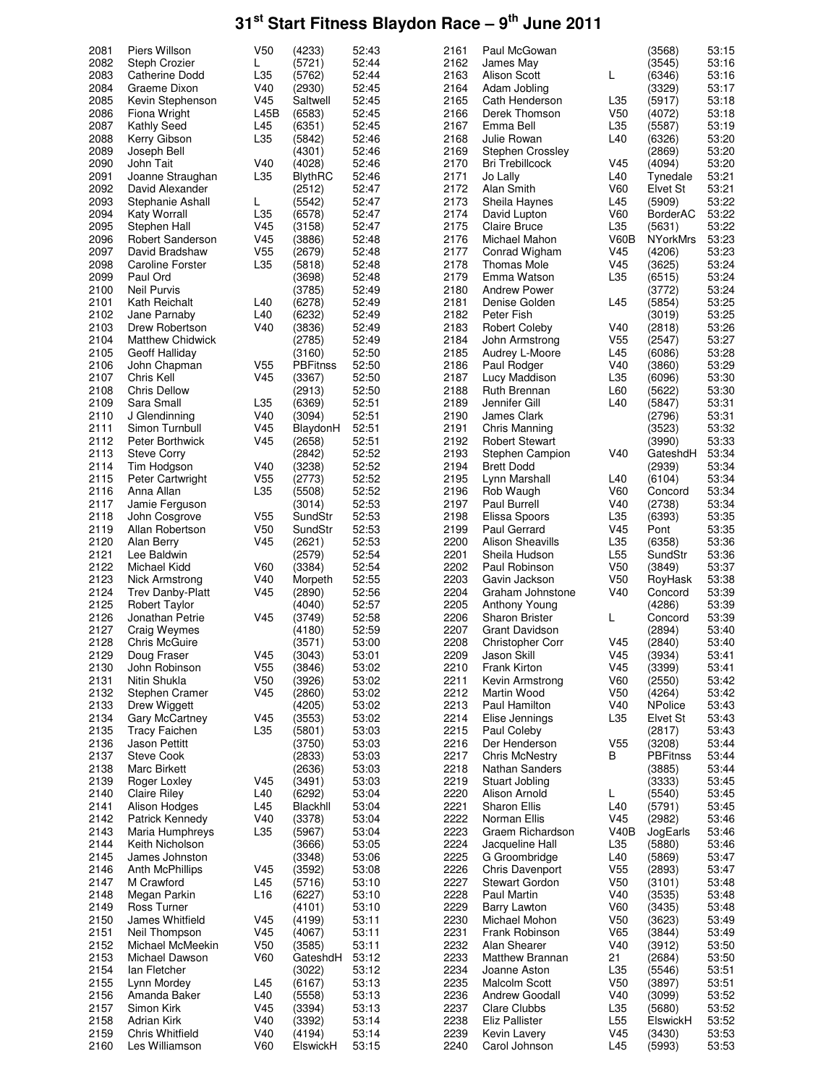| 2081 | Piers Willson           | V <sub>50</sub> | (4233)         | 52:43 | 2161 | Paul McGowan            |                 | (3568)          | 53:15 |
|------|-------------------------|-----------------|----------------|-------|------|-------------------------|-----------------|-----------------|-------|
| 2082 | Steph Crozier           | L               | (5721)         | 52:44 | 2162 | James May               |                 | (3545)          | 53:16 |
| 2083 | <b>Catherine Dodd</b>   | L35             | (5762)         | 52:44 | 2163 | Alison Scott            | L               | (6346)          | 53:16 |
| 2084 | Graeme Dixon            | V40             | (2930)         | 52:45 | 2164 | Adam Jobling            |                 | (3329)          | 53:17 |
| 2085 | Kevin Stephenson        | V <sub>45</sub> | Saltwell       | 52:45 | 2165 | Cath Henderson          | L35             | (5917)          | 53:18 |
| 2086 | Fiona Wright            | L45B            | (6583)         | 52:45 | 2166 | Derek Thomson           | V <sub>50</sub> | (4072)          | 53:18 |
|      |                         |                 |                |       |      |                         |                 |                 |       |
| 2087 | Kathly Seed             | L45             | (6351)         | 52:45 | 2167 | Emma Bell               | L35             | (5587)          | 53:19 |
| 2088 | Kerry Gibson            | L35             | (5842)         | 52:46 | 2168 | Julie Rowan             | L40             | (6326)          | 53:20 |
| 2089 | Joseph Bell             |                 | (4301)         | 52:46 | 2169 | Stephen Crossley        |                 | (2869)          | 53:20 |
| 2090 | John Tait               | V40             | (4028)         | 52:46 | 2170 | <b>Bri Trebillcock</b>  | V45             | (4094)          | 53:20 |
| 2091 | Joanne Straughan        | L35             | <b>BlythRC</b> | 52:46 | 2171 | Jo Lally                | L40             | Tynedale        | 53:21 |
| 2092 | David Alexander         |                 | (2512)         | 52:47 | 2172 | Alan Smith              | V60             | Elvet St        | 53:21 |
| 2093 | Stephanie Ashall        | L               | (5542)         | 52:47 | 2173 | Sheila Haynes           | L45             | (5909)          | 53:22 |
| 2094 | <b>Katy Worrall</b>     | L35             | (6578)         | 52:47 | 2174 | David Lupton            | V60             | <b>BorderAC</b> | 53:22 |
| 2095 | Stephen Hall            | V45             | (3158)         | 52:47 | 2175 | Claire Bruce            | L35             | (5631)          | 53:22 |
| 2096 | Robert Sanderson        | V <sub>45</sub> | (3886)         | 52:48 | 2176 | Michael Mahon           | V60B            | <b>NYorkMrs</b> | 53:23 |
| 2097 | David Bradshaw          | V <sub>55</sub> | (2679)         | 52:48 | 2177 | Conrad Wigham           | V45             | (4206)          | 53:23 |
| 2098 | <b>Caroline Forster</b> | L35             | (5818)         | 52:48 | 2178 | <b>Thomas Mole</b>      | V45             | (3625)          | 53:24 |
| 2099 | Paul Ord                |                 | (3698)         | 52:48 | 2179 | Emma Watson             | L35             | (6515)          | 53:24 |
| 2100 | <b>Neil Purvis</b>      |                 | (3785)         | 52:49 | 2180 | <b>Andrew Power</b>     |                 | (3772)          | 53:24 |
|      |                         |                 |                |       |      |                         |                 |                 |       |
| 2101 | Kath Reichalt           | L40             | (6278)         | 52:49 | 2181 | Denise Golden           | L45             | (5854)          | 53:25 |
| 2102 | Jane Parnaby            | L40             | (6232)         | 52:49 | 2182 | Peter Fish              |                 | (3019)          | 53:25 |
| 2103 | Drew Robertson          | V40             | (3836)         | 52:49 | 2183 | <b>Robert Coleby</b>    | V40             | (2818)          | 53:26 |
| 2104 | <b>Matthew Chidwick</b> |                 | (2785)         | 52:49 | 2184 | John Armstrong          | V <sub>55</sub> | (2547)          | 53:27 |
| 2105 | Geoff Halliday          |                 | (3160)         | 52:50 | 2185 | Audrey L-Moore          | L45             | (6086)          | 53:28 |
| 2106 | John Chapman            | V <sub>55</sub> | PBFitnss       | 52:50 | 2186 | Paul Rodger             | V40             | (3860)          | 53:29 |
| 2107 | Chris Kell              | V <sub>45</sub> | (3367)         | 52:50 | 2187 | Lucy Maddison           | L35             | (6096)          | 53:30 |
| 2108 | <b>Chris Dellow</b>     |                 | (2913)         | 52:50 | 2188 | Ruth Brennan            | L60             | (5622)          | 53:30 |
| 2109 | Sara Small              | L35             | (6369)         | 52:51 | 2189 | Jennifer Gill           | L40             | (5847)          | 53:31 |
| 2110 | J Glendinning           | V40             | (3094)         | 52:51 | 2190 | James Clark             |                 | (2796)          | 53:31 |
| 2111 | Simon Turnbull          | V <sub>45</sub> | BlaydonH       | 52:51 | 2191 | Chris Manning           |                 | (3523)          | 53:32 |
| 2112 | Peter Borthwick         | V <sub>45</sub> |                | 52:51 | 2192 |                         |                 |                 | 53:33 |
|      |                         |                 | (2658)         |       |      | <b>Robert Stewart</b>   |                 | (3990)          |       |
| 2113 | <b>Steve Corry</b>      |                 | (2842)         | 52:52 | 2193 | Stephen Campion         | V40             | GateshdH        | 53:34 |
| 2114 | Tim Hodgson             | V40             | (3238)         | 52:52 | 2194 | <b>Brett Dodd</b>       |                 | (2939)          | 53:34 |
| 2115 | Peter Cartwright        | V <sub>55</sub> | (2773)         | 52:52 | 2195 | Lynn Marshall           | L40             | (6104)          | 53:34 |
| 2116 | Anna Allan              | L35             | (5508)         | 52:52 | 2196 | Rob Waugh               | V60             | Concord         | 53:34 |
| 2117 | Jamie Ferguson          |                 | (3014)         | 52:53 | 2197 | <b>Paul Burrell</b>     | V40             | (2738)          | 53:34 |
| 2118 | John Cosgrove           | V <sub>55</sub> | SundStr        | 52:53 | 2198 | Elissa Spoors           | L35             | (6393)          | 53:35 |
| 2119 | Allan Robertson         | V <sub>50</sub> | SundStr        | 52:53 | 2199 | Paul Gerrard            | V45             | Pont            | 53:35 |
| 2120 | Alan Berry              | V <sub>45</sub> | (2621)         | 52:53 | 2200 | <b>Alison Sheavills</b> | L35             | (6358)          | 53:36 |
| 2121 | Lee Baldwin             |                 | (2579)         | 52:54 | 2201 | Sheila Hudson           | L <sub>55</sub> | SundStr         | 53:36 |
| 2122 | Michael Kidd            | V60             | (3384)         | 52:54 | 2202 | Paul Robinson           | V <sub>50</sub> | (3849)          | 53:37 |
| 2123 | Nick Armstrong          | V40             | Morpeth        | 52:55 | 2203 | Gavin Jackson           | V <sub>50</sub> | RoyHask         | 53:38 |
| 2124 | <b>Trev Danby-Platt</b> | V <sub>45</sub> | (2890)         | 52:56 | 2204 | Graham Johnstone        | V40             | Concord         | 53:39 |
| 2125 | <b>Robert Taylor</b>    |                 | (4040)         | 52:57 | 2205 | Anthony Young           |                 | (4286)          | 53:39 |
| 2126 |                         | V <sub>45</sub> |                | 52:58 | 2206 | <b>Sharon Brister</b>   | L               | Concord         | 53:39 |
| 2127 | Jonathan Petrie         |                 | (3749)         | 52:59 | 2207 |                         |                 |                 | 53:40 |
|      | Craig Weymes            |                 | (4180)         |       |      | Grant Davidson          |                 | (2894)          |       |
| 2128 | <b>Chris McGuire</b>    |                 | (3571)         | 53:00 | 2208 | <b>Christopher Corr</b> | V <sub>45</sub> | (2840)          | 53:40 |
| 2129 | Doug Fraser             | V45             | (3043)         | 53:01 | 2209 | Jason Skill             | V45             | (3934)          | 53:41 |
| 2130 | John Robinson           | V <sub>55</sub> | (3846)         | 53:02 | 2210 | Frank Kirton            | V <sub>45</sub> | (3399)          | 53:41 |
| 2131 | Nitin Shukla            | V <sub>50</sub> | (3926)         | 53:02 | 2211 | Kevin Armstrong         | <b>V60</b>      | (2550)          | 53:42 |
| 2132 | Stephen Cramer          | V <sub>45</sub> | (2860)         | 53:02 | 2212 | Martin Wood             | V <sub>50</sub> | (4264)          | 53:42 |
| 2133 | Drew Wiggett            |                 | (4205)         | 53:02 | 2213 | Paul Hamilton           | V40             | NPolice         | 53:43 |
| 2134 | <b>Gary McCartney</b>   | V <sub>45</sub> | (3553)         | 53:02 | 2214 | Elise Jennings          | L35             | Elvet St        | 53:43 |
| 2135 | <b>Tracy Faichen</b>    | L35             | (5801)         | 53:03 | 2215 | Paul Coleby             |                 | (2817)          | 53:43 |
| 2136 | Jason Pettitt           |                 | (3750)         | 53:03 | 2216 | Der Henderson           | V <sub>55</sub> | (3208)          | 53:44 |
| 2137 | Steve Cook              |                 | (2833)         | 53:03 | 2217 | <b>Chris McNestry</b>   | В               | <b>PBFitnss</b> | 53:44 |
| 2138 | Marc Birkett            |                 | (2636)         | 53:03 | 2218 | Nathan Sanders          |                 | (3885)          | 53:44 |
| 2139 | Roger Loxley            | V <sub>45</sub> | (3491)         | 53:03 | 2219 | Stuart Jobling          |                 | (3333)          | 53:45 |
| 2140 | <b>Claire Riley</b>     | L40             | (6292)         | 53:04 | 2220 | Alison Arnold           | L               | (5540)          | 53:45 |
| 2141 | Alison Hodges           | L45             | Blackhll       | 53:04 | 2221 | Sharon Ellis            | L40             | (5791)          | 53:45 |
| 2142 |                         |                 |                | 53:04 | 2222 | Norman Ellis            |                 |                 | 53:46 |
|      | Patrick Kennedy         | V40             | (3378)         |       |      |                         | V45             | (2982)          |       |
| 2143 | Maria Humphreys         | L35             | (5967)         | 53:04 | 2223 | Graem Richardson        | V40B            | JogEarls        | 53:46 |
| 2144 | Keith Nicholson         |                 | (3666)         | 53:05 | 2224 | Jacqueline Hall         | L35             | (5880)          | 53:46 |
| 2145 | James Johnston          |                 | (3348)         | 53:06 | 2225 | G Groombridge           | L40             | (5869)          | 53:47 |
| 2146 | Anth McPhillips         | V <sub>45</sub> | (3592)         | 53:08 | 2226 | <b>Chris Davenport</b>  | V <sub>55</sub> | (2893)          | 53:47 |
| 2147 | M Crawford              | L45             | (5716)         | 53:10 | 2227 | <b>Stewart Gordon</b>   | V <sub>50</sub> | (3101)          | 53:48 |
| 2148 | Megan Parkin            | L <sub>16</sub> | (6227)         | 53:10 | 2228 | Paul Martin             | V40             | (3535)          | 53:48 |
| 2149 | Ross Turner             |                 | (4101)         | 53:10 | 2229 | Barry Lawton            | V60             | (3435)          | 53:48 |
| 2150 | James Whitfield         | V <sub>45</sub> | (4199)         | 53:11 | 2230 | Michael Mohon           | V <sub>50</sub> | (3623)          | 53:49 |
| 2151 | Neil Thompson           | V45             | (4067)         | 53:11 | 2231 | Frank Robinson          | V65             | (3844)          | 53:49 |
| 2152 | Michael McMeekin        | V50             | (3585)         | 53:11 | 2232 | Alan Shearer            | V40             | (3912)          | 53:50 |
| 2153 | Michael Dawson          | V60             | GateshdH       | 53:12 | 2233 | Matthew Brannan         | 21              | (2684)          | 53:50 |
| 2154 | lan Fletcher            |                 | (3022)         | 53:12 | 2234 | Joanne Aston            | L35             | (5546)          | 53:51 |
| 2155 | Lynn Mordey             | L45             | (6167)         | 53:13 | 2235 | Malcolm Scott           | V <sub>50</sub> | (3897)          | 53:51 |
| 2156 | Amanda Baker            | L40             | (5558)         | 53:13 | 2236 | Andrew Goodall          | V40             | (3099)          | 53:52 |
| 2157 | Simon Kirk              | V45             | (3394)         | 53:13 | 2237 | Clare Clubbs            | L35             | (5680)          | 53:52 |
|      |                         |                 |                |       |      |                         |                 |                 |       |
| 2158 | Adrian Kirk             | V40             | (3392)         | 53:14 | 2238 | Eliz Pallister          | L <sub>55</sub> | ElswickH        | 53:52 |
| 2159 | Chris Whitfield         | V40             | (4194)         | 53:14 | 2239 | Kevin Lavery            | V <sub>45</sub> | (3430)          | 53:53 |
| 2160 | Les Williamson          | V60             | ElswickH       | 53:15 | 2240 | Carol Johnson           | L45             | (5993)          | 53:53 |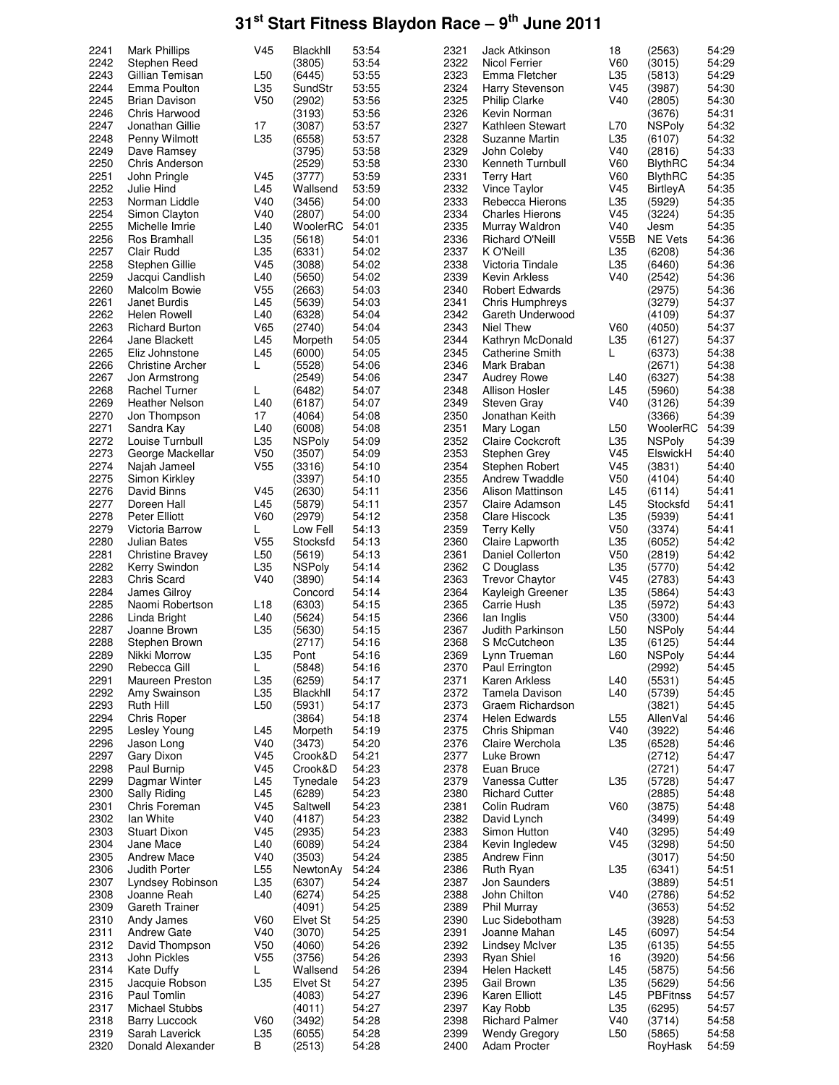| 2241         | <b>Mark Phillips</b>    | V45             | Blackhll      | 53:54 | 2321 | Jack Atkinson           | 18              | (2563)          | 54:29 |
|--------------|-------------------------|-----------------|---------------|-------|------|-------------------------|-----------------|-----------------|-------|
| 2242         | Stephen Reed            |                 | (3805)        | 53:54 | 2322 | <b>Nicol Ferrier</b>    | V60             | (3015)          | 54:29 |
| 2243         | Gillian Temisan         | L <sub>50</sub> | (6445)        | 53:55 | 2323 | Emma Fletcher           | L35             | (5813)          | 54:29 |
| 2244         | Emma Poulton            | L35             | SundStr       | 53:55 | 2324 | Harry Stevenson         | V45             | (3987)          | 54:30 |
| 2245         | <b>Brian Davison</b>    | V <sub>50</sub> | (2902)        | 53:56 | 2325 | <b>Philip Clarke</b>    | V40             | (2805)          | 54:30 |
| 2246         | Chris Harwood           |                 | (3193)        | 53:56 | 2326 | Kevin Norman            |                 | (3676)          | 54:31 |
| 2247         | Jonathan Gillie         | 17              | (3087)        | 53:57 | 2327 | Kathleen Stewart        | L70             | <b>NSPoly</b>   | 54:32 |
| 2248         | Penny Wilmott           | L35             | (6558)        | 53:57 | 2328 | Suzanne Martin          | L <sub>35</sub> | (6107)          | 54:32 |
|              |                         |                 |               |       | 2329 |                         |                 |                 |       |
| 2249         | Dave Ramsey             |                 | (3795)        | 53:58 |      | John Coleby             | V40             | (2816)          | 54:33 |
| 2250         | Chris Anderson          |                 | (2529)        | 53:58 | 2330 | Kenneth Turnbull        | V60             | <b>BlythRC</b>  | 54:34 |
| 2251         | John Pringle            | V45             | (3777)        | 53:59 | 2331 | <b>Terry Hart</b>       | V60             | <b>BlythRC</b>  | 54:35 |
| 2252         | Julie Hind              | L45             | Wallsend      | 53:59 | 2332 | <b>Vince Taylor</b>     | V45             | BirtleyA        | 54:35 |
| 2253         | Norman Liddle           | V40             | (3456)        | 54:00 | 2333 | Rebecca Hierons         | L35             | (5929)          | 54:35 |
| 2254         | Simon Clayton           | V40             | (2807)        | 54:00 | 2334 | <b>Charles Hierons</b>  | V45             | (3224)          | 54:35 |
| 2255         | Michelle Imrie          | L40             | WoolerRC      | 54:01 | 2335 | Murray Waldron          | V40             | Jesm            | 54:35 |
| 2256         | Ros Bramhall            | L35             | (5618)        | 54:01 | 2336 | <b>Richard O'Neill</b>  | V55B            | <b>NE Vets</b>  | 54:36 |
| 2257         | Clair Rudd              | L35             | (6331)        | 54:02 | 2337 | K O'Neill               | L35             | (6208)          | 54:36 |
| 2258         | Stephen Gillie          | V45             | (3088)        | 54:02 | 2338 | Victoria Tindale        | L35             | (6460)          | 54:36 |
| 2259         | Jacqui Candlish         | L40             | (5650)        | 54:02 | 2339 | Kevin Arkless           | V40             | (2542)          | 54:36 |
| 2260         | Malcolm Bowie           | V <sub>55</sub> | (2663)        | 54:03 | 2340 | <b>Robert Edwards</b>   |                 | (2975)          | 54:36 |
| 2261         | Janet Burdis            | L45             | (5639)        | 54:03 | 2341 | <b>Chris Humphreys</b>  |                 | (3279)          | 54:37 |
| 2262         | <b>Helen Rowell</b>     | L40             | (6328)        | 54:04 | 2342 | Gareth Underwood        |                 | (4109)          | 54:37 |
| 2263         | <b>Richard Burton</b>   | V65             | (2740)        | 54:04 | 2343 | <b>Niel Thew</b>        | V60             | (4050)          | 54:37 |
|              |                         |                 |               |       | 2344 |                         |                 |                 |       |
| 2264<br>2265 | Jane Blackett           | L45             | Morpeth       | 54:05 | 2345 | Kathryn McDonald        | L35             | (6127)          | 54:37 |
|              | Eliz Johnstone          | L45             | (6000)        | 54:05 |      | <b>Catherine Smith</b>  | L               | (6373)          | 54:38 |
| 2266         | <b>Christine Archer</b> | L               | (5528)        | 54:06 | 2346 | Mark Braban             |                 | (2671)          | 54:38 |
| 2267         | Jon Armstrong           |                 | (2549)        | 54:06 | 2347 | <b>Audrey Rowe</b>      | L40             | (6327)          | 54:38 |
| 2268         | <b>Rachel Turner</b>    | L               | (6482)        | 54:07 | 2348 | Allison Hosler          | L45             | (5960)          | 54:38 |
| 2269         | <b>Heather Nelson</b>   | L40             | (6187)        | 54:07 | 2349 | Steven Gray             | V40             | (3126)          | 54:39 |
| 2270         | Jon Thompson            | 17              | (4064)        | 54:08 | 2350 | Jonathan Keith          |                 | (3366)          | 54:39 |
| 2271         | Sandra Kay              | L40             | (6008)        | 54:08 | 2351 | Mary Logan              | L <sub>50</sub> | WoolerRC        | 54:39 |
| 2272         | Louise Turnbull         | L35             | <b>NSPoly</b> | 54:09 | 2352 | <b>Claire Cockcroft</b> | L35             | <b>NSPoly</b>   | 54:39 |
| 2273         | George Mackellar        | V <sub>50</sub> | (3507)        | 54:09 | 2353 | Stephen Grey            | V45             | ElswickH        | 54:40 |
| 2274         | Najah Jameel            | V <sub>55</sub> | (3316)        | 54:10 | 2354 | Stephen Robert          | V45             | (3831)          | 54:40 |
| 2275         | Simon Kirkley           |                 | (3397)        | 54:10 | 2355 | <b>Andrew Twaddle</b>   | V50             | (4104)          | 54:40 |
| 2276         | David Binns             | V45             | (2630)        | 54:11 | 2356 | Alison Mattinson        | L45             | (6114)          | 54:41 |
| 2277         | Doreen Hall             | L45             | (5879)        | 54:11 | 2357 | Claire Adamson          | L45             | Stocksfd        | 54:41 |
| 2278         | Peter Elliott           | V60             | (2979)        | 54:12 | 2358 | Clare Hiscock           | L <sub>35</sub> | (5939)          | 54:41 |
| 2279         | Victoria Barrow         | L               | Low Fell      | 54:13 | 2359 | <b>Terry Kelly</b>      | V <sub>50</sub> | (3374)          | 54:41 |
| 2280         | Julian Bates            | V <sub>55</sub> | Stocksfd      | 54:13 | 2360 | Claire Lapworth         | L35             | (6052)          | 54:42 |
|              |                         |                 |               |       |      |                         |                 |                 |       |
| 2281         | <b>Christine Bravey</b> | L <sub>50</sub> | (5619)        | 54:13 | 2361 | Daniel Collerton        | V <sub>50</sub> | (2819)          | 54:42 |
| 2282         | Kerry Swindon           | L35             | <b>NSPoly</b> | 54:14 | 2362 | C Douglass              | L35             | (5770)          | 54:42 |
| 2283         | Chris Scard             | V40             | (3890)        | 54:14 | 2363 | <b>Trevor Chaytor</b>   | V <sub>45</sub> | (2783)          | 54:43 |
| 2284         | James Gilroy            |                 | Concord       | 54:14 | 2364 | Kayleigh Greener        | L35             | (5864)          | 54:43 |
| 2285         | Naomi Robertson         | L <sub>18</sub> | (6303)        | 54:15 | 2365 | Carrie Hush             | L35             | (5972)          | 54:43 |
| 2286         | Linda Bright            | L40             | (5624)        | 54:15 | 2366 | lan Inglis              | V <sub>50</sub> | (3300)          | 54:44 |
| 2287         | Joanne Brown            | L35             | (5630)        | 54:15 | 2367 | Judith Parkinson        | L <sub>50</sub> | <b>NSPoly</b>   | 54:44 |
| 2288         | Stephen Brown           |                 | (2717)        | 54:16 | 2368 | S McCutcheon            | L35             | (6125)          | 54:44 |
| 2289         | Nikki Morrow            | L35             | Pont          | 54:16 | 2369 | Lynn Trueman            | L60             | <b>NSPoly</b>   | 54:44 |
| 2290         | Rebecca Gill            | L               | (5848)        | 54:16 | 2370 | Paul Errington          |                 | (2992)          | 54:45 |
| 2291         | Maureen Preston         | L35             | (6259)        | 54:17 | 2371 | Karen Arkless           | L40             | (5531)          | 54:45 |
| 2292         | Amy Swainson            | L35             | Blackhll      | 54:17 | 2372 | Tamela Davison          | L40             | (5739)          | 54:45 |
| 2293         | Ruth Hill               | L <sub>50</sub> | (5931)        | 54:17 | 2373 | Graem Richardson        |                 | (3821)          | 54:45 |
| 2294         | Chris Roper             |                 | (3864)        | 54:18 | 2374 | Helen Edwards           | L <sub>55</sub> | AllenVal        | 54:46 |
| 2295         | Lesley Young            | L45             | Morpeth       | 54:19 | 2375 | Chris Shipman           | V40             | (3922)          | 54:46 |
| 2296         | Jason Long              | V40             | (3473)        | 54:20 | 2376 | Claire Werchola         | L35             | (6528)          | 54:46 |
| 2297         | Gary Dixon              | V <sub>45</sub> | Crook&D       | 54:21 | 2377 | Luke Brown              |                 | (2712)          | 54:47 |
| 2298         | Paul Burnip             | V45             | Crook&D       | 54:23 | 2378 | Euan Bruce              |                 | (2721)          | 54:47 |
| 2299         | Dagmar Winter           | L45             | Tynedale      | 54:23 | 2379 | Vanessa Cutter          | L35             | (5728)          | 54:47 |
| 2300         |                         |                 |               | 54:23 | 2380 | <b>Richard Cutter</b>   |                 |                 | 54:48 |
|              | Sally Riding            | L45             | (6289)        |       |      |                         |                 | (2885)          |       |
| 2301         | Chris Foreman           | V <sub>45</sub> | Saltwell      | 54:23 | 2381 | Colin Rudram            | V60             | (3875)          | 54:48 |
| 2302         | Ian White               | V40             | (4187)        | 54:23 | 2382 | David Lynch             |                 | (3499)          | 54:49 |
| 2303         | <b>Stuart Dixon</b>     | V <sub>45</sub> | (2935)        | 54:23 | 2383 | Simon Hutton            | V40             | (3295)          | 54:49 |
| 2304         | Jane Mace               | L40             | (6089)        | 54:24 | 2384 | Kevin Ingledew          | V45             | (3298)          | 54:50 |
| 2305         | <b>Andrew Mace</b>      | V40             | (3503)        | 54:24 | 2385 | Andrew Finn             |                 | (3017)          | 54:50 |
| 2306         | Judith Porter           | L55             | NewtonAy      | 54:24 | 2386 | Ruth Ryan               | L35             | (6341)          | 54:51 |
| 2307         | Lyndsey Robinson        | L35             | (6307)        | 54:24 | 2387 | Jon Saunders            |                 | (3889)          | 54:51 |
| 2308         | Joanne Reah             | L40             | (6274)        | 54:25 | 2388 | John Chilton            | V40             | (2786)          | 54:52 |
| 2309         | <b>Gareth Trainer</b>   |                 | (4091)        | 54:25 | 2389 | Phil Murray             |                 | (3653)          | 54:52 |
| 2310         | Andy James              | V60             | Elvet St      | 54:25 | 2390 | Luc Sidebotham          |                 | (3928)          | 54:53 |
| 2311         | <b>Andrew Gate</b>      | V40             | (3070)        | 54:25 | 2391 | Joanne Mahan            | L45             | (6097)          | 54:54 |
| 2312         | David Thompson          | V <sub>50</sub> | (4060)        | 54:26 | 2392 | <b>Lindsey McIver</b>   | L35             | (6135)          | 54:55 |
| 2313         | John Pickles            | V <sub>55</sub> | (3756)        | 54:26 | 2393 | Ryan Shiel              | 16              | (3920)          | 54:56 |
| 2314         | <b>Kate Duffy</b>       | L               | Wallsend      | 54:26 | 2394 | Helen Hackett           | L45             | (5875)          | 54:56 |
| 2315         | Jacquie Robson          | L35             | Elvet St      | 54:27 | 2395 | Gail Brown              | L35             | (5629)          | 54:56 |
|              |                         |                 |               |       |      |                         |                 |                 |       |
| 2316         | Paul Tomlin             |                 | (4083)        | 54:27 | 2396 | Karen Elliott           | L45             | <b>PBFitnss</b> | 54:57 |
| 2317         | Michael Stubbs          |                 | (4011)        | 54:27 | 2397 | Kay Robb                | L35             | (6295)          | 54:57 |
| 2318         | <b>Barry Luccock</b>    | V60             | (3492)        | 54:28 | 2398 | <b>Richard Palmer</b>   | V40             | (3714)          | 54:58 |
| 2319         | Sarah Laverick          | L35             | (6055)        | 54:28 | 2399 | <b>Wendy Gregory</b>    | L <sub>50</sub> | (5865)          | 54:58 |
| 2320         | Donald Alexander        | В               | (2513)        | 54:28 | 2400 | Adam Procter            |                 | RoyHask         | 54:59 |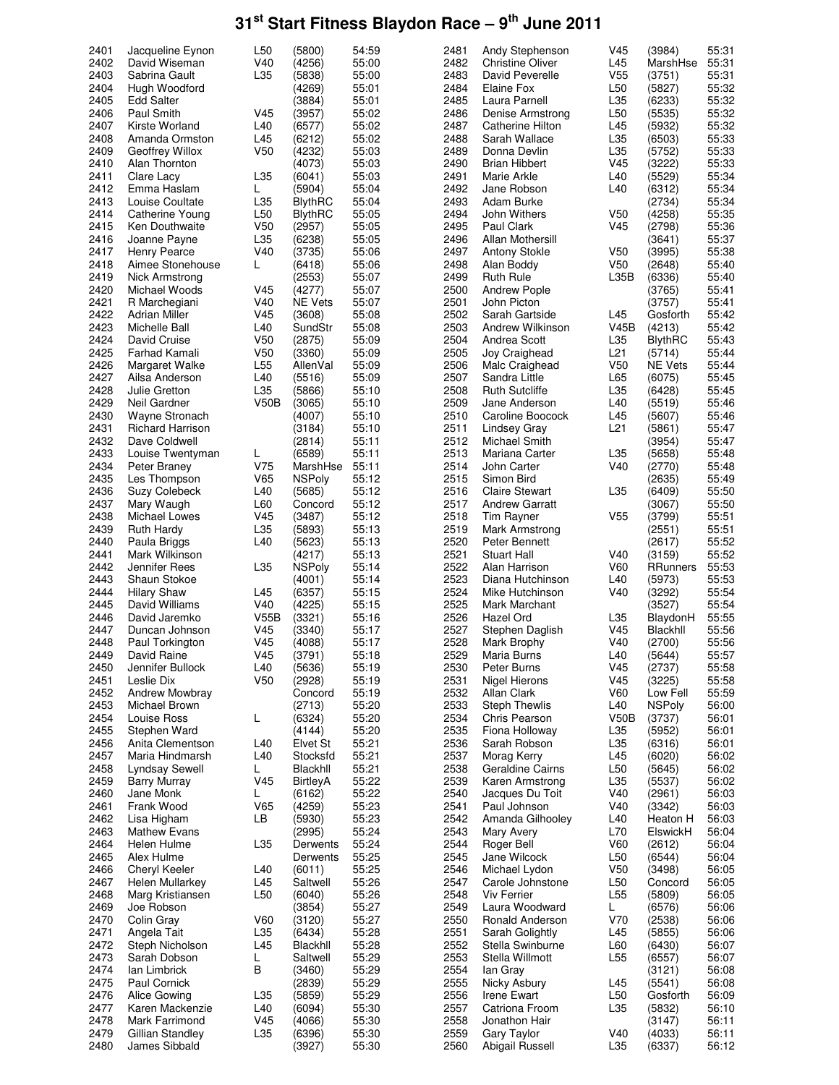| 2401         |                                   |                 |                  |                |              |                                |                 |                  |                |
|--------------|-----------------------------------|-----------------|------------------|----------------|--------------|--------------------------------|-----------------|------------------|----------------|
|              | Jacqueline Eynon                  | L <sub>50</sub> | (5800)           | 54:59          | 2481         | Andy Stephenson                | V <sub>45</sub> | (3984)           | 55:31          |
| 2402         | David Wiseman                     | V40             | (4256)           | 55:00          | 2482         | <b>Christine Oliver</b>        | L45             | MarshHse         | 55:31          |
| 2403         | Sabrina Gault                     | L35             | (5838)           | 55:00          | 2483         | David Peverelle                | V <sub>55</sub> | (3751)           | 55:31          |
| 2404         | Hugh Woodford                     |                 | (4269)           | 55:01          | 2484         | Elaine Fox                     | L <sub>50</sub> | (5827)           | 55:32          |
|              |                                   |                 |                  |                |              |                                |                 |                  |                |
| 2405         | Edd Salter                        |                 | (3884)           | 55:01          | 2485         | Laura Parnell                  | L35             | (6233)           | 55:32          |
| 2406         | Paul Smith                        | V <sub>45</sub> | (3957)           | 55:02          | 2486         | Denise Armstrong               | L <sub>50</sub> | (5535)           | 55:32          |
| 2407         | Kirste Worland                    | L40             | (6577)           | 55:02          | 2487         | Catherine Hilton               | L45             | (5932)           | 55:32          |
| 2408         | Amanda Ormston                    | L45             | (6212)           | 55:02          | 2488         | Sarah Wallace                  | L35             | (6503)           | 55:33          |
|              |                                   |                 |                  |                |              |                                |                 |                  |                |
| 2409         | Geoffrey Willox                   | V <sub>50</sub> | (4232)           | 55:03          | 2489         | Donna Devlin                   | L35             | (5752)           | 55:33          |
| 2410         | Alan Thornton                     |                 | (4073)           | 55:03          | 2490         | Brian Hibbert                  | V <sub>45</sub> | (3222)           | 55:33          |
| 2411         | Clare Lacy                        | L35             | (6041)           | 55:03          | 2491         | Marie Arkle                    | L40             | (5529)           | 55:34          |
| 2412         | Emma Haslam                       | L               | (5904)           | 55:04          | 2492         | Jane Robson                    | L40             | (6312)           | 55:34          |
|              | Louise Coultate                   |                 |                  |                |              |                                |                 |                  |                |
| 2413         |                                   | L35             | <b>BlythRC</b>   | 55:04          | 2493         | Adam Burke                     |                 | (2734)           | 55:34          |
| 2414         | Catherine Young                   | L <sub>50</sub> | <b>BlythRC</b>   | 55:05          | 2494         | John Withers                   | V <sub>50</sub> | (4258)           | 55:35          |
| 2415         | Ken Douthwaite                    | V <sub>50</sub> | (2957)           | 55:05          | 2495         | <b>Paul Clark</b>              | V <sub>45</sub> | (2798)           | 55:36          |
| 2416         | Joanne Payne                      | L35             | (6238)           | 55:05          | 2496         | Allan Mothersill               |                 | (3641)           | 55:37          |
| 2417         |                                   | V40             |                  | 55:06          | 2497         |                                | V <sub>50</sub> |                  | 55:38          |
|              | Henry Pearce                      |                 | (3735)           |                |              | <b>Antony Stokle</b>           |                 | (3995)           |                |
| 2418         | Aimee Stonehouse                  | L               | (6418)           | 55:06          | 2498         | Alan Boddy                     | V50             | (2648)           | 55:40          |
| 2419         | Nick Armstrong                    |                 | (2553)           | 55:07          | 2499         | <b>Ruth Rule</b>               | L35B            | (6336)           | 55:40          |
| 2420         | Michael Woods                     | V45             | (4277)           | 55:07          | 2500         | Andrew Pople                   |                 | (3765)           | 55:41          |
| 2421         | R Marchegiani                     | V40             | <b>NE Vets</b>   | 55:07          | 2501         | John Picton                    |                 | (3757)           | 55:41          |
|              |                                   |                 |                  |                |              |                                |                 |                  |                |
| 2422         | Adrian Miller                     | V <sub>45</sub> | (3608)           | 55:08          | 2502         | Sarah Gartside                 | L45             | Gosforth         | 55:42          |
| 2423         | Michelle Ball                     | L40             | SundStr          | 55:08          | 2503         | Andrew Wilkinson               | <b>V45B</b>     | (4213)           | 55:42          |
| 2424         | David Cruise                      | V <sub>50</sub> | (2875)           | 55:09          | 2504         | Andrea Scott                   | L35             | <b>BlythRC</b>   | 55:43          |
| 2425         | Farhad Kamali                     | V <sub>50</sub> | (3360)           | 55:09          | 2505         | Joy Craighead                  | L21             | (5714)           | 55:44          |
| 2426         |                                   | L <sub>55</sub> | AllenVal         | 55:09          | 2506         |                                | V50             |                  | 55:44          |
|              | Margaret Walke                    |                 |                  |                |              | Malc Craighead                 |                 | NE Vets          |                |
| 2427         | Ailsa Anderson                    | L40             | (5516)           | 55:09          | 2507         | Sandra Little                  | L65             | (6075)           | 55:45          |
| 2428         | Julie Gretton                     | L35             | (5866)           | 55:10          | 2508         | <b>Ruth Sutcliffe</b>          | L35             | (6428)           | 55:45          |
| 2429         | Neil Gardner                      | V50B            | (3065)           | 55:10          | 2509         | Jane Anderson                  | L40             | (5519)           | 55:46          |
| 2430         |                                   |                 |                  | 55:10          | 2510         |                                | L45             |                  | 55:46          |
|              | Wayne Stronach                    |                 | (4007)           |                |              | Caroline Boocock               |                 | (5607)           |                |
| 2431         | Richard Harrison                  |                 | (3184)           | 55:10          | 2511         | Lindsey Gray                   | L21             | (5861)           | 55:47          |
| 2432         | Dave Coldwell                     |                 | (2814)           | 55:11          | 2512         | Michael Smith                  |                 | (3954)           | 55:47          |
| 2433         | Louise Twentyman                  | L               | (6589)           | 55:11          | 2513         | Mariana Carter                 | L35             | (5658)           | 55:48          |
| 2434         | Peter Braney                      | V75             | MarshHse         | 55:11          | 2514         | John Carter                    | V40             | (2770)           | 55:48          |
|              |                                   |                 |                  |                |              |                                |                 |                  |                |
| 2435         | Les Thompson                      | V65             | <b>NSPoly</b>    | 55:12          | 2515         | Simon Bird                     |                 | (2635)           | 55:49          |
| 2436         | Suzy Colebeck                     | L40             | (5685)           | 55:12          | 2516         | <b>Claire Stewart</b>          | L35             | (6409)           | 55:50          |
| 2437         | Mary Waugh                        | L60             | Concord          | 55:12          | 2517         | Andrew Garratt                 |                 | (3067)           | 55:50          |
| 2438         | Michael Lowes                     | V <sub>45</sub> | (3487)           | 55:12          | 2518         | Tim Rayner                     | V <sub>55</sub> | (3799)           | 55:51          |
|              |                                   |                 |                  |                |              |                                |                 |                  |                |
| 2439         | Ruth Hardy                        | L35             | (5893)           | 55:13          | 2519         | Mark Armstrong                 |                 | (2551)           | 55:51          |
| 2440         | Paula Briggs                      | L40             | (5623)           | 55:13          | 2520         | Peter Bennett                  |                 | (2617)           | 55:52          |
| 2441         | Mark Wilkinson                    |                 | (4217)           | 55:13          | 2521         | Stuart Hall                    | V40             | (3159)           | 55:52          |
| 2442         | Jennifer Rees                     | L35             | <b>NSPoly</b>    | 55:14          | 2522         | Alan Harrison                  | V60             | RRunners         | 55:53          |
|              |                                   |                 |                  |                |              |                                |                 |                  |                |
|              |                                   |                 |                  |                |              |                                |                 |                  |                |
| 2443         | Shaun Stokoe                      |                 | (4001)           | 55:14          | 2523         | Diana Hutchinson               | L40             | (5973)           | 55:53          |
| 2444         | <b>Hilary Shaw</b>                | L45             | (6357)           | 55:15          | 2524         | Mike Hutchinson                | V40             | (3292)           | 55:54          |
| 2445         | David Williams                    | V40             | (4225)           | 55:15          | 2525         | Mark Marchant                  |                 | (3527)           | 55:54          |
|              |                                   |                 |                  | 55:16          |              | Hazel Ord                      |                 |                  |                |
| 2446         | David Jaremko                     | V55B            | (3321)           |                | 2526         |                                | L35             | BlaydonH         | 55:55          |
| 2447         | Duncan Johnson                    | V45             | (3340)           | 55:17          | 2527         | Stephen Daglish                | V <sub>45</sub> | Blackhll         | 55:56          |
| 2448         | Paul Torkington                   | V <sub>45</sub> | (4088)           | 55:17          | 2528         | Mark Brophy                    | V40             | (2700)           | 55:56          |
| 2449         | David Raine                       | V45             | (3791)           | 55:18          | 2529         | Maria Burns                    | L40             | (5644)           | 55:57          |
| 2450         | Jennifer Bullock                  | L40             |                  | 55:19          | 2530         | Peter Burns                    |                 | (2737)           |                |
|              |                                   |                 | (5636)           |                |              |                                | V <sub>45</sub> |                  | 55:58          |
| 2451         | Leslie Dix                        | V <sub>50</sub> | (2928)           | 55:19          | 2531         | <b>Nigel Hierons</b>           | V <sub>45</sub> | (3225)           | 55:58          |
| 2452         | Andrew Mowbray                    |                 | Concord          | 55:19          | 2532         | Allan Clark                    | V60             | Low Fell         | 55:59          |
| 2453         | Michael Brown                     |                 | (2713)           | 55:20          | 2533         | Steph Thewlis                  | L40             | <b>NSPoly</b>    | 56:00          |
| 2454         | Louise Ross                       | L               | (6324)           | 55:20          | 2534         | Chris Pearson                  | V50B            | (3737)           | 56:01          |
| 2455         | Stephen Ward                      |                 | (4144)           |                | 2535         | Fiona Holloway                 |                 | (5952)           | 56:01          |
|              |                                   |                 |                  | 55:20          |              |                                | L35             |                  |                |
| 2456         | Anita Clementson                  | L40             | Elvet St         | 55:21          | 2536         | Sarah Robson                   | L35             | (6316)           | 56:01          |
| 2457         | Maria Hindmarsh                   | L40             | Stocksfd         | 55:21          | 2537         | Morag Kerry                    | L45             | (6020)           | 56:02          |
| 2458         | Lyndsay Sewell                    | L               | Blackhll         | 55:21          | 2538         | Geraldine Cairns               | L <sub>50</sub> | (5645)           | 56:02          |
| 2459         | <b>Barry Murray</b>               | V45             | BirtleyA         | 55:22          | 2539         | Karen Armstrong                | L35             | (5537)           | 56:02          |
| 2460         | Jane Monk                         | L               | (6162)           | 55:22          | 2540         |                                | V40             | (2961)           | 56:03          |
|              |                                   |                 |                  |                |              | Jacques Du Toit                |                 |                  |                |
| 2461         | Frank Wood                        | V65             | (4259)           | 55:23          | 2541         | Paul Johnson                   | V40             | (3342)           | 56:03          |
| 2462         | Lisa Higham                       | LB.             | (5930)           | 55:23          | 2542         | Amanda Gilhooley               | L40             | Heaton H         | 56:03          |
| 2463         | <b>Mathew Evans</b>               |                 | (2995)           | 55:24          | 2543         | Mary Avery                     | L70             | ElswickH         | 56:04          |
| 2464         | Helen Hulme                       | L35             | Derwents         | 55:24          | 2544         | Roger Bell                     | V60             | (2612)           | 56:04          |
|              |                                   |                 | Derwents         | 55:25          |              |                                |                 |                  |                |
| 2465         | Alex Hulme                        |                 |                  |                | 2545         | Jane Wilcock                   | L <sub>50</sub> | (6544)           | 56:04          |
| 2466         | Cheryl Keeler                     | L40             | (6011)           | 55:25          | 2546         | Michael Lydon                  | V <sub>50</sub> | (3498)           | 56:05          |
| 2467         | Helen Mullarkey                   | L45             | Saltwell         | 55:26          | 2547         | Carole Johnstone               | L <sub>50</sub> | Concord          | 56:05          |
| 2468         | Marg Kristiansen                  | L50             | (6040)           | 55:26          | 2548         | Viv Ferrier                    | L <sub>55</sub> | (5809)           | 56:05          |
| 2469         | Joe Robson                        |                 | (3854)           | 55:27          | 2549         | Laura Woodward                 | L               | (6576)           | 56:06          |
|              |                                   |                 |                  |                |              |                                |                 |                  |                |
| 2470         | Colin Gray                        | V60             | (3120)           | 55:27          | 2550         | Ronald Anderson                | V70             | (2538)           | 56:06          |
| 2471         | Angela Tait                       | L35             | (6434)           | 55:28          | 2551         | Sarah Golightly                | L45             | (5855)           | 56:06          |
| 2472         | Steph Nicholson                   | L45             | Blackhll         | 55:28          | 2552         | Stella Swinburne               | L60             | (6430)           | 56:07          |
| 2473         | Sarah Dobson                      | L               | Saltwell         | 55:29          | 2553         | Stella Willmott                | L <sub>55</sub> | (6557)           | 56:07          |
| 2474         | Ian Limbrick                      | B               | (3460)           | 55:29          | 2554         | lan Gray                       |                 | (3121)           | 56:08          |
|              |                                   |                 |                  |                |              |                                |                 |                  |                |
| 2475         | Paul Cornick                      |                 | (2839)           | 55:29          | 2555         | Nicky Asbury                   | L45             | (5541)           | 56:08          |
| 2476         | Alice Gowing                      | L35             | (5859)           | 55:29          | 2556         | Irene Ewart                    | L <sub>50</sub> | Gosforth         | 56:09          |
| 2477         | Karen Mackenzie                   | L40             | (6094)           | 55:30          | 2557         | Catriona Froom                 | L35             | (5832)           | 56:10          |
| 2478         | Mark Farrimond                    | V <sub>45</sub> | (4066)           | 55:30          | 2558         | Jonathon Hair                  |                 | (3147)           | 56:11          |
|              |                                   |                 |                  |                |              |                                |                 |                  |                |
| 2479<br>2480 | Gillian Standley<br>James Sibbald | L35             | (6396)<br>(3927) | 55:30<br>55:30 | 2559<br>2560 | Gary Taylor<br>Abigail Russell | V40<br>L35      | (4033)<br>(6337) | 56:11<br>56:12 |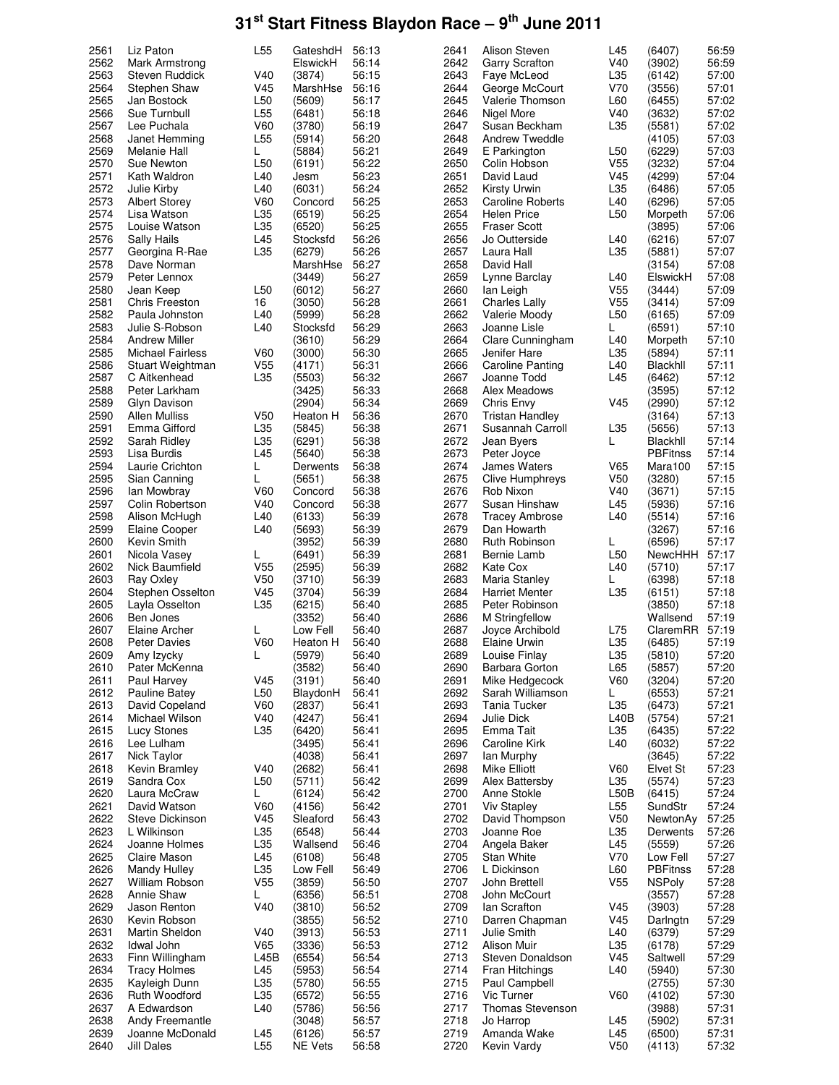| 2561         |                                      |                        |                   | 56:13          | 2641         | Alison Steven              | L45                    | (6407)           | 56:59          |
|--------------|--------------------------------------|------------------------|-------------------|----------------|--------------|----------------------------|------------------------|------------------|----------------|
|              | Liz Paton                            | L <sub>55</sub>        | GateshdH          |                |              |                            |                        |                  |                |
| 2562         | Mark Armstrong                       |                        | ElswickH          | 56:14          | 2642         | Garry Scrafton             | V40                    | (3902)           | 56:59          |
| 2563         | Steven Ruddick                       | V40                    | (3874)            | 56:15          | 2643         | Faye McLeod                | L35                    | (6142)           | 57:00          |
| 2564         | Stephen Shaw                         | V45                    | MarshHse          | 56:16          | 2644         | George McCourt             | V70                    | (3556)           | 57:01          |
|              |                                      |                        |                   |                |              |                            |                        |                  |                |
| 2565         | Jan Bostock                          | L <sub>50</sub>        | (5609)            | 56:17          | 2645         | <b>Valerie Thomson</b>     | L60                    | (6455)           | 57:02          |
| 2566         | Sue Turnbull                         | L <sub>55</sub>        | (6481)            | 56:18          | 2646         | Nigel More                 | V40                    | (3632)           | 57:02          |
| 2567         | Lee Puchala                          | <b>V60</b>             | (3780)            | 56:19          | 2647         | Susan Beckham              | L35                    | (5581)           | 57:02          |
| 2568         | Janet Hemming                        | L <sub>55</sub>        | (5914)            | 56:20          | 2648         | Andrew Tweddle             |                        | (4105)           | 57:03          |
|              |                                      |                        |                   |                |              |                            |                        |                  |                |
| 2569         | Melanie Hall                         | L                      | (5884)            | 56:21          | 2649         | E Parkington               | L <sub>50</sub>        | (6229)           | 57:03          |
| 2570         | Sue Newton                           | L <sub>50</sub>        | (6191)            | 56:22          | 2650         | Colin Hobson               | V <sub>55</sub>        | (3232)           | 57:04          |
| 2571         | Kath Waldron                         | L40                    | Jesm              | 56:23          | 2651         | David Laud                 | V45                    | (4299)           | 57:04          |
| 2572         |                                      |                        |                   |                |              |                            |                        |                  |                |
|              | Julie Kirby                          | L40                    | (6031)            | 56:24          | 2652         | Kirsty Urwin               | L35                    | (6486)           | 57:05          |
| 2573         | <b>Albert Storey</b>                 | V60                    | Concord           | 56:25          | 2653         | <b>Caroline Roberts</b>    | L40                    | (6296)           | 57:05          |
| 2574         | Lisa Watson                          | L35                    | (6519)            | 56:25          | 2654         | <b>Helen Price</b>         | L <sub>50</sub>        | Morpeth          | 57:06          |
| 2575         | Louise Watson                        | L35                    | (6520)            | 56:25          | 2655         | <b>Fraser Scott</b>        |                        | (3895)           | 57:06          |
|              |                                      |                        |                   |                |              |                            |                        |                  |                |
| 2576         | Sally Hails                          | L45                    | Stocksfd          | 56:26          | 2656         | Jo Outterside              | L40                    | (6216)           | 57:07          |
| 2577         | Georgina R-Rae                       | L35                    | (6279)            | 56:26          | 2657         | Laura Hall                 | L35                    | (5881)           | 57:07          |
| 2578         | Dave Norman                          |                        | MarshHse          | 56:27          | 2658         | David Hall                 |                        | (3154)           | 57:08          |
| 2579         | Peter Lennox                         |                        | (3449)            | 56:27          | 2659         | Lynne Barclay              | L40                    | ElswickH         | 57:08          |
|              |                                      |                        |                   |                |              |                            |                        |                  |                |
| 2580         | Jean Keep                            | L <sub>50</sub>        | (6012)            | 56:27          | 2660         | lan Leigh                  | V <sub>55</sub>        | (3444)           | 57:09          |
| 2581         | <b>Chris Freeston</b>                | 16                     | (3050)            | 56:28          | 2661         | <b>Charles Lally</b>       | V <sub>55</sub>        | (3414)           | 57:09          |
| 2582         | Paula Johnston                       | L40                    | (5999)            | 56:28          | 2662         | Valerie Moody              | L <sub>50</sub>        | (6165)           | 57:09          |
| 2583         |                                      |                        | Stocksfd          | 56:29          | 2663         | Joanne Lisle               | L                      | (6591)           | 57:10          |
|              | Julie S-Robson                       | L40                    |                   |                |              |                            |                        |                  |                |
| 2584         | <b>Andrew Miller</b>                 |                        | (3610)            | 56:29          | 2664         | Clare Cunningham           | L40                    | Morpeth          | 57:10          |
| 2585         | Michael Fairless                     | V60                    | (3000)            | 56:30          | 2665         | Jenifer Hare               | L35                    | (5894)           | 57:11          |
| 2586         | Stuart Weightman                     | V <sub>55</sub>        | (4171)            | 56:31          | 2666         | <b>Caroline Panting</b>    | L40                    | Blackhll         | 57:11          |
|              |                                      |                        |                   |                |              |                            |                        |                  |                |
| 2587         | C Aitkenhead                         | L35                    | (5503)            | 56:32          | 2667         | Joanne Todd                | L45                    | (6462)           | 57:12          |
| 2588         | Peter Larkham                        |                        | (3425)            | 56:33          | 2668         | Alex Meadows               |                        | (3595)           | 57:12          |
| 2589         | Glyn Davison                         |                        | (2904)            | 56:34          | 2669         | Chris Envy                 | V45                    | (2990)           | 57:12          |
|              |                                      |                        |                   |                |              |                            |                        |                  |                |
| 2590         | Allen Mulliss                        | V <sub>50</sub>        | Heaton H          | 56:36          | 2670         | Tristan Handley            |                        | (3164)           | 57:13          |
| 2591         | Emma Gifford                         | L35                    | (5845)            | 56:38          | 2671         | Susannah Carroll           | L35                    | (5656)           | 57:13          |
| 2592         | Sarah Ridley                         | L35                    | (6291)            | 56:38          | 2672         | Jean Byers                 | L                      | Blackhll         | 57:14          |
| 2593         |                                      | L45                    |                   | 56:38          | 2673         |                            |                        | <b>PBFitnss</b>  | 57:14          |
|              | Lisa Burdis                          |                        | (5640)            |                |              | Peter Joyce                |                        |                  |                |
| 2594         | Laurie Crichton                      | L                      | Derwents          | 56:38          | 2674         | James Waters               | V65                    | Mara100          | 57:15          |
| 2595         | Sian Canning                         | L                      | (5651)            | 56:38          | 2675         | Clive Humphreys            | V50                    | (3280)           | 57:15          |
| 2596         | lan Mowbray                          | V60                    | Concord           | 56:38          | 2676         | Rob Nixon                  | V40                    | (3671)           | 57:15          |
|              |                                      |                        |                   |                |              |                            |                        |                  |                |
| 2597         | Colin Robertson                      | V40                    | Concord           | 56:38          | 2677         | Susan Hinshaw              | L45                    | (5936)           | 57:16          |
| 2598         | Alison McHugh                        | L40                    | (6133)            | 56:39          | 2678         | Tracey Ambrose             | L40                    | (5514)           | 57:16          |
| 2599         | Elaine Cooper                        | L40                    | (5693)            | 56:39          | 2679         | Dan Howarth                |                        | (3267)           | 57:16          |
| 2600         | Kevin Smith                          |                        | (3952)            | 56:39          | 2680         | Ruth Robinson              | L                      | (6596)           | 57:17          |
|              |                                      |                        |                   |                |              |                            |                        |                  |                |
|              |                                      |                        |                   |                |              |                            |                        |                  |                |
| 2601         | Nicola Vasey                         | L                      | (6491)            | 56:39          | 2681         | Bernie Lamb                | L <sub>50</sub>        | NewcHHH          | 57:17          |
| 2602         | Nick Baumfield                       | V <sub>55</sub>        | (2595)            | 56:39          | 2682         | Kate Cox                   | L40                    | (5710)           | 57:17          |
|              |                                      |                        |                   |                |              |                            |                        |                  |                |
| 2603         | Ray Oxley                            | V <sub>50</sub>        | (3710)            | 56:39          | 2683         | Maria Stanley              | L                      | (6398)           | 57:18          |
| 2604         | Stephen Osselton                     | V <sub>45</sub>        | (3704)            | 56:39          | 2684         | Harriet Menter             | L35                    | (6151)           | 57:18          |
| 2605         | Layla Osselton                       | L35                    | (6215)            | 56:40          | 2685         | Peter Robinson             |                        | (3850)           | 57:18          |
|              |                                      |                        |                   |                |              |                            |                        |                  |                |
| 2606         | Ben Jones                            |                        | (3352)            | 56:40          | 2686         | M Stringfellow             |                        | Wallsend         | 57:19          |
| 2607         | Elaine Archer                        | L                      | Low Fell          | 56:40          | 2687         | Joyce Archibold            | L75                    | ClaremRR         | 57:19          |
| 2608         | <b>Peter Davies</b>                  | V60                    | Heaton H          | 56:40          | 2688         | Elaine Urwin               | L35                    | (6485)           | 57:19          |
| 2609         |                                      | L                      |                   | 56:40          | 2689         |                            | L35                    | (5810)           |                |
|              | Amy Izycky                           |                        | (5979)            |                |              | Louise Finlay              |                        |                  | 57:20          |
| 2610         | Pater McKenna                        |                        | (3582)            | 56:40          | 2690         | Barbara Gorton             | L65                    | (5857)           | 57:20          |
| 2611         | Paul Harvey                          | V45                    | (3191)            | 56:40          | 2691         | Mike Hedgecock             | V60                    | (3204)           | 57:20          |
| 2612         | Pauline Batey                        | L <sub>50</sub>        | BlaydonH          | 56:41          | 2692         | Sarah Williamson           | L                      | (6553)           | 57:21          |
|              | David Copeland                       |                        |                   | 56:41          |              |                            |                        |                  |                |
| 2613         |                                      | V60                    | (2837)            |                | 2693         | Tania Tucker               | L35                    | (6473)           | 57:21          |
| 2614         | Michael Wilson                       | V40                    | (4247)            | 56:41          | 2694         | Julie Dick                 | L40B                   | (5754)           | 57:21          |
| 2615         | Lucy Stones                          | L35                    | (6420)            | 56:41          | 2695         | Emma Tait                  | L35                    | (6435)           | 57:22          |
| 2616         | Lee Lulham                           |                        | (3495)            | 56:41          | 2696         | Caroline Kirk              | L40                    | (6032)           | 57:22          |
|              |                                      |                        |                   |                |              |                            |                        |                  |                |
| 2617         | Nick Taylor                          |                        | (4038)            | 56:41          | 2697         | lan Murphy                 |                        | (3645)           | 57:22          |
| 2618         | Kevin Bramley                        | V40                    | (2682)            | 56:41          | 2698         | Mike Elliott               | V60                    | Elvet St         | 57:23          |
| 2619         | Sandra Cox                           | L <sub>50</sub>        | (5711)            | 56:42          | 2699         | Alex Battersby             | L35                    | (5574)           | 57:23          |
| 2620         | Laura McCraw                         | L                      | (6124)            | 56:42          | 2700         | Anne Stokle                | L50B                   | (6415)           | 57:24          |
|              |                                      |                        |                   |                |              |                            |                        |                  |                |
| 2621         | David Watson                         | <b>V60</b>             | (4156)            | 56:42          | 2701         | <b>Viv Stapley</b>         | L <sub>55</sub>        | SundStr          | 57:24          |
| 2622         | Steve Dickinson                      | V45                    | Sleaford          | 56:43          | 2702         | David Thompson             | V <sub>50</sub>        | NewtonAy         | 57:25          |
| 2623         | L Wilkinson                          | L35                    | (6548)            | 56:44          | 2703         | Joanne Roe                 | L35                    | Derwents         | 57:26          |
|              |                                      |                        |                   |                |              |                            |                        |                  |                |
| 2624         | Joanne Holmes                        | L35                    | Wallsend          | 56:46          | 2704         | Angela Baker               | L45                    | (5559)           | 57:26          |
| 2625         | Claire Mason                         | L45                    | (6108)            | 56:48          | 2705         | <b>Stan White</b>          | V70                    | Low Fell         | 57:27          |
| 2626         | <b>Mandy Hulley</b>                  | L35                    | Low Fell          | 56:49          | 2706         | L Dickinson                | L60                    | <b>PBFitnss</b>  | 57:28          |
| 2627         | William Robson                       | V <sub>55</sub>        | (3859)            | 56:50          | 2707         | John Brettell              | V <sub>55</sub>        | <b>NSPoly</b>    | 57:28          |
|              |                                      |                        |                   |                |              |                            |                        |                  |                |
| 2628         | Annie Shaw                           | L                      | (6356)            | 56:51          | 2708         | John McCourt               |                        | (3557)           | 57:28          |
| 2629         | Jason Renton                         | V40                    | (3810)            | 56:52          | 2709         | lan Scrafton               | V45                    | (3903)           | 57:28          |
| 2630         | Kevin Robson                         |                        | (3855)            | 56:52          | 2710         | Darren Chapman             | V <sub>45</sub>        | Darlngtn         | 57:29          |
|              |                                      |                        |                   |                |              |                            |                        |                  |                |
| 2631         | Martin Sheldon                       | V40                    | (3913)            | 56:53          | 2711         | Julie Smith                | L40                    | (6379)           | 57:29          |
| 2632         | Idwal John                           | V65                    | (3336)            | 56:53          | 2712         | Alison Muir                | L35                    | (6178)           | 57:29          |
| 2633         | Finn Willingham                      | L45B                   | (6554)            | 56:54          | 2713         | Steven Donaldson           | V45                    | Saltwell         | 57:29          |
| 2634         |                                      | L45                    | (5953)            | 56:54          | 2714         | Fran Hitchings             | L40                    | (5940)           | 57:30          |
|              | <b>Tracy Holmes</b>                  |                        |                   |                |              |                            |                        |                  |                |
| 2635         | Kayleigh Dunn                        | L35                    | (5780)            | 56:55          | 2715         | Paul Campbell              |                        | (2755)           | 57:30          |
| 2636         | Ruth Woodford                        | L35                    | (6572)            | 56:55          | 2716         | Vic Turner                 | V60                    | (4102)           | 57:30          |
| 2637         | A Edwardson                          | L40                    | (5786)            | 56:56          | 2717         | <b>Thomas Stevenson</b>    |                        | (3988)           | 57:31          |
|              |                                      |                        |                   |                |              |                            |                        |                  |                |
| 2638         | Andy Freemantle                      |                        | (3048)            | 56:57          | 2718         | Jo Harrop                  | L45                    | (5902)           | 57:31          |
| 2639<br>2640 | Joanne McDonald<br><b>Jill Dales</b> | L45<br>L <sub>55</sub> | (6126)<br>NE Vets | 56:57<br>56:58 | 2719<br>2720 | Amanda Wake<br>Kevin Vardy | L45<br>V <sub>50</sub> | (6500)<br>(4113) | 57:31<br>57:32 |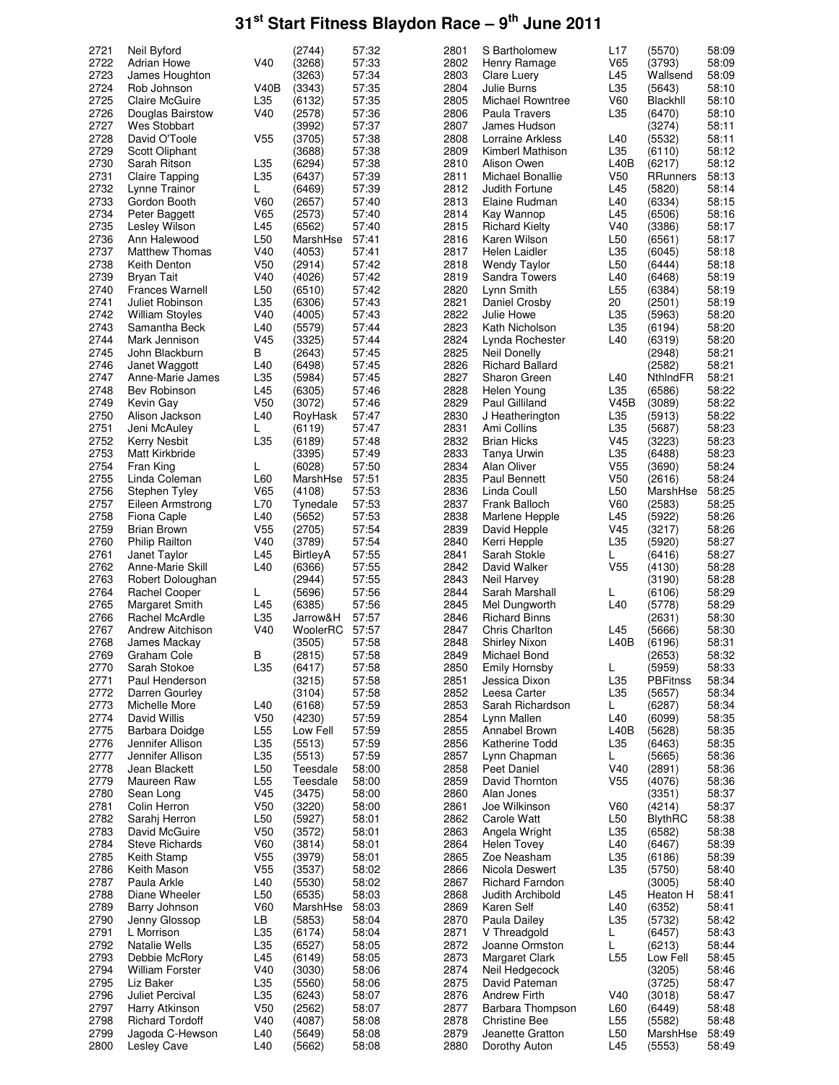| 2721         | Neil Byford                    |                 | (2744)           | 57:32          | 2801         | S Bartholomew                     | L17             | (5570)             | 58:09          |
|--------------|--------------------------------|-----------------|------------------|----------------|--------------|-----------------------------------|-----------------|--------------------|----------------|
| 2722         | <b>Adrian Howe</b>             | V40             | (3268)           | 57:33          | 2802         | Henry Ramage                      | V65             | (3793)             | 58:09          |
|              |                                |                 |                  |                |              |                                   |                 |                    |                |
| 2723         | James Houghton                 |                 | (3263)           | 57:34          | 2803         | Clare Luery                       | L45             | Wallsend           | 58:09          |
| 2724         | Rob Johnson                    | V40B            | (3343)           | 57:35          | 2804         | Julie Burns                       | L35             | (5643)             | 58:10          |
| 2725         | Claire McGuire                 | L35             | (6132)           | 57:35          | 2805         | <b>Michael Rowntree</b>           | V60             | Blackhll           | 58:10          |
| 2726         | Douglas Bairstow               | V40             | (2578)           | 57:36          | 2806         | Paula Travers                     | L35             | (6470)             | 58:10          |
| 2727         | Wes Stobbart                   |                 | (3992)           | 57:37          | 2807         | James Hudson                      |                 | (3274)             | 58:11          |
| 2728         | David O'Toole                  | V <sub>55</sub> | (3705)           | 57:38          | 2808         | Lorraine Arkless                  | L40             | (5532)             | 58:11          |
| 2729         | Scott Oliphant                 |                 | (3688)           | 57:38          | 2809         | Kimberl Mathison                  | L35             | (6110)             | 58:12          |
| 2730         |                                | L35             | (6294)           | 57:38          | 2810         | Alison Owen                       | L40B            |                    | 58:12          |
|              | Sarah Ritson                   |                 |                  |                |              |                                   |                 | (6217)             |                |
| 2731         | Claire Tapping                 | L35             | (6437)           | 57:39          | 2811         | Michael Bonallie                  | V <sub>50</sub> | RRunners           | 58:13          |
| 2732         | Lynne Trainor                  | L               | (6469)           | 57:39          | 2812         | Judith Fortune                    | L45             | (5820)             | 58:14          |
| 2733         | Gordon Booth                   | V60             | (2657)           | 57:40          | 2813         | Elaine Rudman                     | L40             | (6334)             | 58:15          |
| 2734         | Peter Baggett                  | V65             | (2573)           | 57:40          | 2814         | Kay Wannop                        | L45             | (6506)             | 58:16          |
| 2735         | Lesley Wilson                  | L45             | (6562)           | 57:40          | 2815         | <b>Richard Kielty</b>             | V40             | (3386)             | 58:17          |
| 2736         | Ann Halewood                   | L50             | MarshHse         | 57:41          | 2816         | Karen Wilson                      | L <sub>50</sub> | (6561)             | 58:17          |
| 2737         | <b>Matthew Thomas</b>          | V40             | (4053)           | 57:41          | 2817         | Helen Laidler                     | L35             | (6045)             | 58:18          |
| 2738         |                                |                 |                  |                |              |                                   | L <sub>50</sub> |                    |                |
|              | Keith Denton                   | V50             | (2914)           | 57:42          | 2818         | <b>Wendy Taylor</b>               |                 | (6444)             | 58:18          |
| 2739         | Bryan Tait                     | V40             | (4026)           | 57:42          | 2819         | Sandra Towers                     | L40             | (6468)             | 58:19          |
| 2740         | <b>Frances Warnell</b>         | L <sub>50</sub> | (6510)           | 57:42          | 2820         | Lynn Smith                        | L <sub>55</sub> | (6384)             | 58:19          |
| 2741         | Juliet Robinson                | L35             | (6306)           | 57:43          | 2821         | Daniel Crosby                     | 20              | (2501)             | 58:19          |
| 2742         | <b>William Stoyles</b>         | V40             | (4005)           | 57:43          | 2822         | Julie Howe                        | L35             | (5963)             | 58:20          |
| 2743         | Samantha Beck                  | L40             | (5579)           | 57:44          | 2823         | Kath Nicholson                    | L35             | (6194)             | 58:20          |
| 2744         | Mark Jennison                  | V <sub>45</sub> | (3325)           | 57:44          | 2824         | Lynda Rochester                   | L40             | (6319)             | 58:20          |
| 2745         | John Blackburn                 | В               | (2643)           | 57:45          | 2825         | <b>Neil Donelly</b>               |                 | (2948)             | 58:21          |
| 2746         |                                |                 |                  | 57:45          | 2826         |                                   |                 |                    | 58:21          |
|              | Janet Waggott                  | L40             | (6498)           |                |              | <b>Richard Ballard</b>            |                 | (2582)             |                |
| 2747         | Anne-Marie James               | L35             | (5984)           | 57:45          | 2827         | Sharon Green                      | L40             | NthindFR           | 58:21          |
| 2748         | Bev Robinson                   | L45             | (6305)           | 57:46          | 2828         | Helen Young                       | L35             | (6586)             | 58:22          |
| 2749         | Kevin Gay                      | V <sub>50</sub> | (3072)           | 57:46          | 2829         | Paul Gilliland                    | V45B            | (3089)             | 58:22          |
| 2750         | Alison Jackson                 | L40             | RoyHask          | 57:47          | 2830         | J Heatherington                   | L35             | (5913)             | 58:22          |
| 2751         | Jeni McAuley                   | L               | (6119)           | 57:47          | 2831         | Ami Collins                       | L35             | (5687)             | 58:23          |
| 2752         | Kerry Nesbit                   | L35             | (6189)           | 57:48          | 2832         | <b>Brian Hicks</b>                | V45             | (3223)             | 58:23          |
| 2753         | Matt Kirkbride                 |                 | (3395)           | 57:49          | 2833         | Tanya Urwin                       | L35             | (6488)             | 58:23          |
|              |                                |                 |                  |                | 2834         |                                   |                 |                    |                |
| 2754         | Fran King                      | L               | (6028)           | 57:50          |              | Alan Oliver                       | V55             | (3690)             | 58:24          |
| 2755         | Linda Coleman                  | L60             | MarshHse         | 57:51          | 2835         | Paul Bennett                      | V50             | (2616)             | 58:24          |
| 2756         | Stephen Tyley                  | V65             | (4108)           | 57:53          | 2836         | Linda Coull                       | L <sub>50</sub> | MarshHse           | 58:25          |
| 2757         | Eileen Armstrong               | L70             | Tynedale         | 57:53          | 2837         | Frank Balloch                     | V60             | (2583)             | 58:25          |
| 2758         | Fiona Caple                    | L40             | (5652)           | 57:53          | 2838         | Marlene Hepple                    | L45             | (5922)             | 58:26          |
| 2759         | Brian Brown                    | V <sub>55</sub> | (2705)           | 57:54          | 2839         | David Hepple                      | V45             | (3217)             | 58:26          |
| 2760         | <b>Philip Railton</b>          | V40             | (3789)           | 57:54          | 2840         | Kerri Hepple                      | L35             | (5920)             | 58:27          |
| 2761         | Janet Taylor                   | L45             | BirtleyA         | 57:55          | 2841         |                                   |                 |                    | 58:27          |
|              |                                |                 |                  |                |              |                                   |                 |                    |                |
|              |                                |                 |                  |                |              | Sarah Stokle                      | L               | (6416)             |                |
| 2762         | Anne-Marie Skill               | L40             | (6366)           | 57:55          | 2842         | David Walker                      | V <sub>55</sub> | (4130)             | 58:28          |
| 2763         | Robert Doloughan               |                 | (2944)           | 57:55          | 2843         | Neil Harvey                       |                 | (3190)             | 58:28          |
| 2764         | Rachel Cooper                  | L               | (5696)           | 57:56          | 2844         | Sarah Marshall                    | L               | (6106)             | 58:29          |
| 2765         | Margaret Smith                 | L45             | (6385)           | 57:56          | 2845         | Mel Dungworth                     | L40             | (5778)             | 58:29          |
|              | <b>Rachel McArdle</b>          | L35             | Jarrow&H         | 57:57          | 2846         | <b>Richard Binns</b>              |                 | (2631)             | 58:30          |
| 2766         |                                |                 |                  |                |              |                                   |                 |                    |                |
| 2767         | <b>Andrew Aitchison</b>        | V40             | WoolerRC         | 57:57          | 2847         | Chris Charlton                    | L45             | (5666)             | 58:30          |
| 2768         | James Mackay                   |                 | (3505)           | 57:58          | 2848         | Shirley Nixon                     | L40B            | (6196)             | 58:31          |
| 2769         | Graham Cole                    | в               | (2815)           | 57:58          | 2849         | Michael Bond                      |                 | (2653)             | 58:32          |
| 2770         | Sarah Stokoe                   | L35             | (6417)           | 57:58          | 2850         | Emily Hornsby                     | L               | (5959)             | 58:33          |
| 2771         | Paul Henderson                 |                 | (3215)           | 57:58          | 2851         | Jessica Dixon                     | L35             | <b>PBFitnss</b>    | 58:34          |
| 2772         | Darren Gourley                 |                 | (3104)           | 57:58          | 2852         | Leesa Carter                      | L35             | (5657)             | 58:34          |
| 2773         | Michelle More                  | L40             | (6168)           | 57:59          | 2853         | Sarah Richardson                  | L.              | (6287)             | 58:34          |
| 2774         | David Willis                   | V <sub>50</sub> | (4230)           | 57:59          | 2854         | Lynn Mallen                       | L40             | (6099)             |                |
| 2775         | Barbara Doidge                 | L55             | Low Fell         | 57:59          | 2855         | Annabel Brown                     | L40B            | (5628)             | 58:35<br>58:35 |
|              |                                |                 |                  |                |              |                                   |                 |                    |                |
| 2776         | Jennifer Allison               | L35             | (5513)           | 57:59          | 2856         | Katherine Todd                    | L35             | (6463)             | 58:35          |
| 2777         | Jennifer Allison               | L35             | (5513)           | 57:59          | 2857         | Lynn Chapman                      | L               | (5665)             | 58:36          |
| 2778         | Jean Blackett                  | L50             | Teesdale         | 58:00          | 2858         | Peet Daniel                       | V40             | (2891)             | 58:36          |
| 2779         | Maureen Raw                    | L <sub>55</sub> | Teesdale         | 58:00          | 2859         | David Thornton                    | V <sub>55</sub> | (4076)             | 58:36          |
| 2780         | Sean Long                      | V45             | (3475)           | 58:00          | 2860         | Alan Jones                        |                 | (3351)             | 58:37          |
| 2781         | Colin Herron                   | V <sub>50</sub> | (3220)           | 58:00          | 2861         | Joe Wilkinson                     | V60             | (4214)             | 58:37          |
| 2782         | Sarahj Herron                  | L50             | (5927)           | 58:01          | 2862         | <b>Carole Watt</b>                | L50             | BlythRC            | 58:38          |
| 2783         | David McGuire                  | V <sub>50</sub> | (3572)           | 58:01          | 2863         | Angela Wright                     | L35             | (6582)             |                |
| 2784         | Steve Richards                 | V60             | (3814)           | 58:01          | 2864         | Helen Tovey                       | L40             | (6467)             | 58:38          |
|              |                                |                 |                  |                |              |                                   |                 |                    | 58:39          |
| 2785         | Keith Stamp                    | V <sub>55</sub> | (3979)           | 58:01          | 2865         | Zoe Neasham                       | L35             | (6186)             | 58:39          |
| 2786         | Keith Mason                    | V <sub>55</sub> | (3537)           | 58:02          | 2866         | Nicola Deswert                    | L35             | (5750)             | 58:40          |
| 2787         | Paula Arkle                    | L40             | (5530)           | 58:02          | 2867         | <b>Richard Farndon</b>            |                 | (3005)             | 58:40          |
| 2788         | Diane Wheeler                  | L <sub>50</sub> | (6535)           | 58:03          | 2868         | Judith Archibold                  | L45             | Heaton H           | 58:41          |
| 2789         | Barry Johnson                  | V60             | MarshHse         | 58:03          | 2869         | Karen Self                        | L40             | (6352)             | 58:41          |
| 2790         | Jenny Glossop                  | LB              | (5853)           | 58:04          | 2870         | Paula Dailey                      | L35             | (5732)             | 58:42          |
| 2791         | L Morrison                     | L35             | (6174)           | 58:04          | 2871         | V Threadgold                      | L               | (6457)             | 58:43          |
| 2792         | Natalie Wells                  | L35             | (6527)           | 58:05          | 2872         | Joanne Ormston                    | L               | (6213)             | 58:44          |
| 2793         | Debbie McRory                  | L45             | (6149)           | 58:05          | 2873         | Margaret Clark                    | L <sub>55</sub> | Low Fell           |                |
|              |                                |                 |                  |                |              |                                   |                 |                    | 58:45          |
| 2794         | William Forster                | V40             | (3030)           | 58:06          | 2874         | Neil Hedgecock                    |                 | (3205)             | 58:46          |
| 2795         | Liz Baker                      | L35             | (5560)           | 58:06          | 2875         | David Pateman                     |                 | (3725)             | 58:47          |
| 2796         | <b>Juliet Percival</b>         | L35             | (6243)           | 58:07          | 2876         | <b>Andrew Firth</b>               | V40             | (3018)             | 58:47          |
| 2797         | Harry Atkinson                 | V <sub>50</sub> | (2562)           | 58:07          | 2877         | Barbara Thompson                  | L60             | (6449)             | 58:48          |
| 2798         | <b>Richard Tordoff</b>         | V40             | (4087)           | 58:08          | 2878         | <b>Christine Bee</b>              | L <sub>55</sub> | (5582)             | 58:48          |
| 2799<br>2800 | Jagoda C-Hewson<br>Lesley Cave | L40<br>L40      | (5649)<br>(5662) | 58:08<br>58:08 | 2879<br>2880 | Jeanette Gratton<br>Dorothy Auton | L50<br>L45      | MarshHse<br>(5553) | 58:49<br>58:49 |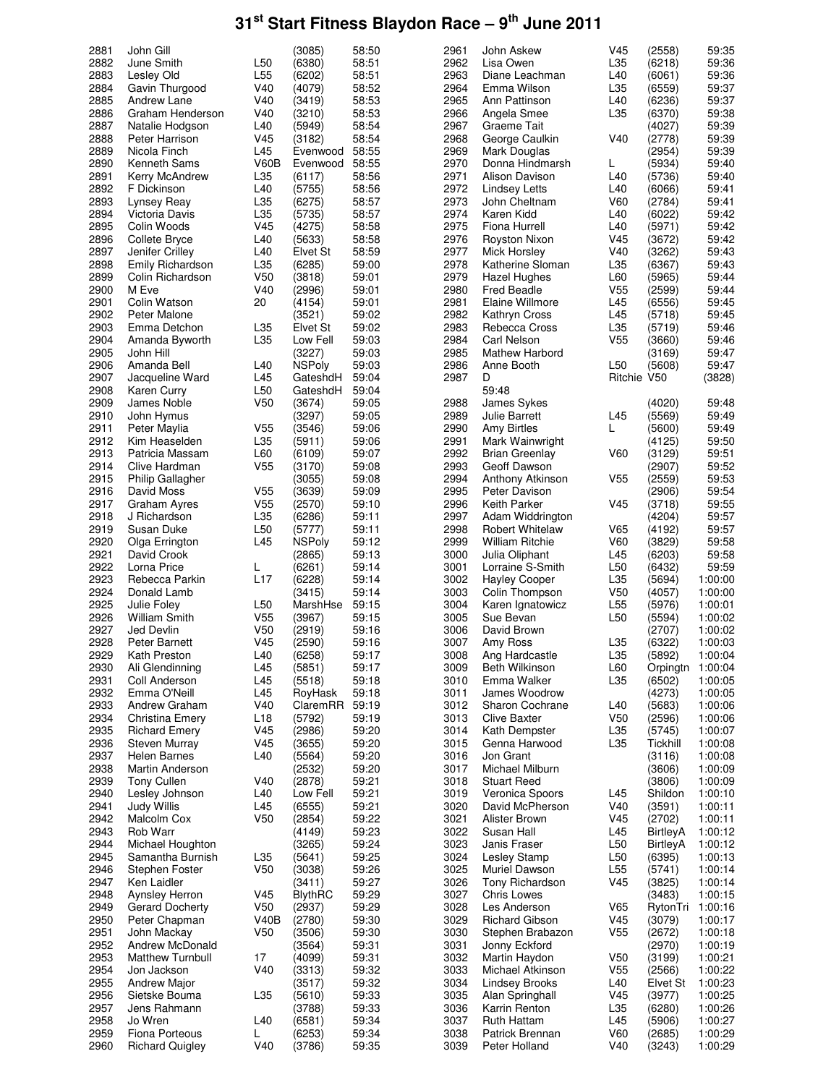| 2881 | John Gill               |                 | (3085)         | 58:50 | 2961 | John Askew             | V45             | (2558)           | 59:35   |
|------|-------------------------|-----------------|----------------|-------|------|------------------------|-----------------|------------------|---------|
| 2882 | June Smith              | L <sub>50</sub> | (6380)         | 58:51 | 2962 | Lisa Owen              | L35             | (6218)           | 59:36   |
| 2883 | Lesley Old              | L <sub>55</sub> | (6202)         | 58:51 | 2963 | Diane Leachman         | L40             | (6061)           | 59:36   |
| 2884 | Gavin Thurgood          | V40             | (4079)         | 58:52 | 2964 | Emma Wilson            | L35             | (6559)           | 59:37   |
| 2885 | Andrew Lane             | V40             | (3419)         | 58:53 | 2965 | Ann Pattinson          | L40             | (6236)           | 59:37   |
| 2886 | Graham Henderson        | V40             | (3210)         | 58:53 | 2966 | Angela Smee            | L35             | (6370)           | 59:38   |
| 2887 | Natalie Hodgson         | L40             | (5949)         | 58:54 | 2967 | Graeme Tait            |                 | (4027)           | 59:39   |
| 2888 | Peter Harrison          | V <sub>45</sub> | (3182)         | 58:54 | 2968 | George Caulkin         | V40             | (2778)           | 59:39   |
| 2889 | Nicola Finch            | L45             | Evenwood       | 58:55 | 2969 | Mark Douglas           |                 | (2954)           | 59:39   |
| 2890 | Kenneth Sams            | V60B            | Evenwood       | 58:55 | 2970 | Donna Hindmarsh        | L               | (5934)           | 59:40   |
| 2891 | Kerry McAndrew          | L35             | (6117)         | 58:56 | 2971 | Alison Davison         | L40             | (5736)           | 59:40   |
| 2892 | F Dickinson             | L40             | (5755)         | 58:56 | 2972 | <b>Lindsey Letts</b>   | L40             | (6066)           | 59:41   |
| 2893 | Lynsey Reay             | L35             | (6275)         | 58:57 | 2973 | John Cheltnam          | V60             | (2784)           | 59:41   |
| 2894 | Victoria Davis          | L35             | (5735)         | 58:57 | 2974 | Karen Kidd             | L40             | (6022)           | 59:42   |
| 2895 | Colin Woods             | V <sub>45</sub> | (4275)         | 58:58 | 2975 | Fiona Hurrell          | L40             | (5971)           | 59:42   |
| 2896 | Collete Bryce           | L40             | (5633)         | 58:58 | 2976 | Royston Nixon          | V <sub>45</sub> | (3672)           | 59:42   |
| 2897 | Jenifer Crilley         | L40             | Elvet St       | 58:59 | 2977 | Mick Horsley           | V40             | (3262)           | 59:43   |
| 2898 | <b>Emily Richardson</b> | L35             | (6285)         | 59:00 | 2978 | Katherine Sloman       | L35             | (6367)           | 59:43   |
| 2899 | Colin Richardson        | V <sub>50</sub> | (3818)         | 59:01 | 2979 | Hazel Hughes           | L60             | (5965)           | 59:44   |
| 2900 | M Eve                   | V40             | (2996)         | 59:01 | 2980 | Fred Beadle            | V <sub>55</sub> | (2599)           | 59:44   |
| 2901 | Colin Watson            | 20              | (4154)         | 59:01 | 2981 | Elaine Willmore        | L45             | (6556)           | 59:45   |
| 2902 | Peter Malone            |                 | (3521)         | 59:02 | 2982 | Kathryn Cross          | L45             | (5718)           | 59:45   |
| 2903 | Emma Detchon            | L35             | Elvet St       | 59:02 | 2983 | Rebecca Cross          | L35             | (5719)           | 59:46   |
| 2904 | Amanda Byworth          | L35             | Low Fell       | 59:03 | 2984 | <b>Carl Nelson</b>     | V <sub>55</sub> | (3660)           | 59:46   |
| 2905 | John Hill               |                 | (3227)         | 59:03 | 2985 | Mathew Harbord         |                 | (3169)           | 59:47   |
| 2906 | Amanda Bell             | L40             | <b>NSPoly</b>  | 59:03 | 2986 | Anne Booth             | L <sub>50</sub> | (5608)           | 59:47   |
| 2907 | Jacqueline Ward         | L45             | GateshdH       | 59:04 | 2987 | D                      | Ritchie V50     |                  | (3828)  |
| 2908 | Karen Curry             | L50             | GateshdH       | 59:04 |      | 59:48                  |                 |                  |         |
| 2909 | James Noble             | V <sub>50</sub> | (3674)         | 59:05 | 2988 | James Sykes            |                 | (4020)           | 59:48   |
| 2910 | John Hymus              |                 | (3297)         | 59:05 | 2989 | <b>Julie Barrett</b>   | L45             | (5569)           | 59:49   |
| 2911 | Peter Maylia            | V <sub>55</sub> | (3546)         | 59:06 | 2990 | <b>Amy Birtles</b>     | L               | (5600)           | 59:49   |
| 2912 | Kim Heaselden           | L35             | (5911)         | 59:06 | 2991 | Mark Wainwright        |                 | (4125)           | 59:50   |
| 2913 | Patricia Massam         | L60             | (6109)         | 59:07 | 2992 | Brian Greenlay         | V60             | (3129)           | 59:51   |
| 2914 | Clive Hardman           | V <sub>55</sub> | (3170)         | 59:08 | 2993 | Geoff Dawson           |                 | (2907)           | 59:52   |
| 2915 | <b>Philip Gallagher</b> |                 | (3055)         | 59:08 | 2994 | Anthony Atkinson       | V <sub>55</sub> | (2559)           | 59:53   |
| 2916 | David Moss              | V <sub>55</sub> | (3639)         | 59:09 | 2995 | Peter Davison          |                 | (2906)           | 59:54   |
| 2917 | Graham Ayres            | V <sub>55</sub> | (2570)         | 59:10 | 2996 | <b>Keith Parker</b>    | V <sub>45</sub> | (3718)           | 59:55   |
| 2918 | J Richardson            | L35             | (6286)         | 59:11 | 2997 | Adam Widdrington       |                 | (4204)           | 59:57   |
| 2919 | Susan Duke              | L <sub>50</sub> | (5777)         | 59:11 | 2998 | <b>Robert Whitelaw</b> | V65             | (4192)           | 59:57   |
| 2920 | Olga Errington          | L45             | <b>NSPoly</b>  | 59:12 | 2999 | <b>William Ritchie</b> | V60             | (3829)           | 59:58   |
| 2921 | David Crook             |                 | (2865)         | 59:13 | 3000 | Julia Oliphant         | L45             | (6203)           | 59:58   |
| 2922 | Lorna Price             | L               | (6261)         | 59:14 | 3001 | Lorraine S-Smith       | L <sub>50</sub> | (6432)           | 59:59   |
| 2923 | Rebecca Parkin          | L17             | (6228)         | 59:14 | 3002 | <b>Hayley Cooper</b>   | L35             | (5694)           | 1:00:00 |
| 2924 | Donald Lamb             |                 | (3415)         | 59:14 | 3003 | Colin Thompson         | V <sub>50</sub> | (4057)           | 1:00:00 |
| 2925 | Julie Foley             | L <sub>50</sub> | MarshHse       | 59:15 | 3004 | Karen Ignatowicz       | L <sub>55</sub> | (5976)           | 1:00:01 |
| 2926 | <b>William Smith</b>    | V <sub>55</sub> | (3967)         | 59:15 | 3005 | Sue Bevan              | L <sub>50</sub> | (5594)           | 1:00:02 |
| 2927 | Jed Devlin              | V <sub>50</sub> | (2919)         | 59:16 | 3006 | David Brown            |                 | (2707)           | 1:00:02 |
| 2928 | Peter Barnett           | V <sub>45</sub> | (2590)         | 59:16 | 3007 | Amy Ross               | L35             | (6322)           | 1:00:03 |
| 2929 | Kath Preston            | L40             | (6258)         | 59:17 | 3008 | Ang Hardcastle         | L35             | (5892)           | 1:00:04 |
| 2930 | Ali Glendinning         | L45             | (5851)         | 59:17 | 3009 | Beth Wilkinson         | L60             | Orpingtn 1:00:04 |         |
| 2931 | Coll Anderson           | L45             | (5518)         | 59:18 | 3010 | Emma Walker            | L35             | (6502)           | 1:00:05 |
| 2932 | Emma O'Neill            | L45             | RoyHask        | 59:18 | 3011 | James Woodrow          |                 | (4273)           | 1:00:05 |
| 2933 | Andrew Graham           | V40             | ClaremRR       | 59:19 | 3012 | <b>Sharon Cochrane</b> | L40             | (5683)           | 1:00:06 |
| 2934 | Christina Emery         | L18             | (5792)         | 59:19 | 3013 | <b>Clive Baxter</b>    | V <sub>50</sub> | (2596)           | 1:00:06 |
| 2935 | <b>Richard Emery</b>    | V45             | (2986)         | 59:20 | 3014 | Kath Dempster          | L35             | (5745)           | 1:00:07 |
| 2936 | Steven Murray           | V <sub>45</sub> | (3655)         | 59:20 | 3015 | Genna Harwood          | L35             | Tickhill         | 1:00:08 |
| 2937 | Helen Barnes            | L40             | (5564)         | 59:20 | 3016 | Jon Grant              |                 | (3116)           | 1:00:08 |
| 2938 | Martin Anderson         |                 | (2532)         | 59:20 | 3017 | Michael Milburn        |                 | (3606)           | 1:00:09 |
| 2939 | Tony Cullen             | V40             | (2878)         | 59:21 | 3018 | <b>Stuart Reed</b>     |                 | (3806)           | 1:00:09 |
| 2940 | Lesley Johnson          | L40             | Low Fell       | 59:21 | 3019 | Veronica Spoors        | L45             | Shildon          | 1:00:10 |
| 2941 | Judy Willis             | L45             | (6555)         | 59:21 | 3020 | David McPherson        | V40             | (3591)           | 1:00:11 |
| 2942 | Malcolm Cox             | V <sub>50</sub> | (2854)         | 59:22 | 3021 | Alister Brown          | V <sub>45</sub> | (2702)           | 1:00:11 |
| 2943 | Rob Warr                |                 | (4149)         | 59:23 | 3022 | Susan Hall             | L45             | BirtleyA         | 1:00:12 |
| 2944 | Michael Houghton        |                 | (3265)         | 59:24 | 3023 | Janis Fraser           | L50             | BirtleyA         | 1:00:12 |
| 2945 | Samantha Burnish        | L35             | (5641)         | 59:25 | 3024 | Lesley Stamp           | L50             | (6395)           | 1:00:13 |
| 2946 | Stephen Foster          | V50             | (3038)         | 59:26 | 3025 | Muriel Dawson          | L55             | (5741)           | 1:00:14 |
| 2947 | Ken Laidler             |                 | (3411)         | 59:27 | 3026 | Tony Richardson        | V <sub>45</sub> | (3825)           | 1:00:14 |
| 2948 | Aynsley Herron          | V <sub>45</sub> | <b>BlythRC</b> | 59:29 | 3027 | <b>Chris Lowes</b>     |                 | (3483)           | 1:00:15 |
| 2949 | Gerard Docherty         | V50             | (2937)         | 59:29 | 3028 | Les Anderson           | V65             | RytonTri         | 1:00:16 |
| 2950 | Peter Chapman           | <b>V40B</b>     | (2780)         | 59:30 | 3029 | <b>Richard Gibson</b>  | V <sub>45</sub> | (3079)           | 1:00:17 |
| 2951 | John Mackay             | V <sub>50</sub> | (3506)         | 59:30 | 3030 | Stephen Brabazon       | V <sub>55</sub> | (2672)           | 1:00:18 |
| 2952 | Andrew McDonald         |                 | (3564)         | 59:31 | 3031 | Jonny Eckford          |                 | (2970)           | 1:00:19 |
| 2953 | <b>Matthew Turnbull</b> | 17              | (4099)         | 59:31 | 3032 | Martin Haydon          | V <sub>50</sub> | (3199)           | 1:00:21 |
| 2954 | Jon Jackson             | V40             | (3313)         | 59:32 | 3033 | Michael Atkinson       | V <sub>55</sub> | (2566)           | 1:00:22 |
| 2955 | <b>Andrew Major</b>     |                 | (3517)         | 59:32 | 3034 | <b>Lindsey Brooks</b>  | L40             | Elvet St         | 1:00:23 |
| 2956 | Sietske Bouma           | L35             | (5610)         | 59:33 | 3035 | Alan Springhall        | V45             | (3977)           | 1:00:25 |
| 2957 | Jens Rahmann            |                 | (3788)         | 59:33 | 3036 | Karrin Renton          | L35             | (6280)           | 1:00:26 |
| 2958 | Jo Wren                 | L40             | (6581)         | 59:34 | 3037 | Ruth Hattam            | L45             | (5906)           | 1:00:27 |
| 2959 | Fiona Porteous          | L               | (6253)         | 59:34 | 3038 | Patrick Brennan        | V60             | (2685)           | 1:00:29 |
| 2960 | <b>Richard Quigley</b>  | V40             | (3786)         | 59:35 | 3039 | Peter Holland          | V40             | (3243)           | 1:00:29 |
|      |                         |                 |                |       |      |                        |                 |                  |         |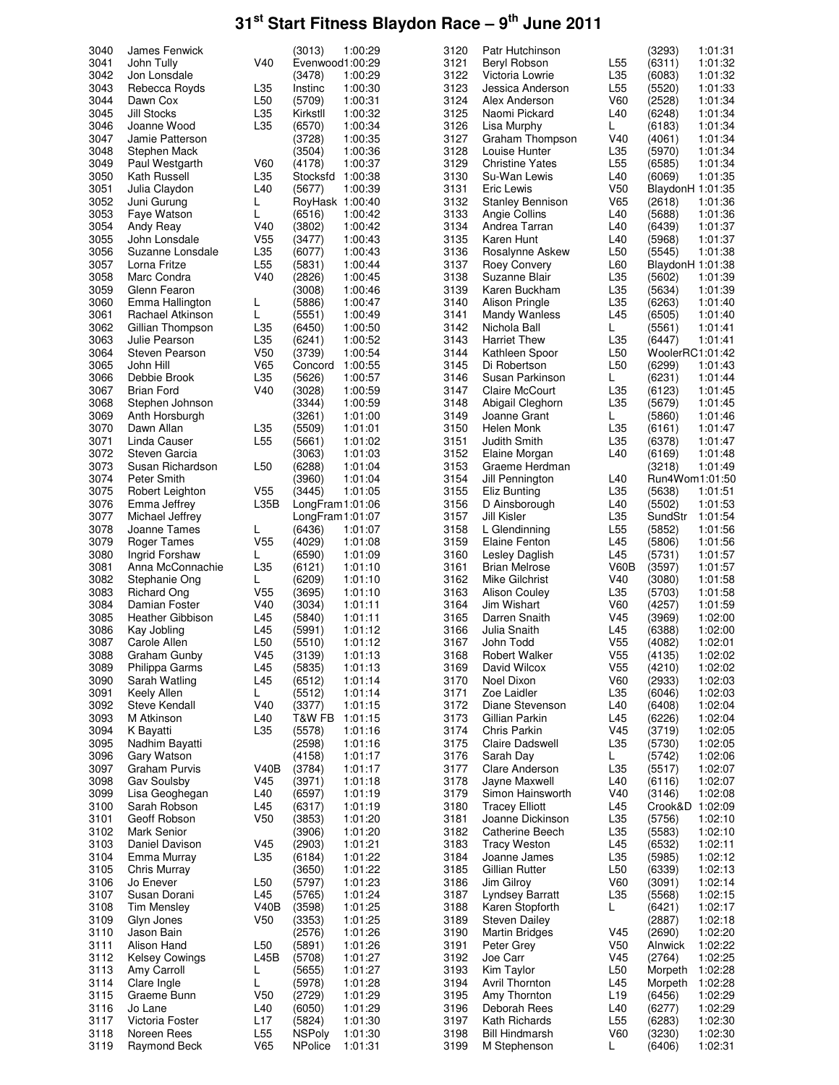| 3040         | James Fenwick                      |                        | (3013)                   | 1:00:29            | 3120         | Patr Hutchinson                       |                 | (3293)           | 1:01:31            |
|--------------|------------------------------------|------------------------|--------------------------|--------------------|--------------|---------------------------------------|-----------------|------------------|--------------------|
| 3041         | John Tully                         | V40                    | Evenwood1:00:29          |                    | 3121         | Beryl Robson                          | L <sub>55</sub> | (6311)           | 1:01:32            |
| 3042         | Jon Lonsdale                       |                        | (3478)                   | 1:00:29            | 3122         | Victoria Lowrie                       | L35             | (6083)           | 1:01:32            |
| 3043         | Rebecca Royds                      | L35                    | Instinc                  | 1:00:30            | 3123         | Jessica Anderson                      | L <sub>55</sub> | (5520)           | 1:01:33            |
|              |                                    |                        |                          |                    |              |                                       |                 |                  |                    |
| 3044         | Dawn Cox                           | L <sub>50</sub>        | (5709)                   | 1:00:31            | 3124         | Alex Anderson                         | V60             | (2528)           | 1:01:34            |
| 3045         | Jill Stocks                        | L35                    | Kirkstll                 | 1:00:32            | 3125         | Naomi Pickard                         | L40             | (6248)           | 1:01:34            |
| 3046         | Joanne Wood                        | L35                    | (6570)                   | 1:00:34            | 3126         | Lisa Murphy                           | L               | (6183)           | 1:01:34            |
|              |                                    |                        |                          |                    |              |                                       |                 |                  |                    |
| 3047         | Jamie Patterson                    |                        | (3728)                   | 1:00:35            | 3127         | Graham Thompson                       | V40             | (4061)           | 1:01:34            |
| 3048         | Stephen Mack                       |                        | (3504)                   | 1:00:36            | 3128         | Louise Hunter                         | L35             | (5970)           | 1:01:34            |
| 3049         | Paul Westgarth                     | V60                    | (4178)                   | 1:00:37            | 3129         | <b>Christine Yates</b>                | L <sub>55</sub> | (6585)           | 1:01:34            |
| 3050         |                                    | L35                    | Stocksfd                 | 1:00:38            | 3130         | Su-Wan Lewis                          | L40             |                  | 1:01:35            |
|              | Kath Russell                       |                        |                          |                    |              |                                       |                 | (6069)           |                    |
| 3051         | Julia Claydon                      | L40                    | (5677)                   | 1:00:39            | 3131         | Eric Lewis                            | V <sub>50</sub> | BlaydonH 1:01:35 |                    |
| 3052         | Juni Gurung                        | L                      | RoyHask 1:00:40          |                    | 3132         | <b>Stanley Bennison</b>               | V65             | (2618)           | 1:01:36            |
| 3053         | Faye Watson                        | L                      | (6516)                   | 1:00:42            | 3133         | <b>Angie Collins</b>                  | L40             | (5688)           | 1:01:36            |
|              |                                    |                        |                          |                    |              |                                       |                 |                  |                    |
| 3054         | Andy Reay                          | V40                    | (3802)                   | 1:00:42            | 3134         | Andrea Tarran                         | L40             | (6439)           | 1:01:37            |
| 3055         | John Lonsdale                      | V <sub>55</sub>        | (3477)                   | 1:00:43            | 3135         | Karen Hunt                            | L <sub>40</sub> | (5968)           | 1:01:37            |
| 3056         | Suzanne Lonsdale                   | L35                    | (6077)                   | 1:00:43            | 3136         | Rosalynne Askew                       | L <sub>50</sub> | (5545)           | 1:01:38            |
|              |                                    |                        |                          |                    |              |                                       |                 |                  |                    |
| 3057         | Lorna Fritze                       | L <sub>55</sub>        | (5831)                   | 1:00:44            | 3137         | Roey Convery                          | L60             | BlaydonH 1:01:38 |                    |
| 3058         | Marc Condra                        | V40                    | (2826)                   | 1:00:45            | 3138         | Suzanne Blair                         | L35             | (5602)           | 1:01:39            |
| 3059         | Glenn Fearon                       |                        | (3008)                   | 1:00:46            | 3139         | Karen Buckham                         | L35             | (5634)           | 1:01:39            |
| 3060         |                                    |                        |                          |                    | 3140         |                                       | L35             |                  |                    |
|              | Emma Hallington                    | L                      | (5886)                   | 1:00:47            |              | Alison Pringle                        |                 | (6263)           | 1:01:40            |
| 3061         | Rachael Atkinson                   | L                      | (5551)                   | 1:00:49            | 3141         | Mandy Wanless                         | L45             | (6505)           | 1:01:40            |
| 3062         | Gillian Thompson                   | L35                    | (6450)                   | 1:00:50            | 3142         | Nichola Ball                          | L               | (5561)           | 1:01:41            |
| 3063         | Julie Pearson                      | L35                    | (6241)                   | 1:00:52            | 3143         | <b>Harriet Thew</b>                   | L <sub>35</sub> | (6447)           | 1:01:41            |
|              |                                    |                        |                          |                    |              |                                       |                 |                  |                    |
| 3064         | Steven Pearson                     | V <sub>50</sub>        | (3739)                   | 1:00:54            | 3144         | Kathleen Spoor                        | L <sub>50</sub> | WoolerRC1:01:42  |                    |
| 3065         | John Hill                          | V65                    | Concord                  | 1:00:55            | 3145         | Di Robertson                          | L <sub>50</sub> | (6299)           | 1:01:43            |
| 3066         | Debbie Brook                       | L35                    | (5626)                   | 1:00:57            | 3146         | Susan Parkinson                       | L.              | (6231)           | 1:01:44            |
|              |                                    |                        |                          |                    |              |                                       |                 |                  |                    |
| 3067         | <b>Brian Ford</b>                  | V40                    | (3028)                   | 1:00:59            | 3147         | Claire McCourt                        | L35             | (6123)           | 1:01:45            |
| 3068         | Stephen Johnson                    |                        | (3344)                   | 1:00:59            | 3148         | Abigail Cleghorn                      | L35             | (5679)           | 1:01:45            |
| 3069         | Anth Horsburgh                     |                        | (3261)                   | 1:01:00            | 3149         | Joanne Grant                          | L               | (5860)           | 1:01:46            |
|              |                                    |                        |                          |                    |              |                                       |                 |                  |                    |
| 3070         | Dawn Allan                         | L35                    | (5509)                   | 1:01:01            | 3150         | Helen Monk                            | L35             | (6161)           | 1:01:47            |
| 3071         | Linda Causer                       | L <sub>55</sub>        | (5661)                   | 1:01:02            | 3151         | <b>Judith Smith</b>                   | L35             | (6378)           | 1:01:47            |
| 3072         | Steven Garcia                      |                        | (3063)                   | 1:01:03            | 3152         | Elaine Morgan                         | L40             | (6169)           | 1:01:48            |
| 3073         | Susan Richardson                   | L <sub>50</sub>        | (6288)                   | 1:01:04            | 3153         | Graeme Herdman                        |                 | (3218)           | 1:01:49            |
|              |                                    |                        |                          |                    |              |                                       |                 |                  |                    |
| 3074         | Peter Smith                        |                        | (3960)                   | 1:01:04            | 3154         | Jill Pennington                       | L40             | Run4Wom1:01:50   |                    |
| 3075         | Robert Leighton                    | V55                    | (3445)                   | 1:01:05            | 3155         | Eliz Bunting                          | L35             | (5638)           | 1:01:51            |
| 3076         | Emma Jeffrey                       | L35B                   | LongFram1:01:06          |                    | 3156         | D Ainsborough                         | L40             | (5502)           | 1:01:53            |
|              |                                    |                        |                          |                    |              |                                       |                 |                  |                    |
| 3077         | Michael Jeffrey                    |                        | LongFram1:01:07          |                    | 3157         | Jill Kisler                           | L35             | SundStr          | 1:01:54            |
| 3078         | Joanne Tames                       | L                      | (6436)                   | 1:01:07            | 3158         | L Glendinning                         | L <sub>55</sub> | (5852)           | 1:01:56            |
| 3079         | Roger Tames                        | V <sub>55</sub>        | (4029)                   | 1:01:08            | 3159         | Elaine Fenton                         | L45             | (5806)           | 1:01:56            |
| 3080         |                                    |                        |                          |                    |              |                                       | L45             |                  | 1:01:57            |
|              | Ingrid Forshaw                     | L                      | (6590)                   | 1:01:09            | 3160         | Lesley Daglish                        |                 | (5731)           |                    |
| 3081         | Anna McConnachie                   | L35                    | (6121)                   | 1:01:10            | 3161         | <b>Brian Melrose</b>                  | V60B            | (3597)           | 1:01:57            |
| 3082         | Stephanie Ong                      | L                      | (6209)                   | 1:01:10            | 3162         | Mike Gilchrist                        | V40             | (3080)           | 1:01:58            |
| 3083         | Richard Ong                        | V <sub>55</sub>        | (3695)                   | 1:01:10            | 3163         | <b>Alison Couley</b>                  | L35             | (5703)           | 1:01:58            |
|              |                                    |                        |                          |                    |              |                                       |                 |                  |                    |
| 3084         | Damian Foster                      | V40                    | (3034)                   | 1:01:11            | 3164         | Jim Wishart                           | V60             | (4257)           | 1:01:59            |
| 3085         | <b>Heather Gibbison</b>            | L45                    | (5840)                   | 1:01:11            | 3165         | Darren Snaith                         | V45             | (3969)           | 1:02:00            |
| 3086         | Kay Jobling                        | L45                    | (5991)                   | 1:01:12            | 3166         | Julia Snaith                          | L45             | (6388)           | 1:02:00            |
|              |                                    |                        |                          | 1:01:12            |              |                                       |                 |                  |                    |
| 3087         | Carole Allen                       | L <sub>50</sub>        | (5510)                   |                    | 3167         | John Todd                             | V <sub>55</sub> | (4082)           | 1:02:01            |
| 3088         | Graham Gunby                       | V45                    | (3139)                   | 1:01:13            | 3168         | Robert Walker                         | V <sub>55</sub> | (4135)           | 1:02:02            |
| 3089         | Philippa Garms                     | L45                    | (5835)                   | 1:01:13            | 3169         | David Wilcox                          | V <sub>55</sub> | (4210)           | 1:02:02            |
| 3090         | Sarah Watling                      | L45                    | (6512)                   | 1:01:14            | 3170         | Noel Dixon                            | V60             | (2933)           | 1:02:03            |
|              |                                    |                        |                          |                    |              |                                       |                 |                  |                    |
| 3091         | Keely Allen                        | L                      | (5512)                   | 1:01:14            | 3171         | Zoe Laidler                           | L35             | (6046)           | 1:02:03            |
| 3092         | Steve Kendall                      | V40                    | (3377)                   | 1:01:15            | 3172         | Diane Stevenson                       | L40             | (6408)           | 1:02:04            |
| 3093         | M Atkinson                         | L40                    | T&W FB                   | 1:01:15            | 3173         | Gillian Parkin                        | L45             | (6226)           | 1:02:04            |
| 3094         | K Bayatti                          | L35                    | (5578)                   | 1:01:16            | 3174         | Chris Parkin                          | V <sub>45</sub> |                  | 1:02:05            |
|              |                                    |                        |                          |                    |              |                                       |                 | (3719)           |                    |
| 3095         | Nadhim Bayatti                     |                        | (2598)                   | 1:01:16            | 3175         | Claire Dadswell                       | L35             | (5730)           | 1:02:05            |
| 3096         | Gary Watson                        |                        | (4158)                   | 1:01:17            | 3176         | Sarah Day                             | L               | (5742)           | 1:02:06            |
| 3097         | Graham Purvis                      | <b>V40B</b>            | (3784)                   | 1:01:17            | 3177         | Clare Anderson                        | L35             | (5517)           | 1:02:07            |
|              |                                    |                        |                          |                    |              |                                       |                 |                  |                    |
| 3098         | <b>Gav Soulsby</b>                 | V45                    | (3971)                   | 1:01:18            | 3178         | Jayne Maxwell                         | L40             | (6116)           | 1:02:07            |
| 3099         | Lisa Geoghegan                     | L40                    | (6597)                   | 1:01:19            | 3179         | Simon Hainsworth                      | V40             | (3146)           | 1:02:08            |
| 3100         | Sarah Robson                       | L45                    | (6317)                   | 1:01:19            | 3180         | <b>Tracey Elliott</b>                 | L45             | Crook&D 1:02:09  |                    |
| 3101         | Geoff Robson                       | V50                    | (3853)                   | 1:01:20            | 3181         | Joanne Dickinson                      | L35             | (5756)           | 1:02:10            |
|              |                                    |                        |                          |                    |              |                                       |                 |                  |                    |
| 3102         | Mark Senior                        |                        | (3906)                   | 1:01:20            | 3182         | Catherine Beech                       | L35             | (5583)           | 1:02:10            |
| 3103         | Daniel Davison                     | V <sub>45</sub>        | (2903)                   | 1:01:21            | 3183         | <b>Tracy Weston</b>                   | L45             | (6532)           | 1:02:11            |
| 3104         | Emma Murray                        | L35                    | (6184)                   | 1:01:22            | 3184         | Joanne James                          | L35             | (5985)           | 1:02:12            |
|              |                                    |                        |                          |                    |              |                                       |                 |                  |                    |
| 3105         | Chris Murray                       |                        | (3650)                   | 1:01:22            | 3185         | Gillian Rutter                        | L50             | (6339)           | 1:02:13            |
| 3106         | Jo Enever                          | L <sub>50</sub>        | (5797)                   | 1:01:23            | 3186         | Jim Gilroy                            | V60             | (3091)           | 1:02:14            |
| 3107         | Susan Dorani                       | L45                    | (5765)                   | 1:01:24            | 3187         | Lyndsey Barratt                       | L35             | (5568)           | 1:02:15            |
| 3108         | <b>Tim Mensley</b>                 | V40B                   | (3598)                   | 1:01:25            | 3188         | Karen Stopforth                       | L               | (6421)           | 1:02:17            |
|              |                                    |                        |                          |                    |              |                                       |                 |                  |                    |
| 3109         | Glyn Jones                         | V <sub>50</sub>        | (3353)                   | 1:01:25            | 3189         | <b>Steven Dailey</b>                  |                 | (2887)           | 1:02:18            |
| 3110         | Jason Bain                         |                        | (2576)                   | 1:01:26            | 3190         | <b>Martin Bridges</b>                 | V <sub>45</sub> | (2690)           | 1:02:20            |
| 3111         | Alison Hand                        | L <sub>50</sub>        | (5891)                   | 1:01:26            | 3191         | Peter Grey                            | V <sub>50</sub> | Alnwick          | 1:02:22            |
|              |                                    |                        |                          |                    |              |                                       |                 |                  |                    |
| 3112         | <b>Kelsey Cowings</b>              | L45B                   | (5708)                   | 1:01:27            | 3192         | Joe Carr                              | V <sub>45</sub> | (2764)           | 1:02:25            |
| 3113         | Amy Carroll                        | L                      | (5655)                   | 1:01:27            | 3193         | Kim Taylor                            | L <sub>50</sub> | Morpeth          | 1:02:28            |
| 3114         | Clare Ingle                        | L                      | (5978)                   | 1:01:28            | 3194         | Avril Thornton                        | L45             | Morpeth          | 1:02:28            |
| 3115         |                                    | V <sub>50</sub>        | (2729)                   | 1:01:29            | 3195         | Amy Thornton                          | L <sub>19</sub> |                  | 1:02:29            |
|              | Graeme Bunn                        |                        |                          |                    |              |                                       |                 | (6456)           |                    |
| 3116         | Jo Lane                            | L40                    | (6050)                   | 1:01:29            | 3196         | Deborah Rees                          | L40             | (6277)           | 1:02:29            |
|              |                                    |                        |                          |                    |              |                                       |                 |                  |                    |
| 3117         | Victoria Foster                    | L17                    | (5824)                   | 1:01:30            | 3197         | Kath Richards                         | L <sub>55</sub> | (6283)           | 1:02:30            |
|              |                                    |                        |                          |                    |              |                                       |                 |                  |                    |
| 3118<br>3119 | Noreen Rees<br><b>Raymond Beck</b> | L <sub>55</sub><br>V65 | <b>NSPoly</b><br>NPolice | 1:01:30<br>1:01:31 | 3198<br>3199 | <b>Bill Hindmarsh</b><br>M Stephenson | V60<br>L        | (3230)<br>(6406) | 1:02:30<br>1:02:31 |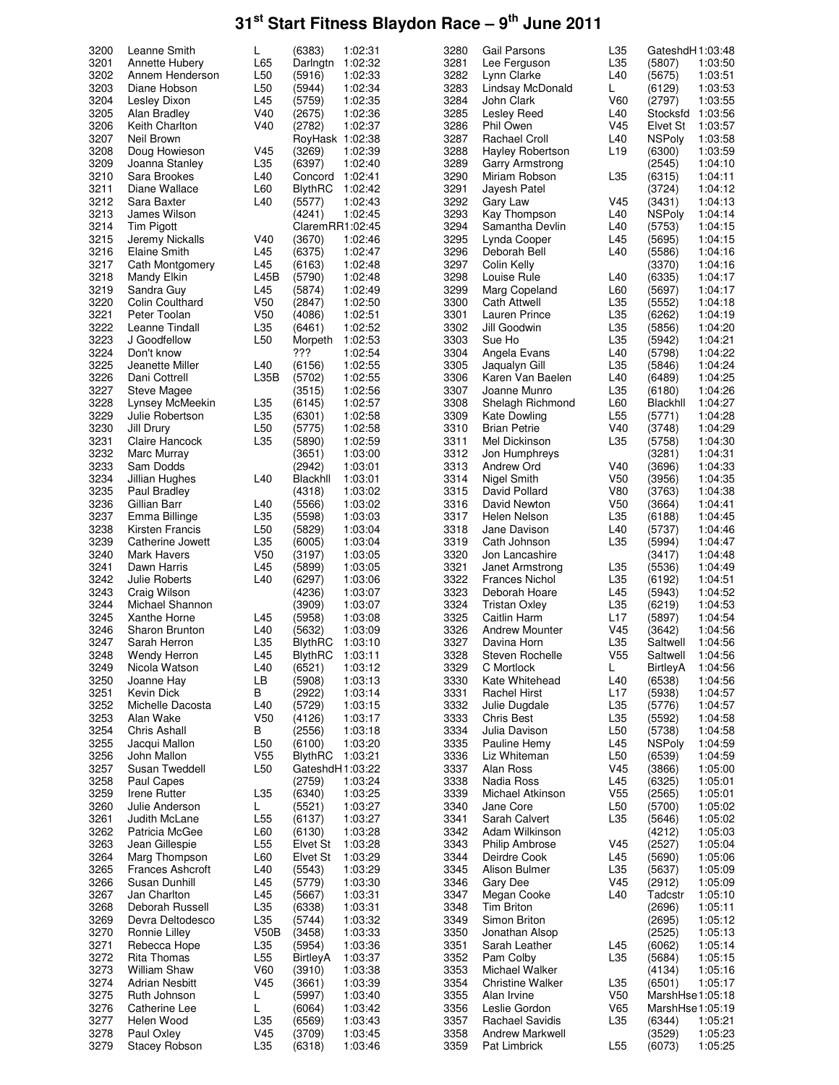| 3200 | Leanne Smith            | L               | (6383)          | 1:02:31 | 3280 | Gail Parsons           | L35             | GateshdH1:03:48  |         |
|------|-------------------------|-----------------|-----------------|---------|------|------------------------|-----------------|------------------|---------|
|      |                         |                 |                 |         |      |                        |                 |                  |         |
| 3201 | Annette Hubery          | L65             | Darlngtn        | 1:02:32 | 3281 | Lee Ferguson           | L35             | (5807)           | 1:03:50 |
| 3202 | Annem Henderson         | L <sub>50</sub> | (5916)          | 1:02:33 | 3282 | Lynn Clarke            | L40             | (5675)           | 1:03:51 |
| 3203 |                         |                 |                 | 1:02:34 | 3283 |                        |                 |                  | 1:03:53 |
|      | Diane Hobson            | L50             | (5944)          |         |      | Lindsay McDonald       | L               | (6129)           |         |
| 3204 | Lesley Dixon            | L45             | (5759)          | 1:02:35 | 3284 | John Clark             | V60             | (2797)           | 1:03:55 |
| 3205 | Alan Bradley            | V40             | (2675)          | 1:02:36 | 3285 | Lesley Reed            | L40             | Stocksfd 1:03:56 |         |
|      |                         |                 |                 |         |      |                        |                 |                  |         |
| 3206 | <b>Keith Charlton</b>   | V40             | (2782)          | 1:02:37 | 3286 | Phil Owen              | V <sub>45</sub> | Elvet St         | 1:03:57 |
| 3207 | Neil Brown              |                 | RoyHask 1:02:38 |         | 3287 | <b>Rachael Croll</b>   | L40             | <b>NSPoly</b>    | 1:03:58 |
| 3208 | Doug Howieson           |                 |                 | 1:02:39 | 3288 | Hayley Robertson       | L <sub>19</sub> | (6300)           | 1:03:59 |
|      |                         | V45             | (3269)          |         |      |                        |                 |                  |         |
| 3209 | Joanna Stanley          | L35             | (6397)          | 1:02:40 | 3289 | Garry Armstrong        |                 | (2545)           | 1:04:10 |
| 3210 | Sara Brookes            | L40             | Concord         | 1:02:41 | 3290 | Miriam Robson          | L35             | (6315)           | 1:04:11 |
|      |                         |                 |                 |         |      |                        |                 |                  |         |
| 3211 | Diane Wallace           | L60             | <b>BlythRC</b>  | 1:02:42 | 3291 | Jayesh Patel           |                 | (3724)           | 1:04:12 |
| 3212 | Sara Baxter             | L40             | (5577)          | 1:02:43 | 3292 | Gary Law               | V <sub>45</sub> | (3431)           | 1:04:13 |
| 3213 | James Wilson            |                 | (4241)          | 1:02:45 | 3293 | Kay Thompson           | L40             | <b>NSPoly</b>    | 1:04:14 |
|      |                         |                 |                 |         |      |                        |                 |                  |         |
| 3214 | Tim Pigott              |                 | ClaremRR1:02:45 |         | 3294 | Samantha Devlin        | L40             | (5753)           | 1:04:15 |
| 3215 | Jeremy Nickalls         | V40             | (3670)          | 1:02:46 | 3295 | Lynda Cooper           | L45             | (5695)           | 1:04:15 |
| 3216 |                         |                 |                 |         | 3296 |                        |                 |                  |         |
|      | Elaine Smith            | L45             | (6375)          | 1:02:47 |      | Deborah Bell           | L40             | (5586)           | 1:04:16 |
| 3217 | Cath Montgomery         | L45             | (6163)          | 1:02:48 | 3297 | Colin Kelly            |                 | (3370)           | 1:04:16 |
| 3218 | <b>Mandy Elkin</b>      | L45B            | (5790)          | 1:02:48 | 3298 | Louise Rule            | L40             | (6335)           | 1:04:17 |
|      |                         |                 |                 |         |      |                        |                 |                  |         |
| 3219 | Sandra Guy              | L45             | (5874)          | 1:02:49 | 3299 | Marg Copeland          | L60             | (5697)           | 1:04:17 |
| 3220 | Colin Coulthard         | V <sub>50</sub> | (2847)          | 1:02:50 | 3300 | Cath Attwell           | L35             | (5552)           | 1:04:18 |
| 3221 | Peter Toolan            | V <sub>50</sub> | (4086)          | 1:02:51 | 3301 | Lauren Prince          | L35             | (6262)           | 1:04:19 |
|      |                         |                 |                 |         |      |                        |                 |                  |         |
| 3222 | Leanne Tindall          | L35             | (6461)          | 1:02:52 | 3302 | Jill Goodwin           | L35             | (5856)           | 1:04:20 |
| 3223 | J Goodfellow            | L <sub>50</sub> | Morpeth         | 1:02:53 | 3303 | Sue Ho                 | L35             | (5942)           | 1:04:21 |
| 3224 |                         |                 | ???             |         |      |                        |                 |                  |         |
|      | Don't know              |                 |                 | 1:02:54 | 3304 | Angela Evans           | L40             | (5798)           | 1:04:22 |
| 3225 | Jeanette Miller         | L40             | (6156)          | 1:02:55 | 3305 | Jaqualyn Gill          | L <sub>35</sub> | (5846)           | 1:04:24 |
| 3226 | Dani Cottrell           | L35B            | (5702)          | 1:02:55 | 3306 | Karen Van Baelen       | L <sub>40</sub> | (6489)           | 1:04:25 |
|      |                         |                 |                 |         |      |                        |                 |                  |         |
| 3227 | Steve Magee             |                 | (3515)          | 1:02:56 | 3307 | Joanne Munro           | L35             | (6180)           | 1:04:26 |
| 3228 | Lynsey McMeekin         | L35             | (6145)          | 1:02:57 | 3308 | Shelagh Richmond       | L60             | Blackhll         | 1:04:27 |
|      |                         |                 |                 |         |      |                        |                 |                  |         |
| 3229 | Julie Robertson         | L35             | (6301)          | 1:02:58 | 3309 | Kate Dowling           | L <sub>55</sub> | (5771)           | 1:04:28 |
| 3230 | Jill Drury              | L <sub>50</sub> | (5775)          | 1:02:58 | 3310 | <b>Brian Petrie</b>    | V40             | (3748)           | 1:04:29 |
| 3231 | Claire Hancock          | L35             | (5890)          | 1:02:59 | 3311 | Mel Dickinson          | L35             | (5758)           | 1:04:30 |
|      |                         |                 |                 |         |      |                        |                 |                  |         |
| 3232 | Marc Murray             |                 | (3651)          | 1:03:00 | 3312 | Jon Humphreys          |                 | (3281)           | 1:04:31 |
| 3233 | Sam Dodds               |                 | (2942)          | 1:03:01 | 3313 | Andrew Ord             | V40             | (3696)           | 1:04:33 |
| 3234 | Jillian Hughes          | L40             | Blackhll        | 1:03:01 | 3314 | Nigel Smith            | V <sub>50</sub> |                  | 1:04:35 |
|      |                         |                 |                 |         |      |                        |                 | (3956)           |         |
| 3235 | Paul Bradley            |                 | (4318)          | 1:03:02 | 3315 | David Pollard          | V80             | (3763)           | 1:04:38 |
| 3236 | Gillian Barr            | L40             | (5566)          | 1:03:02 | 3316 | David Newton           | V <sub>50</sub> | (3664)           | 1:04:41 |
|      |                         |                 |                 |         |      |                        |                 |                  |         |
| 3237 | Emma Billinge           | L35             | (5598)          | 1:03:03 | 3317 | Helen Nelson           | L35             | (6188)           | 1:04:45 |
| 3238 | Kirsten Francis         | L <sub>50</sub> | (5829)          | 1:03:04 | 3318 | Jane Davison           | L40             | (5737)           | 1:04:46 |
| 3239 | Catherine Jowett        | L35             | (6005)          | 1:03:04 | 3319 | Cath Johnson           | L35             | (5994)           | 1:04:47 |
|      |                         |                 |                 |         |      |                        |                 |                  |         |
| 3240 | Mark Havers             | V <sub>50</sub> | (3197)          | 1:03:05 | 3320 | Jon Lancashire         |                 | (3417)           | 1:04:48 |
| 3241 | Dawn Harris             | L45             | (5899)          | 1:03:05 | 3321 | Janet Armstrong        | L35             | (5536)           | 1:04:49 |
|      |                         |                 |                 |         |      |                        |                 |                  |         |
| 3242 | Julie Roberts           | L40             | (6297)          | 1:03:06 | 3322 | Frances Nichol         | L35             | (6192)           | 1:04:51 |
| 3243 | Craig Wilson            |                 | (4236)          | 1:03:07 | 3323 | Deborah Hoare          | L45             | (5943)           | 1:04:52 |
| 3244 | Michael Shannon         |                 | (3909)          | 1:03:07 | 3324 | <b>Tristan Oxley</b>   | L35             | (6219)           | 1:04:53 |
|      |                         |                 |                 |         |      |                        |                 |                  |         |
| 3245 | Xanthe Horne            | L45             | (5958)          | 1:03:08 | 3325 | Caitlin Harm           | L17             | (5897)           | 1:04:54 |
| 3246 | <b>Sharon Brunton</b>   | L40             | (5632)          | 1:03:09 | 3326 | Andrew Mounter         | V45             | (3642)           | 1:04:56 |
|      | Sarah Herron            |                 |                 |         |      | Davina Horn            | L35             |                  |         |
| 3247 |                         | L35             | <b>BlythRC</b>  | 1:03:10 | 3327 |                        |                 | Saltwell         | 1:04:56 |
| 3248 | Wendy Herron            | L45             | <b>BlythRC</b>  | 1:03:11 | 3328 | Steven Rochelle        | V <sub>55</sub> | Saltwell         | 1:04:56 |
| 3249 | Nicola Watson           | L40             | (6521)          | 1:03:12 | 3329 | C Mortlock             | L               | <b>BirtleyA</b>  | 1:04:56 |
|      |                         |                 |                 |         |      |                        |                 |                  |         |
| 3250 | Joanne Hay              | LB              | (5908)          | 1:03:13 | 3330 | Kate Whitehead         | L40             | (6538)           | 1:04:56 |
| 3251 | Kevin Dick              | В               | (2922)          | 1:03:14 | 3331 | <b>Rachel Hirst</b>    | L17             | (5938)           | 1:04:57 |
| 3252 | Michelle Dacosta        | L40             | (5729)          | 1:03:15 | 3332 | Julie Dugdale          | L35             | (5776)           | 1:04:57 |
|      |                         |                 |                 |         |      |                        |                 |                  |         |
| 3253 | Alan Wake               | V <sub>50</sub> | (4126)          | 1:03:17 | 3333 | Chris Best             | L35             | (5592)           | 1:04:58 |
| 3254 | Chris Ashall            | В               | (2556)          | 1:03:18 | 3334 | Julia Davison          | L <sub>50</sub> | (5738)           | 1:04:58 |
|      | Jacqui Mallon           |                 |                 | 1:03:20 |      |                        |                 |                  |         |
| 3255 |                         | L <sub>50</sub> | (6100)          |         | 3335 | Pauline Hemy           | L45             | <b>NSPoly</b>    | 1:04:59 |
| 3256 | John Mallon             | V <sub>55</sub> | <b>BlythRC</b>  | 1:03:21 | 3336 | Liz Whiteman           | L <sub>50</sub> | (6539)           | 1:04:59 |
| 3257 | Susan Tweddell          | L <sub>50</sub> | GateshdH1:03:22 |         | 3337 | Alan Ross              | V <sub>45</sub> | (3866)           | 1:05:00 |
| 3258 |                         |                 | (2759)          | 1:03:24 | 3338 |                        | L45             |                  | 1:05:01 |
|      | Paul Capes              |                 |                 |         |      | Nadia Ross             |                 | (6325)           |         |
| 3259 | Irene Rutter            | L35             | (6340)          | 1:03:25 | 3339 | Michael Atkinson       | V <sub>55</sub> | (2565)           | 1:05:01 |
| 3260 | Julie Anderson          | L               | (5521)          | 1:03:27 | 3340 | Jane Core              | L <sub>50</sub> | (5700)           | 1:05:02 |
|      |                         |                 |                 |         |      |                        |                 |                  |         |
| 3261 | Judith McLane           | L <sub>55</sub> | (6137)          | 1:03:27 | 3341 | Sarah Calvert          | L35             | (5646)           | 1:05:02 |
| 3262 | Patricia McGee          | L60             | (6130)          | 1:03:28 | 3342 | Adam Wilkinson         |                 | (4212)           | 1:05:03 |
| 3263 | Jean Gillespie          | L <sub>55</sub> | Elvet St        | 1:03:28 | 3343 | <b>Philip Ambrose</b>  | V45             | (2527)           | 1:05:04 |
|      |                         |                 |                 |         |      |                        |                 |                  |         |
| 3264 | Marg Thompson           | L60             | Elvet St        | 1:03:29 | 3344 | Deirdre Cook           | L45             | (5690)           | 1:05:06 |
| 3265 | <b>Frances Ashcroft</b> | L40             | (5543)          | 1:03:29 | 3345 | Alison Bulmer          | L35             | (5637)           | 1:05:09 |
|      |                         |                 |                 |         |      |                        |                 |                  |         |
| 3266 | Susan Dunhill           | L45             | (5779)          | 1:03:30 | 3346 | Gary Dee               | V <sub>45</sub> | (2912)           | 1:05:09 |
| 3267 | Jan Charlton            | L45             | (5667)          | 1:03:31 | 3347 | Megan Cooke            | L40             | Tadcstr          | 1:05:10 |
| 3268 | Deborah Russell         | L35             | (6338)          | 1:03:31 | 3348 | <b>Tim Briton</b>      |                 | (2696)           | 1:05:11 |
|      |                         |                 |                 |         |      |                        |                 |                  |         |
| 3269 | Devra Deltodesco        | L35             | (5744)          | 1:03:32 | 3349 | Simon Briton           |                 | (2695)           | 1:05:12 |
| 3270 | Ronnie Lilley           | V50B            | (3458)          | 1:03:33 | 3350 | Jonathan Alsop         |                 | (2525)           | 1:05:13 |
|      |                         |                 |                 |         |      |                        |                 |                  |         |
| 3271 | Rebecca Hope            | L35             | (5954)          | 1:03:36 | 3351 | Sarah Leather          | L45             | (6062)           | 1:05:14 |
| 3272 | Rita Thomas             | L <sub>55</sub> | BirtleyA        | 1:03:37 | 3352 | Pam Colby              | L35             | (5684)           | 1:05:15 |
| 3273 | William Shaw            | V60             | (3910)          | 1:03:38 | 3353 | Michael Walker         |                 | (4134)           | 1:05:16 |
|      |                         |                 |                 |         |      |                        |                 |                  |         |
| 3274 | <b>Adrian Nesbitt</b>   | V <sub>45</sub> | (3661)          | 1:03:39 | 3354 | Christine Walker       | L35             | (6501)           | 1:05:17 |
| 3275 | Ruth Johnson            | L               | (5997)          | 1:03:40 | 3355 | Alan Irvine            | V <sub>50</sub> | MarshHse1:05:18  |         |
| 3276 | Catherine Lee           | L               | (6064)          | 1:03:42 | 3356 | Leslie Gordon          | V65             | MarshHse1:05:19  |         |
|      |                         |                 |                 |         |      |                        |                 |                  |         |
| 3277 | Helen Wood              | L35             | (6569)          | 1:03:43 | 3357 | <b>Rachael Savidis</b> | L35             | (6344)           | 1:05:21 |
| 3278 | Paul Oxley              | V45             | (3709)          | 1:03:45 | 3358 | Andrew Markwell        |                 | (3529)           | 1:05:23 |
| 3279 | Stacey Robson           | L35             | (6318)          | 1:03:46 | 3359 | Pat Limbrick           | L <sub>55</sub> | (6073)           | 1:05:25 |
|      |                         |                 |                 |         |      |                        |                 |                  |         |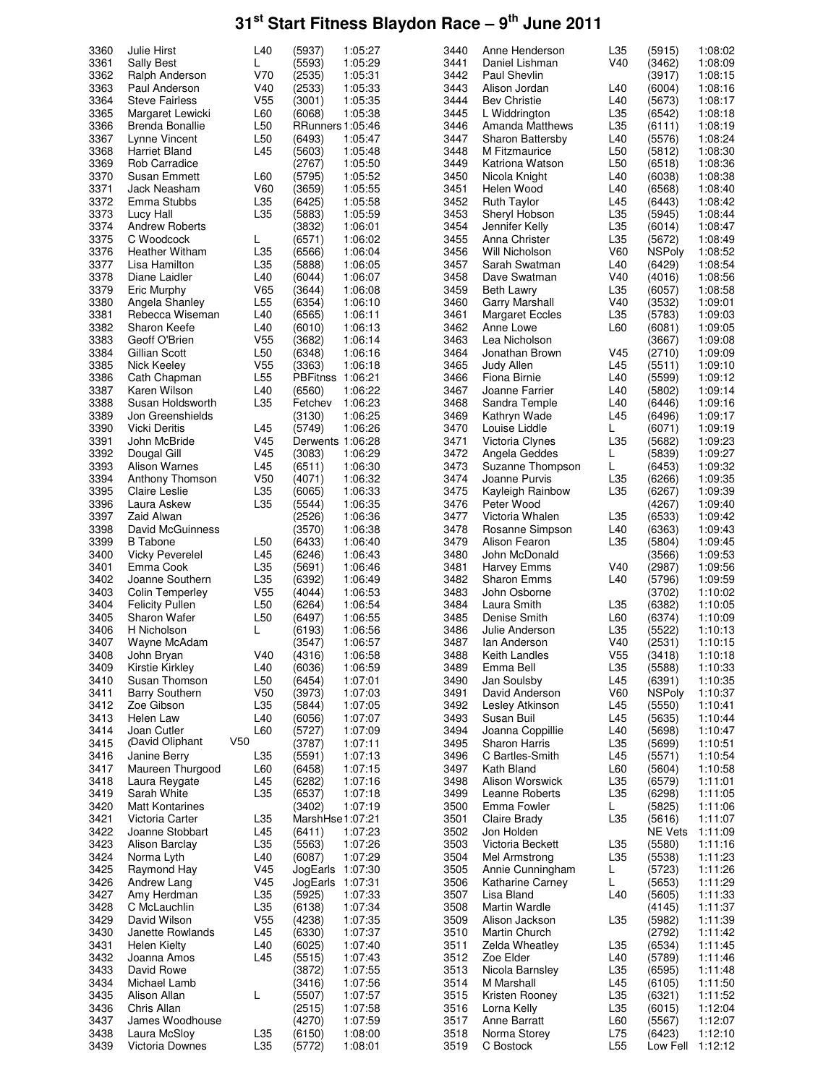| 3360 | Julie Hirst            | L <sub>40</sub> | (5937)           | 1:05:27 | 3440 | Anne Henderson          | L35             | (5915)         | 1:08:02 |
|------|------------------------|-----------------|------------------|---------|------|-------------------------|-----------------|----------------|---------|
| 3361 | <b>Sally Best</b>      | L               | (5593)           | 1:05:29 | 3441 | Daniel Lishman          | V40             | (3462)         | 1:08:09 |
| 3362 | Ralph Anderson         | V70             | (2535)           | 1:05:31 | 3442 | <b>Paul Shevlin</b>     |                 | (3917)         | 1:08:15 |
| 3363 | Paul Anderson          | V40             | (2533)           | 1:05:33 | 3443 | Alison Jordan           | L40             | (6004)         | 1:08:16 |
| 3364 | <b>Steve Fairless</b>  | V <sub>55</sub> | (3001)           | 1:05:35 | 3444 | <b>Bev Christie</b>     | L40             | (5673)         | 1:08:17 |
| 3365 | Margaret Lewicki       | L60             | (6068)           | 1:05:38 | 3445 | L Widdrington           | L35             | (6542)         | 1:08:18 |
| 3366 | Brenda Bonallie        | L <sub>50</sub> | RRunners 1:05:46 |         | 3446 | Amanda Matthews         | L35             | (6111)         | 1:08:19 |
| 3367 | Lynne Vincent          | L50             | (6493)           | 1:05:47 | 3447 | <b>Sharon Battersby</b> | L40             | (5576)         | 1:08:24 |
| 3368 | Harriet Bland          | L45             | (5603)           | 1:05:48 | 3448 | M Fitzmaurice           | L50             | (5812)         | 1:08:30 |
| 3369 | Rob Carradice          |                 | (2767)           | 1:05:50 | 3449 | Katriona Watson         | L <sub>50</sub> | (6518)         | 1:08:36 |
| 3370 | Susan Emmett           | L60             | (5795)           | 1:05:52 | 3450 | Nicola Knight           | L40             | (6038)         | 1:08:38 |
| 3371 | Jack Neasham           | <b>V60</b>      | (3659)           | 1:05:55 | 3451 | Helen Wood              | L <sub>40</sub> | (6568)         | 1:08:40 |
| 3372 |                        |                 |                  | 1:05:58 | 3452 | <b>Ruth Taylor</b>      | L45             |                |         |
|      | Emma Stubbs            | L35             | (6425)           |         |      |                         |                 | (6443)         | 1:08:42 |
| 3373 | Lucy Hall              | L35             | (5883)           | 1:05:59 | 3453 | Sheryl Hobson           | L35             | (5945)         | 1:08:44 |
| 3374 | <b>Andrew Roberts</b>  |                 | (3832)           | 1:06:01 | 3454 | Jennifer Kelly          | L35             | (6014)         | 1:08:47 |
| 3375 | C Woodcock             | L               | (6571)           | 1:06:02 | 3455 | Anna Christer           | L35             | (5672)         | 1:08:49 |
| 3376 | Heather Witham         | L35             | (6566)           | 1:06:04 | 3456 | Will Nicholson          | V60             | NSPoly         | 1:08:52 |
| 3377 | Lisa Hamilton          | L35             | (5888)           | 1:06:05 | 3457 | Sarah Swatman           | L40             | (6429)         | 1:08:54 |
| 3378 | Diane Laidler          | L40             | (6044)           | 1:06:07 | 3458 | Dave Swatman            | V40             | (4016)         | 1:08:56 |
| 3379 | Eric Murphy            | V65             | (3644)           | 1:06:08 | 3459 | <b>Beth Lawry</b>       | L35             | (6057)         | 1:08:58 |
| 3380 | Angela Shanley         | L <sub>55</sub> | (6354)           | 1:06:10 | 3460 | Garry Marshall          | V40             | (3532)         | 1:09:01 |
| 3381 | Rebecca Wiseman        | L40             | (6565)           | 1:06:11 | 3461 | <b>Margaret Eccles</b>  | L35             | (5783)         | 1:09:03 |
| 3382 | Sharon Keefe           | L40             | (6010)           | 1:06:13 | 3462 | Anne Lowe               | L60             | (6081)         | 1:09:05 |
| 3383 | Geoff O'Brien          | V <sub>55</sub> | (3682)           | 1:06:14 | 3463 | Lea Nicholson           |                 | (3667)         | 1:09:08 |
| 3384 | Gillian Scott          | L <sub>50</sub> | (6348)           | 1:06:16 | 3464 | Jonathan Brown          | V45             | (2710)         | 1:09:09 |
| 3385 | Nick Keeley            | V <sub>55</sub> | (3363)           | 1:06:18 | 3465 | Judy Allen              | L45             | (5511)         | 1:09:10 |
| 3386 | Cath Chapman           | L <sub>55</sub> | PBFitnss 1:06:21 |         | 3466 | Fiona Birnie            | L40             | (5599)         | 1:09:12 |
|      |                        |                 |                  |         |      | Joanne Farrier          |                 |                |         |
| 3387 | Karen Wilson           | L40             | (6560)           | 1:06:22 | 3467 |                         | L40             | (5802)         | 1:09:14 |
| 3388 | Susan Holdsworth       | L35             | Fetchev          | 1:06:23 | 3468 | Sandra Temple           | L40             | (6446)         | 1:09:16 |
| 3389 | Jon Greenshields       |                 | (3130)           | 1:06:25 | 3469 | Kathryn Wade            | L45             | (6496)         | 1:09:17 |
| 3390 | <b>Vicki Deritis</b>   | L45             | (5749)           | 1:06:26 | 3470 | Louise Liddle           | L               | (6071)         | 1:09:19 |
| 3391 | John McBride           | V <sub>45</sub> | Derwents 1:06:28 |         | 3471 | Victoria Clynes         | L35             | (5682)         | 1:09:23 |
| 3392 | Dougal Gill            | V <sub>45</sub> | (3083)           | 1:06:29 | 3472 | Angela Geddes           | L               | (5839)         | 1:09:27 |
| 3393 | Alison Warnes          | L45             | (6511)           | 1:06:30 | 3473 | Suzanne Thompson        | L               | (6453)         | 1:09:32 |
| 3394 | Anthony Thomson        | V <sub>50</sub> | (4071)           | 1:06:32 | 3474 | Joanne Purvis           | L35             | (6266)         | 1:09:35 |
| 3395 | Claire Leslie          | L35             | (6065)           | 1:06:33 | 3475 | Kayleigh Rainbow        | L35             | (6267)         | 1:09:39 |
| 3396 | Laura Askew            | L35             | (5544)           | 1:06:35 | 3476 | Peter Wood              |                 | (4267)         | 1:09:40 |
| 3397 | Zaid Alwan             |                 | (2526)           | 1:06:36 | 3477 | Victoria Whalen         | L35             | (6533)         | 1:09:42 |
| 3398 | David McGuinness       |                 | (3570)           | 1:06:38 | 3478 | Rosanne Simpson         | L40             | (6363)         | 1:09:43 |
| 3399 | <b>B</b> Tabone        | L <sub>50</sub> | (6433)           | 1:06:40 | 3479 | Alison Fearon           | L35             | (5804)         | 1:09:45 |
| 3400 | <b>Vicky Peverelel</b> | L45             | (6246)           | 1:06:43 | 3480 | John McDonald           |                 | (3566)         | 1:09:53 |
| 3401 | Emma Cook              | L35             | (5691)           | 1:06:46 | 3481 | <b>Harvey Emms</b>      | V40             | (2987)         | 1:09:56 |
| 3402 | Joanne Southern        | L35             | (6392)           | 1:06:49 | 3482 | <b>Sharon Emms</b>      | L40             | (5796)         | 1:09:59 |
| 3403 | <b>Colin Temperley</b> | V <sub>55</sub> | (4044)           | 1:06:53 | 3483 | John Osborne            |                 | (3702)         | 1:10:02 |
|      |                        |                 |                  |         |      |                         |                 |                |         |
| 3404 | <b>Felicity Pullen</b> | L50             | (6264)           | 1:06:54 | 3484 | Laura Smith             | L35             | (6382)         | 1:10:05 |
| 3405 | <b>Sharon Wafer</b>    | L <sub>50</sub> | (6497)           | 1:06:55 | 3485 | Denise Smith            | L60             | (6374)         | 1:10:09 |
| 3406 | H Nicholson            | L               | (6193)           | 1:06:56 | 3486 | Julie Anderson          | L35             | (5522)         | 1:10:13 |
| 3407 | Wayne McAdam           |                 | (3547)           | 1:06:57 | 3487 | lan Anderson            | V40             | (2531)         | 1:10:15 |
| 3408 | John Bryan             | V40             | (4316)           | 1:06:58 | 3488 | Keith Landles           | V <sub>55</sub> | (3418)         | 1:10:18 |
| 3409 | Kirstie Kirkley        | L40             | (6036)           | 1:06:59 | 3489 | Emma Bell               | L35             | (5588)         | 1:10:33 |
| 3410 | Susan Thomson          | L <sub>50</sub> | (6454)           | 1:07:01 | 3490 | Jan Soulsby             | L45             | (6391)         | 1:10:35 |
| 3411 | <b>Barry Southern</b>  | V <sub>50</sub> | (3973)           | 1:07:03 | 3491 | David Anderson          | V60             | <b>NSPoly</b>  | 1:10:37 |
| 3412 | Zoe Gibson             | L35             | (5844)           | 1:07:05 | 3492 | Lesley Atkinson         | L45             | (5550)         | 1:10:41 |
| 3413 | Helen Law              | L40             | (6056)           | 1:07:07 | 3493 | Susan Buil              | L45             | (5635)         | 1:10:44 |
| 3414 | Joan Cutler            | L60             | (5727)           | 1:07:09 | 3494 | Joanna Coppillie        | L40             | (5698)         | 1:10:47 |
| 3415 | (David Oliphant        | V <sub>50</sub> | (3787)           | 1:07:11 | 3495 | Sharon Harris           | L35             | (5699)         | 1:10:51 |
| 3416 | Janine Berry           | L35             | (5591)           | 1:07:13 | 3496 | C Bartles-Smith         | L45             | (5571)         | 1:10:54 |
| 3417 | Maureen Thurgood       | L60             | (6458)           | 1:07:15 | 3497 | Kath Bland              | L60             | (5604)         | 1:10:58 |
| 3418 | Laura Reygate          | L45             | (6282)           | 1:07:16 | 3498 | Alison Worswick         | L35             | (6579)         | 1:11:01 |
| 3419 | Sarah White            | L35             | (6537)           | 1:07:18 | 3499 | Leanne Roberts          | L35             | (6298)         | 1:11:05 |
| 3420 | <b>Matt Kontarines</b> |                 | (3402)           | 1:07:19 | 3500 | Emma Fowler             | L.              | (5825)         | 1:11:06 |
| 3421 | Victoria Carter        | L35             | MarshHse1:07:21  |         | 3501 | Claire Brady            | L35             | (5616)         | 1:11:07 |
|      | Joanne Stobbart        |                 |                  |         |      | Jon Holden              |                 |                |         |
| 3422 |                        | L45             | (6411)           | 1:07:23 | 3502 |                         |                 | <b>NE Vets</b> | 1:11:09 |
| 3423 | Alison Barclay         | L35             | (5563)           | 1:07:26 | 3503 | Victoria Beckett        | L35             | (5580)         | 1:11:16 |
| 3424 | Norma Lyth             | L40             | (6087)           | 1:07:29 | 3504 | Mel Armstrong           | L35             | (5538)         | 1:11:23 |
| 3425 | Raymond Hay            | V <sub>45</sub> | JogEarls 1:07:30 |         | 3505 | Annie Cunningham        | L               | (5723)         | 1:11:26 |
| 3426 | Andrew Lang            | V <sub>45</sub> | JogEarls         | 1:07:31 | 3506 | Katharine Carney        | L               | (5653)         | 1:11:29 |
| 3427 | Amy Herdman            | L35             | (5925)           | 1:07:33 | 3507 | Lisa Bland              | L40             | (5605)         | 1:11:33 |
| 3428 | C McLauchlin           | L35             | (6138)           | 1:07:34 | 3508 | Martin Wardle           |                 | (4145)         | 1:11:37 |
| 3429 | David Wilson           | V <sub>55</sub> | (4238)           | 1:07:35 | 3509 | Alison Jackson          | L35             | (5982)         | 1:11:39 |
| 3430 | Janette Rowlands       | L45             | (6330)           | 1:07:37 | 3510 | Martin Church           |                 | (2792)         | 1:11:42 |
| 3431 | <b>Helen Kielty</b>    | L40             | (6025)           | 1:07:40 | 3511 | Zelda Wheatley          | L35             | (6534)         | 1:11:45 |
| 3432 | Joanna Amos            | L45             | (5515)           | 1:07:43 | 3512 | Zoe Elder               | L40             | (5789)         | 1:11:46 |
| 3433 | David Rowe             |                 | (3872)           | 1:07:55 | 3513 | Nicola Barnsley         | L35             | (6595)         | 1:11:48 |
| 3434 | Michael Lamb           |                 | (3416)           | 1:07:56 | 3514 | M Marshall              | L45             | (6105)         | 1:11:50 |
| 3435 | Alison Allan           | L               | (5507)           | 1:07:57 | 3515 | Kristen Rooney          | L35             | (6321)         | 1:11:52 |
| 3436 | Chris Allan            |                 | (2515)           | 1:07:58 | 3516 | Lorna Kelly             | L35             | (6015)         | 1:12:04 |
| 3437 | James Woodhouse        |                 | (4270)           | 1:07:59 | 3517 | Anne Barratt            | L60             | (5567)         | 1:12:07 |
| 3438 | Laura McSloy           |                 |                  | 1:08:00 | 3518 |                         |                 |                | 1:12:10 |
|      |                        | L35             | (6150)           |         |      | Norma Storey            | L75             | (6423)         |         |
| 3439 | Victoria Downes        | L35             | (5772)           | 1:08:01 | 3519 | C Bostock               | L <sub>55</sub> | Low Fell       | 1:12:12 |